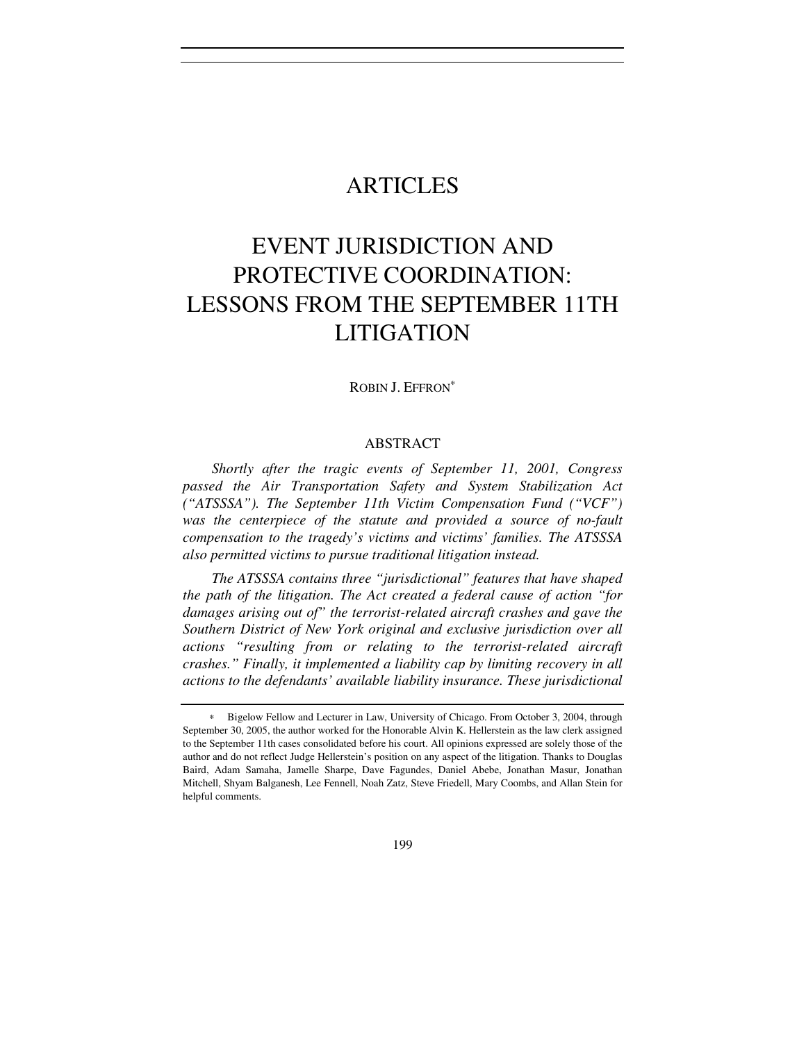# ARTICLES

# EVENT JURISDICTION AND PROTECTIVE COORDINATION: LESSONS FROM THE SEPTEMBER 11TH LITIGATION

ROBIN J. EFFRON<sup>∗</sup>

# ABSTRACT

*Shortly after the tragic events of September 11, 2001, Congress passed the Air Transportation Safety and System Stabilization Act ("ATSSSA"). The September 11th Victim Compensation Fund ("VCF") was the centerpiece of the statute and provided a source of no-fault compensation to the tragedy's victims and victims' families. The ATSSSA also permitted victims to pursue traditional litigation instead.*

*The ATSSSA contains three "jurisdictional" features that have shaped the path of the litigation. The Act created a federal cause of action "for damages arising out of" the terrorist-related aircraft crashes and gave the Southern District of New York original and exclusive jurisdiction over all actions "resulting from or relating to the terrorist-related aircraft crashes." Finally, it implemented a liability cap by limiting recovery in all actions to the defendants' available liability insurance. These jurisdictional* 

<sup>∗</sup> Bigelow Fellow and Lecturer in Law, University of Chicago. From October 3, 2004, through September 30, 2005, the author worked for the Honorable Alvin K. Hellerstein as the law clerk assigned to the September 11th cases consolidated before his court. All opinions expressed are solely those of the author and do not reflect Judge Hellerstein's position on any aspect of the litigation. Thanks to Douglas Baird, Adam Samaha, Jamelle Sharpe, Dave Fagundes, Daniel Abebe, Jonathan Masur, Jonathan Mitchell, Shyam Balganesh, Lee Fennell, Noah Zatz, Steve Friedell, Mary Coombs, and Allan Stein for helpful comments.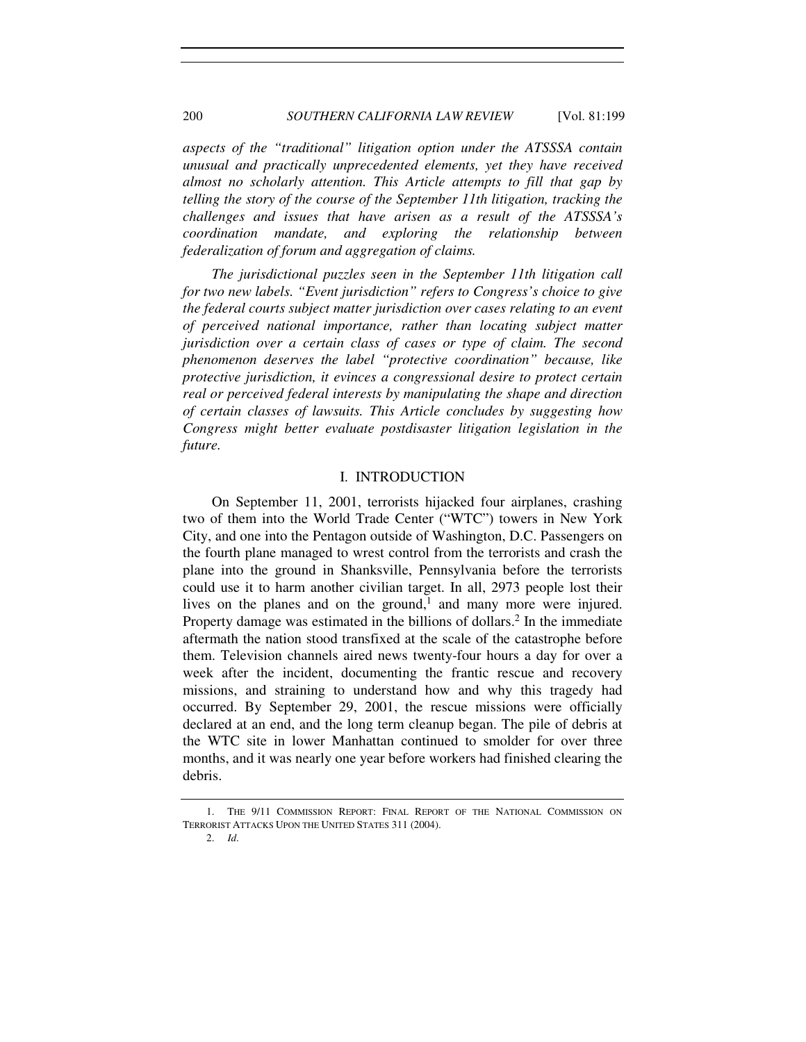*aspects of the "traditional" litigation option under the ATSSSA contain unusual and practically unprecedented elements, yet they have received almost no scholarly attention. This Article attempts to fill that gap by telling the story of the course of the September 11th litigation, tracking the challenges and issues that have arisen as a result of the ATSSSA's coordination mandate, and exploring the relationship between federalization of forum and aggregation of claims.*

*The jurisdictional puzzles seen in the September 11th litigation call for two new labels. "Event jurisdiction" refers to Congress's choice to give the federal courts subject matter jurisdiction over cases relating to an event of perceived national importance, rather than locating subject matter jurisdiction over a certain class of cases or type of claim. The second phenomenon deserves the label "protective coordination" because, like protective jurisdiction, it evinces a congressional desire to protect certain real or perceived federal interests by manipulating the shape and direction of certain classes of lawsuits. This Article concludes by suggesting how Congress might better evaluate postdisaster litigation legislation in the future.*

## I. INTRODUCTION

On September 11, 2001, terrorists hijacked four airplanes, crashing two of them into the World Trade Center ("WTC") towers in New York City, and one into the Pentagon outside of Washington, D.C. Passengers on the fourth plane managed to wrest control from the terrorists and crash the plane into the ground in Shanksville, Pennsylvania before the terrorists could use it to harm another civilian target. In all, 2973 people lost their lives on the planes and on the ground,<sup>1</sup> and many more were injured. Property damage was estimated in the billions of dollars.<sup>2</sup> In the immediate aftermath the nation stood transfixed at the scale of the catastrophe before them. Television channels aired news twenty-four hours a day for over a week after the incident, documenting the frantic rescue and recovery missions, and straining to understand how and why this tragedy had occurred. By September 29, 2001, the rescue missions were officially declared at an end, and the long term cleanup began. The pile of debris at the WTC site in lower Manhattan continued to smolder for over three months, and it was nearly one year before workers had finished clearing the debris.

 <sup>1.</sup> THE 9/11 COMMISSION REPORT: FINAL REPORT OF THE NATIONAL COMMISSION ON TERRORIST ATTACKS UPON THE UNITED STATES 311 (2004).

<sup>2.</sup> *Id*.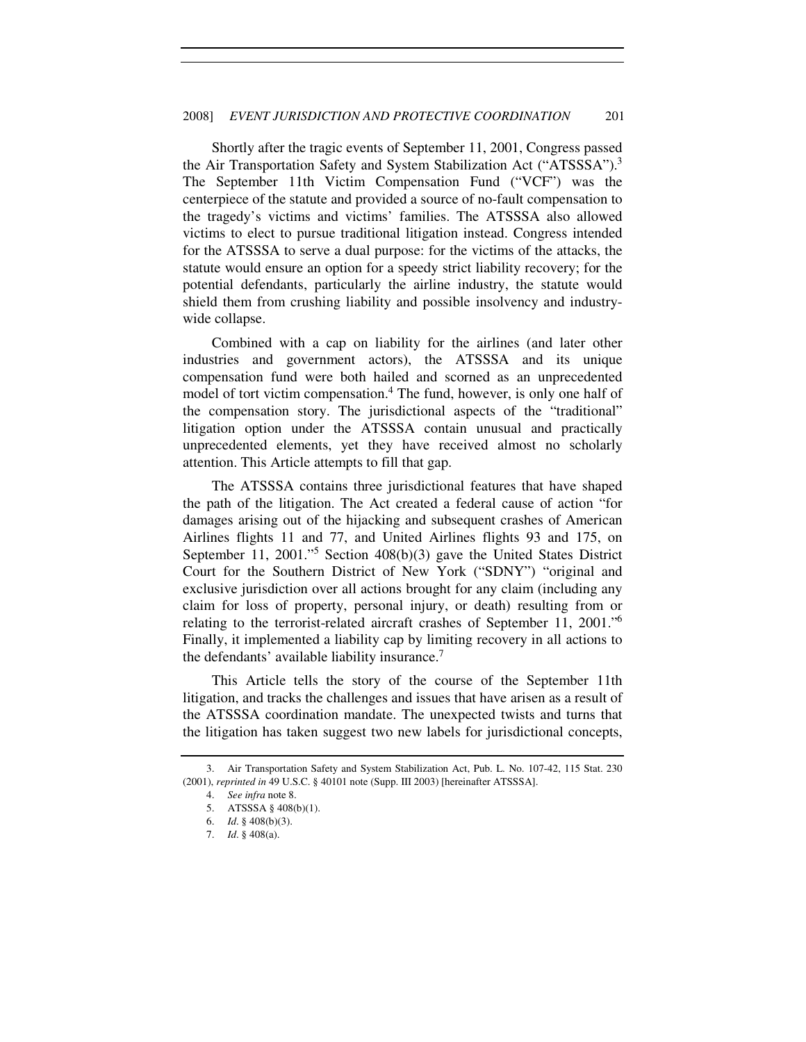Shortly after the tragic events of September 11, 2001, Congress passed the Air Transportation Safety and System Stabilization Act ("ATSSSA").<sup>3</sup> The September 11th Victim Compensation Fund ("VCF") was the centerpiece of the statute and provided a source of no-fault compensation to the tragedy's victims and victims' families. The ATSSSA also allowed victims to elect to pursue traditional litigation instead. Congress intended for the ATSSSA to serve a dual purpose: for the victims of the attacks, the statute would ensure an option for a speedy strict liability recovery; for the potential defendants, particularly the airline industry, the statute would shield them from crushing liability and possible insolvency and industrywide collapse.

Combined with a cap on liability for the airlines (and later other industries and government actors), the ATSSSA and its unique compensation fund were both hailed and scorned as an unprecedented model of tort victim compensation.<sup>4</sup> The fund, however, is only one half of the compensation story. The jurisdictional aspects of the "traditional" litigation option under the ATSSSA contain unusual and practically unprecedented elements, yet they have received almost no scholarly attention. This Article attempts to fill that gap.

The ATSSSA contains three jurisdictional features that have shaped the path of the litigation. The Act created a federal cause of action "for damages arising out of the hijacking and subsequent crashes of American Airlines flights 11 and 77, and United Airlines flights 93 and 175, on September 11, 2001."<sup>5</sup> Section 408(b)(3) gave the United States District Court for the Southern District of New York ("SDNY") "original and exclusive jurisdiction over all actions brought for any claim (including any claim for loss of property, personal injury, or death) resulting from or relating to the terrorist-related aircraft crashes of September 11, 2001."<sup>6</sup> Finally, it implemented a liability cap by limiting recovery in all actions to the defendants' available liability insurance.<sup>7</sup>

This Article tells the story of the course of the September 11th litigation, and tracks the challenges and issues that have arisen as a result of the ATSSSA coordination mandate. The unexpected twists and turns that the litigation has taken suggest two new labels for jurisdictional concepts,

 <sup>3.</sup> Air Transportation Safety and System Stabilization Act, Pub. L. No. 107-42, 115 Stat. 230 (2001), *reprinted in* 49 U.S.C. § 40101 note (Supp. III 2003) [hereinafter ATSSSA].

 <sup>4.</sup> *See infra* note 8.

<sup>5.</sup> ATSSSA § 408(b)(1).

<sup>6.</sup> *Id*. § 408(b)(3).

<sup>7.</sup> *Id*. § 408(a).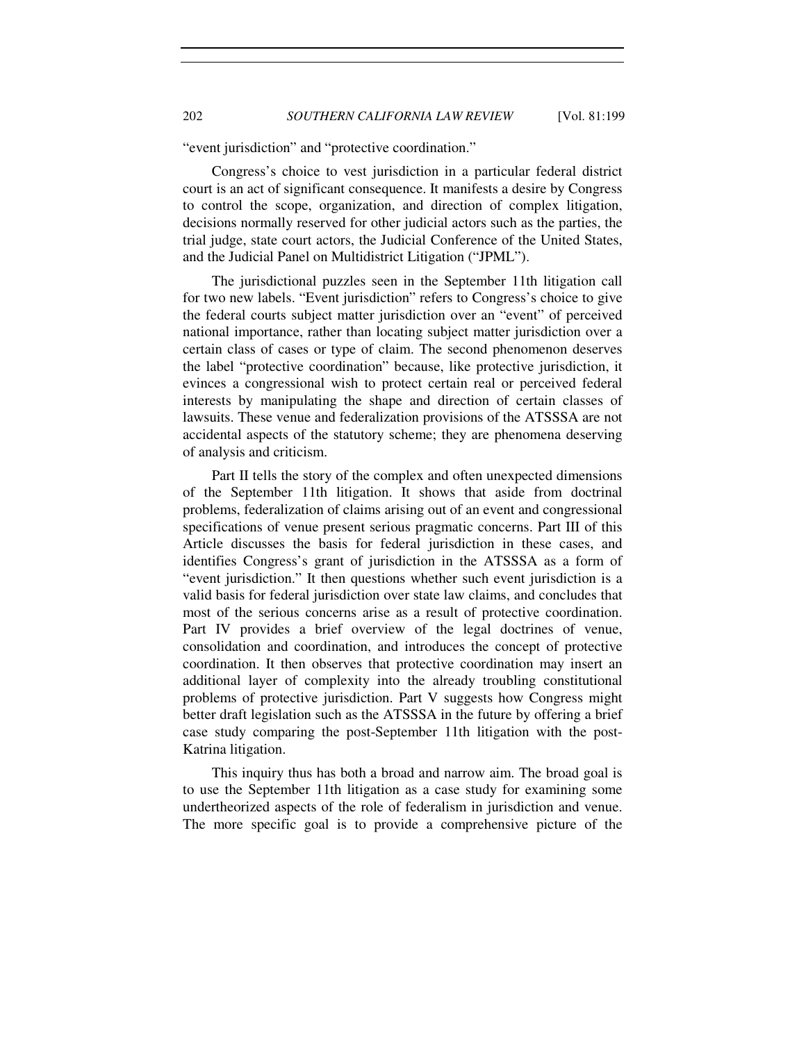"event jurisdiction" and "protective coordination."

Congress's choice to vest jurisdiction in a particular federal district court is an act of significant consequence. It manifests a desire by Congress to control the scope, organization, and direction of complex litigation, decisions normally reserved for other judicial actors such as the parties, the trial judge, state court actors, the Judicial Conference of the United States, and the Judicial Panel on Multidistrict Litigation ("JPML").

The jurisdictional puzzles seen in the September 11th litigation call for two new labels. "Event jurisdiction" refers to Congress's choice to give the federal courts subject matter jurisdiction over an "event" of perceived national importance, rather than locating subject matter jurisdiction over a certain class of cases or type of claim. The second phenomenon deserves the label "protective coordination" because, like protective jurisdiction, it evinces a congressional wish to protect certain real or perceived federal interests by manipulating the shape and direction of certain classes of lawsuits. These venue and federalization provisions of the ATSSSA are not accidental aspects of the statutory scheme; they are phenomena deserving of analysis and criticism.

Part II tells the story of the complex and often unexpected dimensions of the September 11th litigation. It shows that aside from doctrinal problems, federalization of claims arising out of an event and congressional specifications of venue present serious pragmatic concerns. Part III of this Article discusses the basis for federal jurisdiction in these cases, and identifies Congress's grant of jurisdiction in the ATSSSA as a form of "event jurisdiction." It then questions whether such event jurisdiction is a valid basis for federal jurisdiction over state law claims, and concludes that most of the serious concerns arise as a result of protective coordination. Part IV provides a brief overview of the legal doctrines of venue, consolidation and coordination, and introduces the concept of protective coordination. It then observes that protective coordination may insert an additional layer of complexity into the already troubling constitutional problems of protective jurisdiction. Part V suggests how Congress might better draft legislation such as the ATSSSA in the future by offering a brief case study comparing the post-September 11th litigation with the post-Katrina litigation.

This inquiry thus has both a broad and narrow aim. The broad goal is to use the September 11th litigation as a case study for examining some undertheorized aspects of the role of federalism in jurisdiction and venue. The more specific goal is to provide a comprehensive picture of the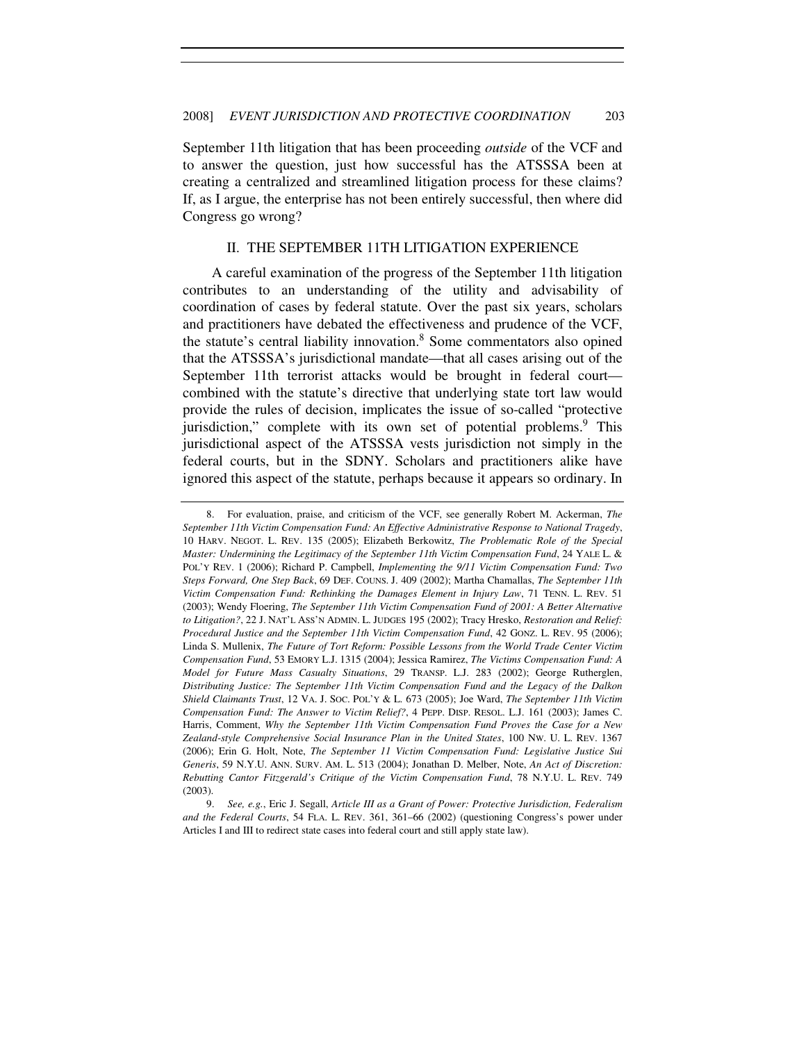September 11th litigation that has been proceeding *outside* of the VCF and to answer the question, just how successful has the ATSSSA been at creating a centralized and streamlined litigation process for these claims? If, as I argue, the enterprise has not been entirely successful, then where did Congress go wrong?

# II. THE SEPTEMBER 11TH LITIGATION EXPERIENCE

A careful examination of the progress of the September 11th litigation contributes to an understanding of the utility and advisability of coordination of cases by federal statute. Over the past six years, scholars and practitioners have debated the effectiveness and prudence of the VCF, the statute's central liability innovation.<sup>8</sup> Some commentators also opined that the ATSSSA's jurisdictional mandate—that all cases arising out of the September 11th terrorist attacks would be brought in federal court combined with the statute's directive that underlying state tort law would provide the rules of decision, implicates the issue of so-called "protective jurisdiction," complete with its own set of potential problems.<sup>9</sup> This jurisdictional aspect of the ATSSSA vests jurisdiction not simply in the federal courts, but in the SDNY. Scholars and practitioners alike have ignored this aspect of the statute, perhaps because it appears so ordinary. In

 <sup>8.</sup> For evaluation, praise, and criticism of the VCF, see generally Robert M. Ackerman, *The September 11th Victim Compensation Fund: An Effective Administrative Response to National Tragedy*, 10 HARV. NEGOT. L. REV. 135 (2005); Elizabeth Berkowitz, *The Problematic Role of the Special Master: Undermining the Legitimacy of the September 11th Victim Compensation Fund*, 24 YALE L. & POL'Y REV. 1 (2006); Richard P. Campbell, *Implementing the 9/11 Victim Compensation Fund: Two Steps Forward, One Step Back*, 69 DEF. COUNS. J. 409 (2002); Martha Chamallas, *The September 11th Victim Compensation Fund: Rethinking the Damages Element in Injury Law*, 71 TENN. L. REV. 51 (2003); Wendy Floering, *The September 11th Victim Compensation Fund of 2001: A Better Alternative to Litigation?*, 22 J. NAT'L ASS'N ADMIN. L. JUDGES 195 (2002); Tracy Hresko, *Restoration and Relief: Procedural Justice and the September 11th Victim Compensation Fund*, 42 GONZ. L. REV. 95 (2006); Linda S. Mullenix, *The Future of Tort Reform: Possible Lessons from the World Trade Center Victim Compensation Fund*, 53 EMORY L.J. 1315 (2004); Jessica Ramirez, *The Victims Compensation Fund: A Model for Future Mass Casualty Situations*, 29 TRANSP. L.J. 283 (2002); George Rutherglen, *Distributing Justice: The September 11th Victim Compensation Fund and the Legacy of the Dalkon Shield Claimants Trust*, 12 VA. J. SOC. POL'Y & L. 673 (2005); Joe Ward, *The September 11th Victim Compensation Fund: The Answer to Victim Relief?*, 4 PEPP. DISP. RESOL. L.J. 161 (2003); James C. Harris, Comment, *Why the September 11th Victim Compensation Fund Proves the Case for a New Zealand-style Comprehensive Social Insurance Plan in the United States*, 100 NW. U. L. REV. 1367 (2006); Erin G. Holt, Note, *The September 11 Victim Compensation Fund: Legislative Justice Sui Generis*, 59 N.Y.U. ANN. SURV. AM. L. 513 (2004); Jonathan D. Melber, Note, *An Act of Discretion: Rebutting Cantor Fitzgerald's Critique of the Victim Compensation Fund*, 78 N.Y.U. L. REV. 749 (2003).

 <sup>9.</sup> *See, e.g.*, Eric J. Segall, *Article III as a Grant of Power: Protective Jurisdiction, Federalism and the Federal Courts*, 54 FLA. L. REV. 361, 361–66 (2002) (questioning Congress's power under Articles I and III to redirect state cases into federal court and still apply state law).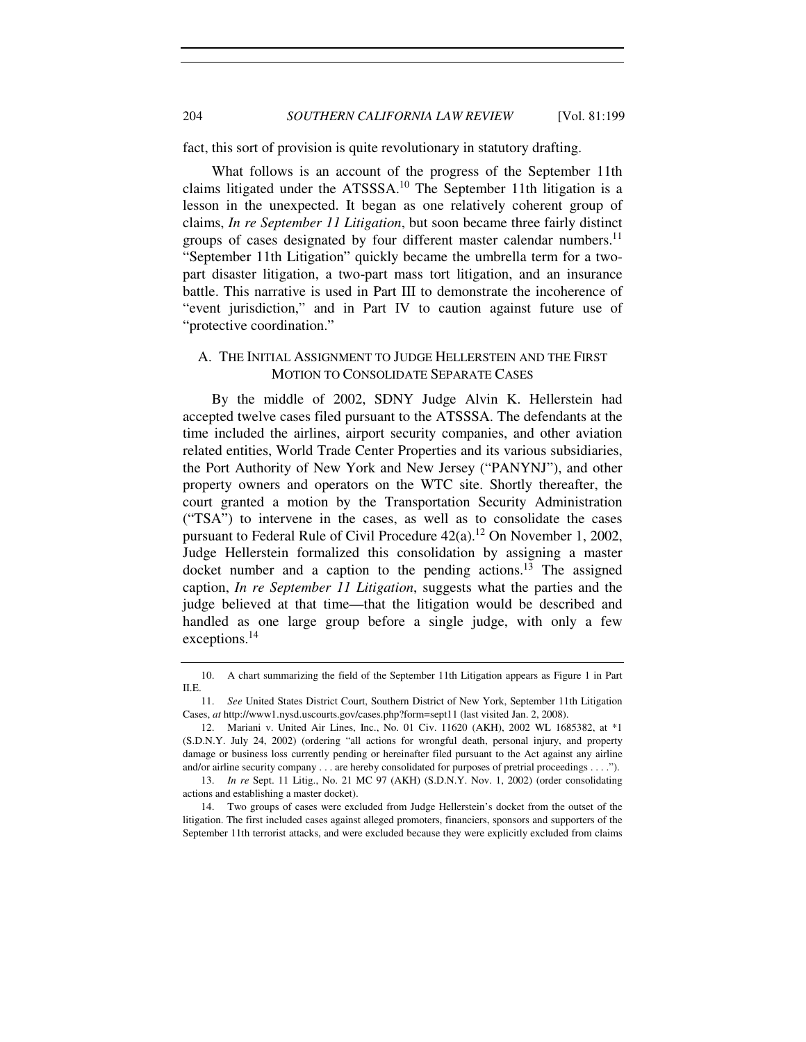204 *SOUTHERN CALIFORNIA LAW REVIEW* [Vol. 81:199

fact, this sort of provision is quite revolutionary in statutory drafting.

What follows is an account of the progress of the September 11th claims litigated under the  $ATSSSA$ <sup>10</sup> The September 11th litigation is a lesson in the unexpected. It began as one relatively coherent group of claims, *In re September 11 Litigation*, but soon became three fairly distinct groups of cases designated by four different master calendar numbers.<sup>11</sup> "September 11th Litigation" quickly became the umbrella term for a twopart disaster litigation, a two-part mass tort litigation, and an insurance battle. This narrative is used in Part III to demonstrate the incoherence of "event jurisdiction," and in Part IV to caution against future use of "protective coordination."

# A. THE INITIAL ASSIGNMENT TO JUDGE HELLERSTEIN AND THE FIRST MOTION TO CONSOLIDATE SEPARATE CASES

By the middle of 2002, SDNY Judge Alvin K. Hellerstein had accepted twelve cases filed pursuant to the ATSSSA. The defendants at the time included the airlines, airport security companies, and other aviation related entities, World Trade Center Properties and its various subsidiaries, the Port Authority of New York and New Jersey ("PANYNJ"), and other property owners and operators on the WTC site. Shortly thereafter, the court granted a motion by the Transportation Security Administration ("TSA") to intervene in the cases, as well as to consolidate the cases pursuant to Federal Rule of Civil Procedure  $42(a)$ .<sup>12</sup> On November 1, 2002, Judge Hellerstein formalized this consolidation by assigning a master docket number and a caption to the pending actions.<sup>13</sup> The assigned caption, *In re September 11 Litigation*, suggests what the parties and the judge believed at that time—that the litigation would be described and handled as one large group before a single judge, with only a few exceptions.<sup>14</sup>

 <sup>10.</sup> A chart summarizing the field of the September 11th Litigation appears as Figure 1 in Part II.E.

 <sup>11.</sup> *See* United States District Court, Southern District of New York, September 11th Litigation Cases, *at* http://www1.nysd.uscourts.gov/cases.php?form=sept11 (last visited Jan. 2, 2008).

<sup>12.</sup> Mariani v. United Air Lines, Inc., No. 01 Civ. 11620 (AKH), 2002 WL 1685382, at \*1 (S.D.N.Y. July 24, 2002) (ordering "all actions for wrongful death, personal injury, and property damage or business loss currently pending or hereinafter filed pursuant to the Act against any airline and/or airline security company . . . are hereby consolidated for purposes of pretrial proceedings . . . .").

 <sup>13.</sup> *In re* Sept. 11 Litig., No. 21 MC 97 (AKH) (S.D.N.Y. Nov. 1, 2002) (order consolidating actions and establishing a master docket).

 <sup>14.</sup> Two groups of cases were excluded from Judge Hellerstein's docket from the outset of the litigation. The first included cases against alleged promoters, financiers, sponsors and supporters of the September 11th terrorist attacks, and were excluded because they were explicitly excluded from claims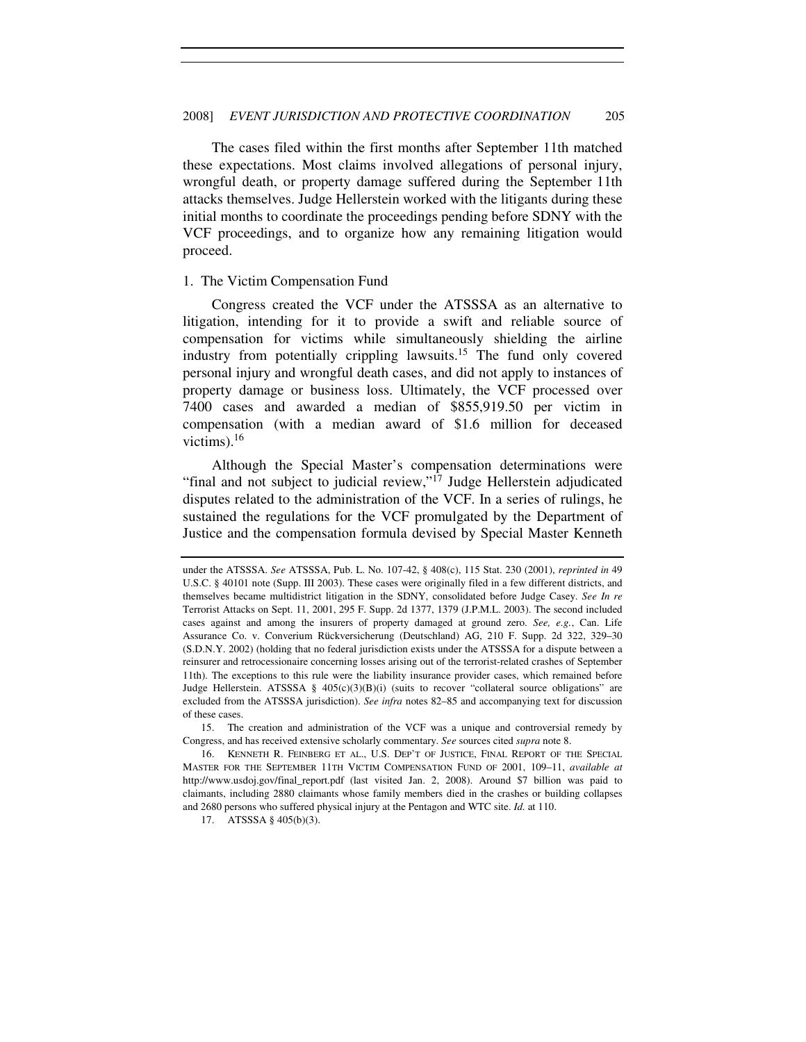The cases filed within the first months after September 11th matched these expectations. Most claims involved allegations of personal injury, wrongful death, or property damage suffered during the September 11th attacks themselves. Judge Hellerstein worked with the litigants during these initial months to coordinate the proceedings pending before SDNY with the VCF proceedings, and to organize how any remaining litigation would proceed.

#### 1. The Victim Compensation Fund

Congress created the VCF under the ATSSSA as an alternative to litigation, intending for it to provide a swift and reliable source of compensation for victims while simultaneously shielding the airline industry from potentially crippling lawsuits.<sup>15</sup> The fund only covered personal injury and wrongful death cases, and did not apply to instances of property damage or business loss. Ultimately, the VCF processed over 7400 cases and awarded a median of \$855,919.50 per victim in compensation (with a median award of \$1.6 million for deceased victims). $16$ 

Although the Special Master's compensation determinations were "final and not subject to judicial review," $^{17}$  Judge Hellerstein adjudicated disputes related to the administration of the VCF. In a series of rulings, he sustained the regulations for the VCF promulgated by the Department of Justice and the compensation formula devised by Special Master Kenneth

under the ATSSSA. *See* ATSSSA, Pub. L. No. 107-42, § 408(c), 115 Stat. 230 (2001), *reprinted in* 49 U.S.C. § 40101 note (Supp. III 2003). These cases were originally filed in a few different districts, and themselves became multidistrict litigation in the SDNY, consolidated before Judge Casey. *See In re* Terrorist Attacks on Sept. 11, 2001, 295 F. Supp. 2d 1377, 1379 (J.P.M.L. 2003). The second included cases against and among the insurers of property damaged at ground zero. *See, e.g.*, Can. Life Assurance Co. v. Converium Rückversicherung (Deutschland) AG, 210 F. Supp. 2d 322, 329–30 (S.D.N.Y. 2002) (holding that no federal jurisdiction exists under the ATSSSA for a dispute between a reinsurer and retrocessionaire concerning losses arising out of the terrorist-related crashes of September 11th). The exceptions to this rule were the liability insurance provider cases, which remained before Judge Hellerstein. ATSSSA §  $405(c)(3)(B)(i)$  (suits to recover "collateral source obligations" are excluded from the ATSSSA jurisdiction). *See infra* notes 82–85 and accompanying text for discussion of these cases.

 <sup>15.</sup> The creation and administration of the VCF was a unique and controversial remedy by Congress, and has received extensive scholarly commentary. *See* sources cited *supra* note 8.

 <sup>16.</sup> KENNETH R. FEINBERG ET AL., U.S. DEP'T OF JUSTICE, FINAL REPORT OF THE SPECIAL MASTER FOR THE SEPTEMBER 11TH VICTIM COMPENSATION FUND OF 2001, 109–11, *available at* http://www.usdoj.gov/final\_report.pdf (last visited Jan. 2, 2008). Around \$7 billion was paid to claimants, including 2880 claimants whose family members died in the crashes or building collapses and 2680 persons who suffered physical injury at the Pentagon and WTC site. *Id.* at 110.

 <sup>17.</sup> ATSSSA § 405(b)(3).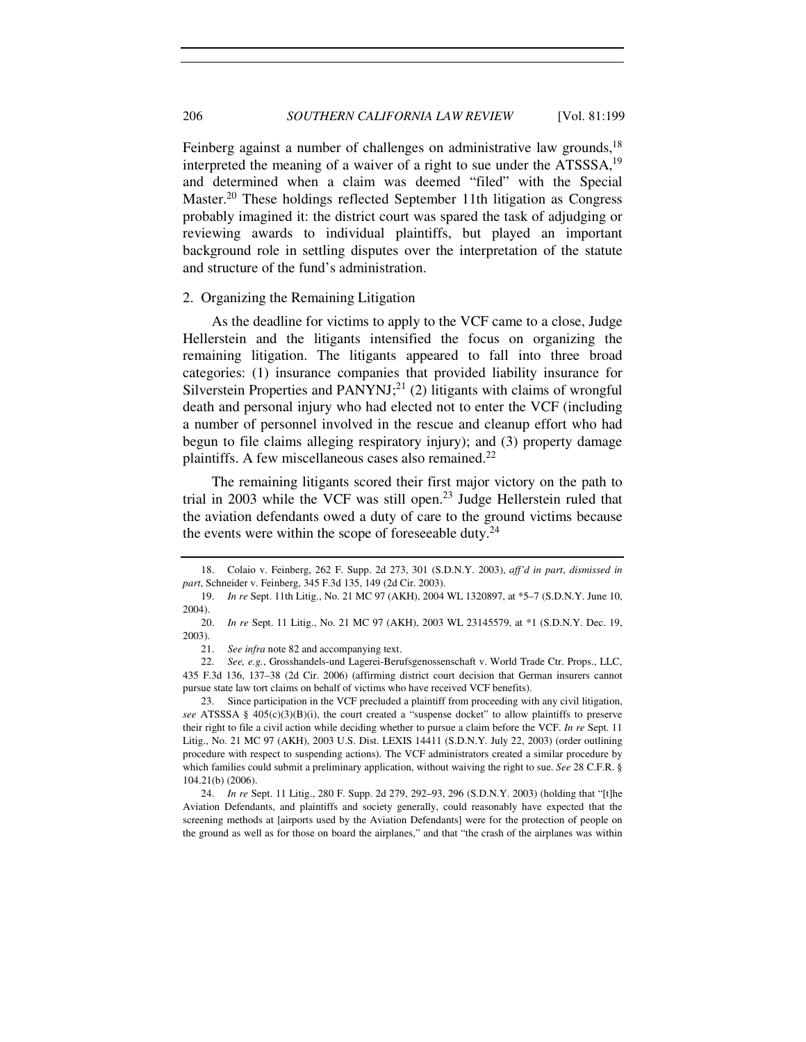Feinberg against a number of challenges on administrative law grounds,<sup>18</sup> interpreted the meaning of a waiver of a right to sue under the  $ATSSSA$ <sup>19</sup> and determined when a claim was deemed "filed" with the Special Master.<sup>20</sup> These holdings reflected September 11th litigation as Congress probably imagined it: the district court was spared the task of adjudging or reviewing awards to individual plaintiffs, but played an important background role in settling disputes over the interpretation of the statute and structure of the fund's administration.

# 2. Organizing the Remaining Litigation

As the deadline for victims to apply to the VCF came to a close, Judge Hellerstein and the litigants intensified the focus on organizing the remaining litigation. The litigants appeared to fall into three broad categories: (1) insurance companies that provided liability insurance for Silverstein Properties and PANYNJ;<sup>21</sup> (2) litigants with claims of wrongful death and personal injury who had elected not to enter the VCF (including a number of personnel involved in the rescue and cleanup effort who had begun to file claims alleging respiratory injury); and (3) property damage plaintiffs. A few miscellaneous cases also remained.<sup>22</sup>

The remaining litigants scored their first major victory on the path to trial in 2003 while the VCF was still open.<sup>23</sup> Judge Hellerstein ruled that the aviation defendants owed a duty of care to the ground victims because the events were within the scope of foreseeable duty.<sup>24</sup>

 <sup>18.</sup> Colaio v. Feinberg, 262 F. Supp. 2d 273, 301 (S.D.N.Y. 2003), *aff'd in part*, *dismissed in part*, Schneider v. Feinberg, 345 F.3d 135, 149 (2d Cir. 2003).

 <sup>19.</sup> *In re* Sept. 11th Litig., No. 21 MC 97 (AKH), 2004 WL 1320897, at \*5–7 (S.D.N.Y. June 10, 2004).

 <sup>20.</sup> *In re* Sept. 11 Litig., No. 21 MC 97 (AKH), 2003 WL 23145579, at \*1 (S.D.N.Y. Dec. 19, 2003).

<sup>21.</sup> *See infra* note 82 and accompanying text.

<sup>22.</sup> *See, e.g.*, Grosshandels-und Lagerei-Berufsgenossenschaft v. World Trade Ctr. Props., LLC, 435 F.3d 136, 137–38 (2d Cir. 2006) (affirming district court decision that German insurers cannot pursue state law tort claims on behalf of victims who have received VCF benefits).

 <sup>23.</sup> Since participation in the VCF precluded a plaintiff from proceeding with any civil litigation, *see* ATSSSA § 405(c)(3)(B)(i), the court created a "suspense docket" to allow plaintiffs to preserve their right to file a civil action while deciding whether to pursue a claim before the VCF. *In re* Sept. 11 Litig., No. 21 MC 97 (AKH), 2003 U.S. Dist. LEXIS 14411 (S.D.N.Y. July 22, 2003) (order outlining procedure with respect to suspending actions). The VCF administrators created a similar procedure by which families could submit a preliminary application, without waiving the right to sue. *See* 28 C.F.R. § 104.21(b) (2006).

 <sup>24.</sup> *In re* Sept. 11 Litig., 280 F. Supp. 2d 279, 292–93, 296 (S.D.N.Y. 2003) (holding that "[t]he Aviation Defendants, and plaintiffs and society generally, could reasonably have expected that the screening methods at [airports used by the Aviation Defendants] were for the protection of people on the ground as well as for those on board the airplanes," and that "the crash of the airplanes was within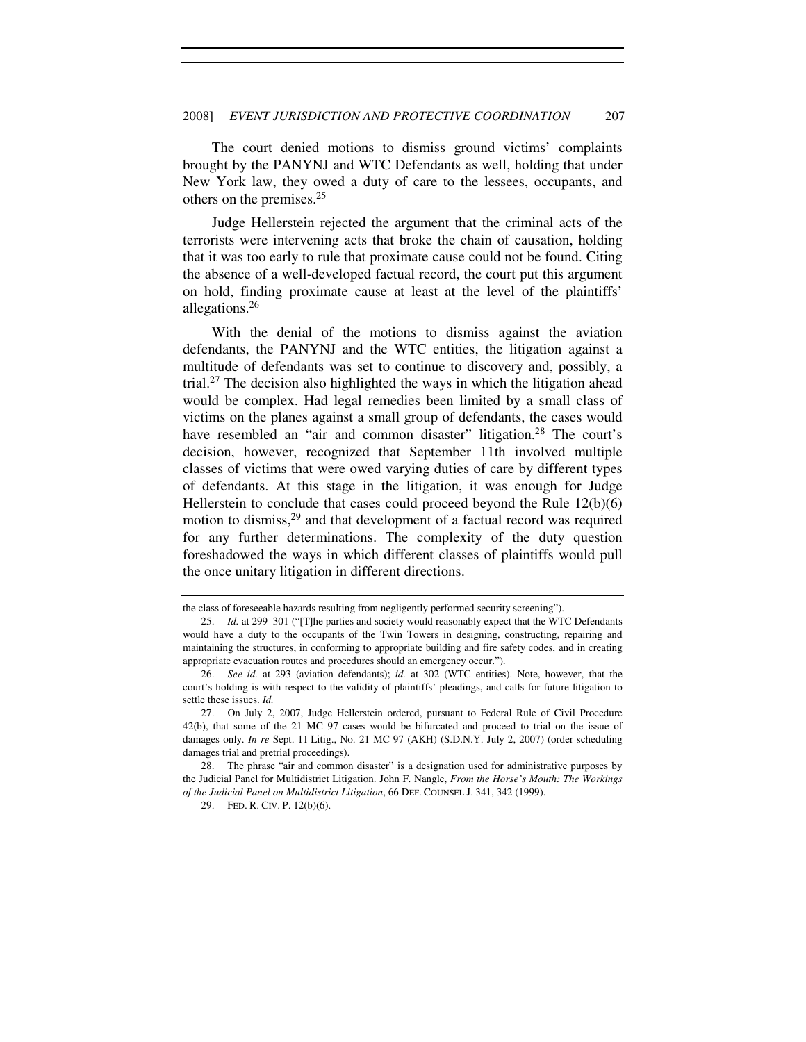The court denied motions to dismiss ground victims' complaints brought by the PANYNJ and WTC Defendants as well, holding that under New York law, they owed a duty of care to the lessees, occupants, and others on the premises.<sup>25</sup>

Judge Hellerstein rejected the argument that the criminal acts of the terrorists were intervening acts that broke the chain of causation, holding that it was too early to rule that proximate cause could not be found. Citing the absence of a well-developed factual record, the court put this argument on hold, finding proximate cause at least at the level of the plaintiffs' allegations.<sup>26</sup>

With the denial of the motions to dismiss against the aviation defendants, the PANYNJ and the WTC entities, the litigation against a multitude of defendants was set to continue to discovery and, possibly, a trial.<sup>27</sup> The decision also highlighted the ways in which the litigation ahead would be complex. Had legal remedies been limited by a small class of victims on the planes against a small group of defendants, the cases would have resembled an "air and common disaster" litigation.<sup>28</sup> The court's decision, however, recognized that September 11th involved multiple classes of victims that were owed varying duties of care by different types of defendants. At this stage in the litigation, it was enough for Judge Hellerstein to conclude that cases could proceed beyond the Rule 12(b)(6) motion to dismiss,  $29$  and that development of a factual record was required for any further determinations. The complexity of the duty question foreshadowed the ways in which different classes of plaintiffs would pull the once unitary litigation in different directions.

the class of foreseeable hazards resulting from negligently performed security screening").

 <sup>25.</sup> *Id.* at 299–301 ("[T]he parties and society would reasonably expect that the WTC Defendants would have a duty to the occupants of the Twin Towers in designing, constructing, repairing and maintaining the structures, in conforming to appropriate building and fire safety codes, and in creating appropriate evacuation routes and procedures should an emergency occur.").

 <sup>26.</sup> *See id.* at 293 (aviation defendants); *id.* at 302 (WTC entities). Note, however, that the court's holding is with respect to the validity of plaintiffs' pleadings, and calls for future litigation to settle these issues. *Id.*

 <sup>27.</sup> On July 2, 2007, Judge Hellerstein ordered, pursuant to Federal Rule of Civil Procedure 42(b), that some of the 21 MC 97 cases would be bifurcated and proceed to trial on the issue of damages only. *In re* Sept. 11 Litig., No. 21 MC 97 (AKH) (S.D.N.Y. July 2, 2007) (order scheduling damages trial and pretrial proceedings).

 <sup>28.</sup> The phrase "air and common disaster" is a designation used for administrative purposes by the Judicial Panel for Multidistrict Litigation. John F. Nangle, *From the Horse's Mouth: The Workings of the Judicial Panel on Multidistrict Litigation*, 66 DEF. COUNSEL J. 341, 342 (1999).

 <sup>29.</sup> FED. R. CIV. P. 12(b)(6).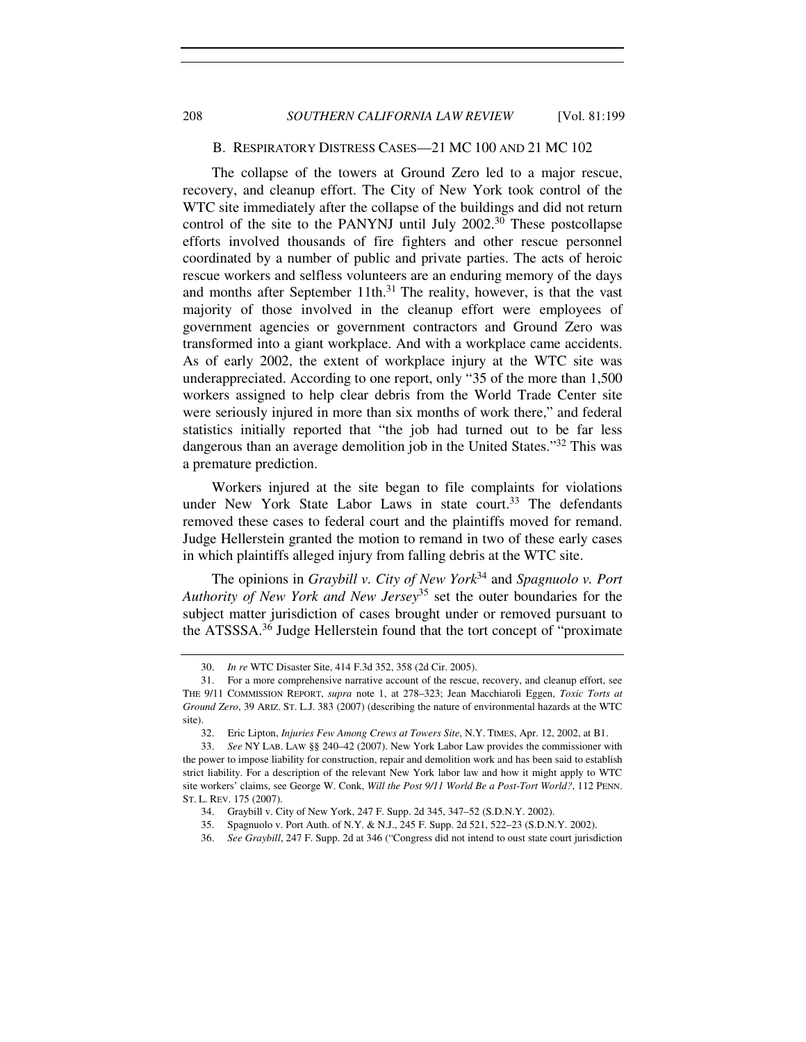## B. RESPIRATORY DISTRESS CASES—21 MC 100 AND 21 MC 102

The collapse of the towers at Ground Zero led to a major rescue, recovery, and cleanup effort. The City of New York took control of the WTC site immediately after the collapse of the buildings and did not return control of the site to the PANYNJ until July  $2002<sup>30</sup>$  These postcollapse efforts involved thousands of fire fighters and other rescue personnel coordinated by a number of public and private parties. The acts of heroic rescue workers and selfless volunteers are an enduring memory of the days and months after September 11th. $31$  The reality, however, is that the vast majority of those involved in the cleanup effort were employees of government agencies or government contractors and Ground Zero was transformed into a giant workplace. And with a workplace came accidents. As of early 2002, the extent of workplace injury at the WTC site was underappreciated. According to one report, only "35 of the more than 1,500 workers assigned to help clear debris from the World Trade Center site were seriously injured in more than six months of work there," and federal statistics initially reported that "the job had turned out to be far less dangerous than an average demolition job in the United States."<sup>32</sup> This was a premature prediction.

Workers injured at the site began to file complaints for violations under New York State Labor Laws in state court.<sup>33</sup> The defendants removed these cases to federal court and the plaintiffs moved for remand. Judge Hellerstein granted the motion to remand in two of these early cases in which plaintiffs alleged injury from falling debris at the WTC site.

The opinions in *Graybill v. City of New York*<sup>34</sup> and *Spagnuolo v. Port Authority of New York and New Jersey*<sup>35</sup> set the outer boundaries for the subject matter jurisdiction of cases brought under or removed pursuant to the ATSSSA.<sup>36</sup> Judge Hellerstein found that the tort concept of "proximate"

 <sup>30.</sup> *In re* WTC Disaster Site, 414 F.3d 352, 358 (2d Cir. 2005).

 <sup>31.</sup> For a more comprehensive narrative account of the rescue, recovery, and cleanup effort, see THE 9/11 COMMISSION REPORT, *supra* note 1, at 278–323; Jean Macchiaroli Eggen, *Toxic Torts at Ground Zero*, 39 ARIZ. ST. L.J. 383 (2007) (describing the nature of environmental hazards at the WTC site).

 <sup>32.</sup> Eric Lipton, *Injuries Few Among Crews at Towers Site*, N.Y. TIMES, Apr. 12, 2002, at B1.

 <sup>33.</sup> *See* NY LAB. LAW §§ 240–42 (2007). New York Labor Law provides the commissioner with the power to impose liability for construction, repair and demolition work and has been said to establish strict liability. For a description of the relevant New York labor law and how it might apply to WTC site workers' claims, see George W. Conk, *Will the Post 9/11 World Be a Post-Tort World?*, 112 PENN. ST. L. REV. 175 (2007).

 <sup>34.</sup> Graybill v. City of New York, 247 F. Supp. 2d 345, 347–52 (S.D.N.Y. 2002).

 <sup>35.</sup> Spagnuolo v. Port Auth. of N.Y. & N.J., 245 F. Supp. 2d 521, 522–23 (S.D.N.Y. 2002).

 <sup>36.</sup> *See Graybill*, 247 F. Supp. 2d at 346 ("Congress did not intend to oust state court jurisdiction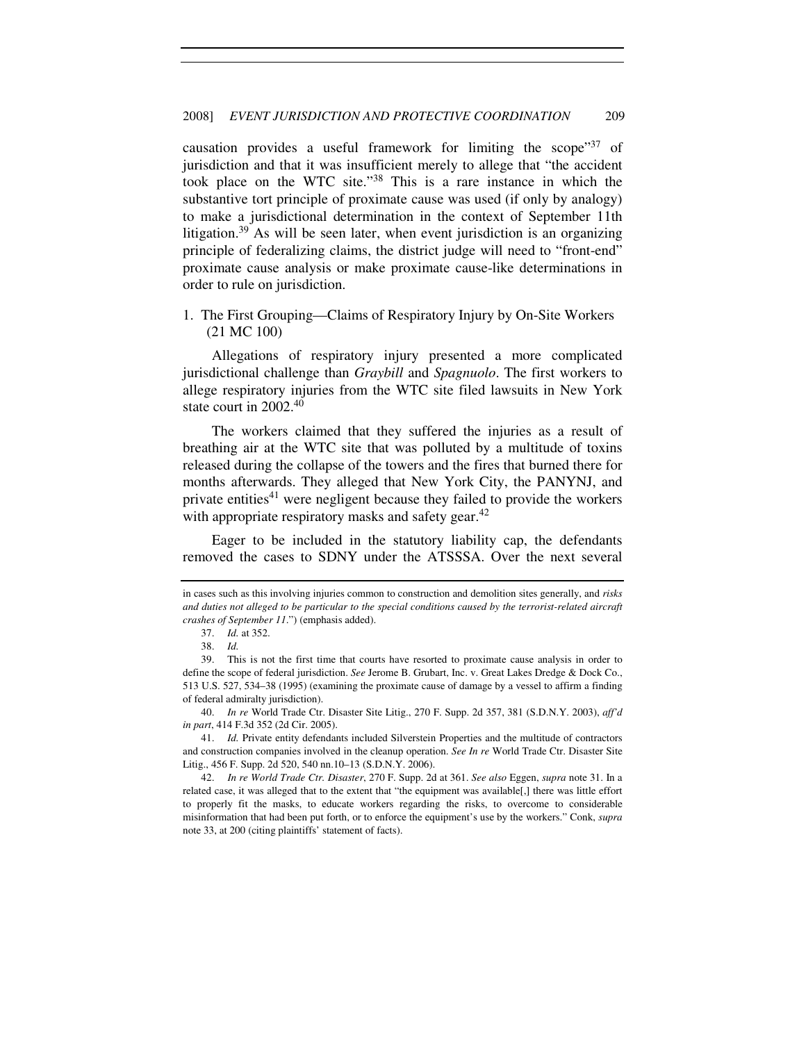causation provides a useful framework for limiting the scope"<sup>37</sup> of jurisdiction and that it was insufficient merely to allege that "the accident took place on the WTC site."<sup>38</sup> This is a rare instance in which the substantive tort principle of proximate cause was used (if only by analogy) to make a jurisdictional determination in the context of September 11th litigation.<sup>39</sup> As will be seen later, when event jurisdiction is an organizing principle of federalizing claims, the district judge will need to "front-end" proximate cause analysis or make proximate cause-like determinations in order to rule on jurisdiction.

1. The First Grouping—Claims of Respiratory Injury by On-Site Workers (21 MC 100)

Allegations of respiratory injury presented a more complicated jurisdictional challenge than *Graybill* and *Spagnuolo*. The first workers to allege respiratory injuries from the WTC site filed lawsuits in New York state court in 2002.<sup>40</sup>

The workers claimed that they suffered the injuries as a result of breathing air at the WTC site that was polluted by a multitude of toxins released during the collapse of the towers and the fires that burned there for months afterwards. They alleged that New York City, the PANYNJ, and private entities<sup>41</sup> were negligent because they failed to provide the workers with appropriate respiratory masks and safety gear.<sup>42</sup>

Eager to be included in the statutory liability cap, the defendants removed the cases to SDNY under the ATSSSA. Over the next several

 40. *In re* World Trade Ctr. Disaster Site Litig., 270 F. Supp. 2d 357, 381 (S.D.N.Y. 2003), *aff'd in part*, 414 F.3d 352 (2d Cir. 2005).

in cases such as this involving injuries common to construction and demolition sites generally, and *risks and duties not alleged to be particular to the special conditions caused by the terrorist-related aircraft crashes of September 11*.") (emphasis added).

<sup>37.</sup> *Id.* at 352.

<sup>38.</sup> *Id.*

 <sup>39.</sup> This is not the first time that courts have resorted to proximate cause analysis in order to define the scope of federal jurisdiction. *See* Jerome B. Grubart, Inc. v. Great Lakes Dredge & Dock Co., 513 U.S. 527, 534–38 (1995) (examining the proximate cause of damage by a vessel to affirm a finding of federal admiralty jurisdiction).

 <sup>41.</sup> *Id.* Private entity defendants included Silverstein Properties and the multitude of contractors and construction companies involved in the cleanup operation. *See In re* World Trade Ctr. Disaster Site Litig., 456 F. Supp. 2d 520, 540 nn.10–13 (S.D.N.Y. 2006).

 <sup>42.</sup> *In re World Trade Ctr. Disaster*, 270 F. Supp. 2d at 361. *See also* Eggen, *supra* note 31. In a related case, it was alleged that to the extent that "the equipment was available[,] there was little effort to properly fit the masks, to educate workers regarding the risks, to overcome to considerable misinformation that had been put forth, or to enforce the equipment's use by the workers." Conk, *supra* note 33, at 200 (citing plaintiffs' statement of facts).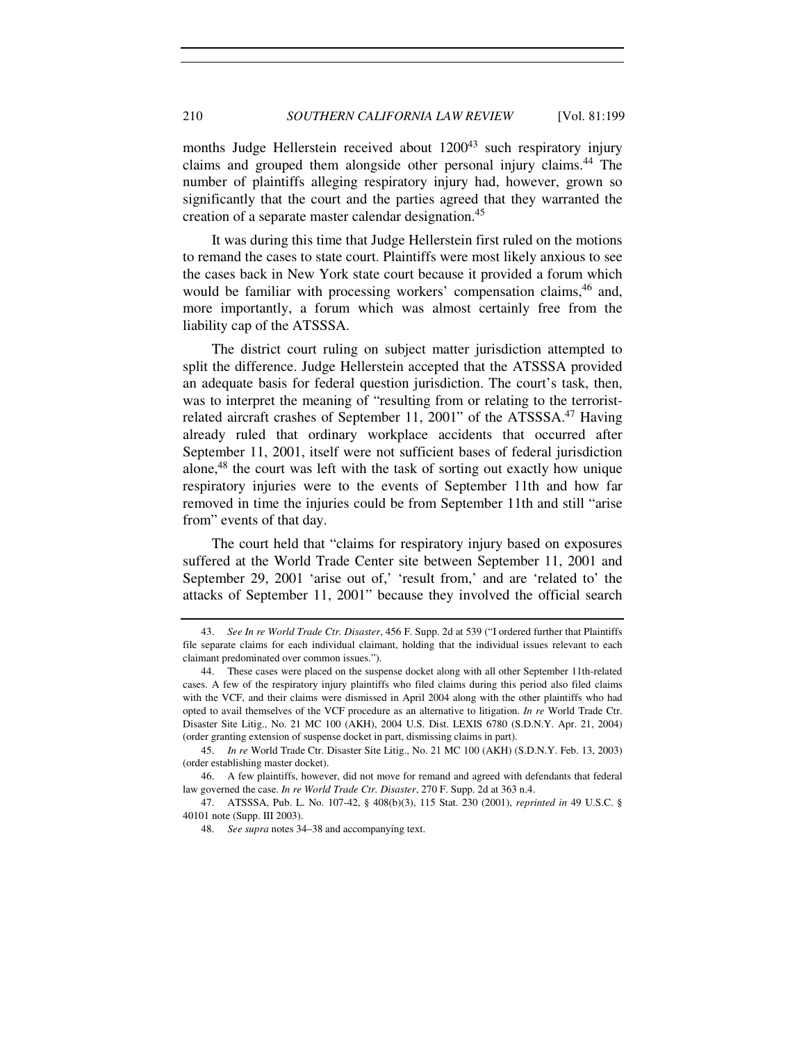months Judge Hellerstein received about 1200<sup>43</sup> such respiratory injury claims and grouped them alongside other personal injury claims.<sup>44</sup> The number of plaintiffs alleging respiratory injury had, however, grown so significantly that the court and the parties agreed that they warranted the creation of a separate master calendar designation.<sup>45</sup>

It was during this time that Judge Hellerstein first ruled on the motions to remand the cases to state court. Plaintiffs were most likely anxious to see the cases back in New York state court because it provided a forum which would be familiar with processing workers' compensation claims,<sup>46</sup> and, more importantly, a forum which was almost certainly free from the liability cap of the ATSSSA.

The district court ruling on subject matter jurisdiction attempted to split the difference. Judge Hellerstein accepted that the ATSSSA provided an adequate basis for federal question jurisdiction. The court's task, then, was to interpret the meaning of "resulting from or relating to the terroristrelated aircraft crashes of September 11, 2001" of the ATSSSA.<sup>47</sup> Having already ruled that ordinary workplace accidents that occurred after September 11, 2001, itself were not sufficient bases of federal jurisdiction alone,<sup>48</sup> the court was left with the task of sorting out exactly how unique respiratory injuries were to the events of September 11th and how far removed in time the injuries could be from September 11th and still "arise from" events of that day.

The court held that "claims for respiratory injury based on exposures suffered at the World Trade Center site between September 11, 2001 and September 29, 2001 'arise out of,' 'result from,' and are 'related to' the attacks of September 11, 2001" because they involved the official search

 <sup>43.</sup> *See In re World Trade Ctr. Disaster*, 456 F. Supp. 2d at 539 ("I ordered further that Plaintiffs file separate claims for each individual claimant, holding that the individual issues relevant to each claimant predominated over common issues.").

 <sup>44.</sup> These cases were placed on the suspense docket along with all other September 11th-related cases. A few of the respiratory injury plaintiffs who filed claims during this period also filed claims with the VCF, and their claims were dismissed in April 2004 along with the other plaintiffs who had opted to avail themselves of the VCF procedure as an alternative to litigation. *In re* World Trade Ctr. Disaster Site Litig., No. 21 MC 100 (AKH), 2004 U.S. Dist. LEXIS 6780 (S.D.N.Y. Apr. 21, 2004) (order granting extension of suspense docket in part, dismissing claims in part).

 <sup>45.</sup> *In re* World Trade Ctr. Disaster Site Litig., No. 21 MC 100 (AKH) (S.D.N.Y. Feb. 13, 2003) (order establishing master docket).

 <sup>46.</sup> A few plaintiffs, however, did not move for remand and agreed with defendants that federal law governed the case. *In re World Trade Ctr. Disaster*, 270 F. Supp. 2d at 363 n.4.

 <sup>47.</sup> ATSSSA, Pub. L. No. 107-42, § 408(b)(3), 115 Stat. 230 (2001), *reprinted in* 49 U.S.C. § 40101 note (Supp. III 2003).

<sup>48.</sup> *See supra* notes 34–38 and accompanying text.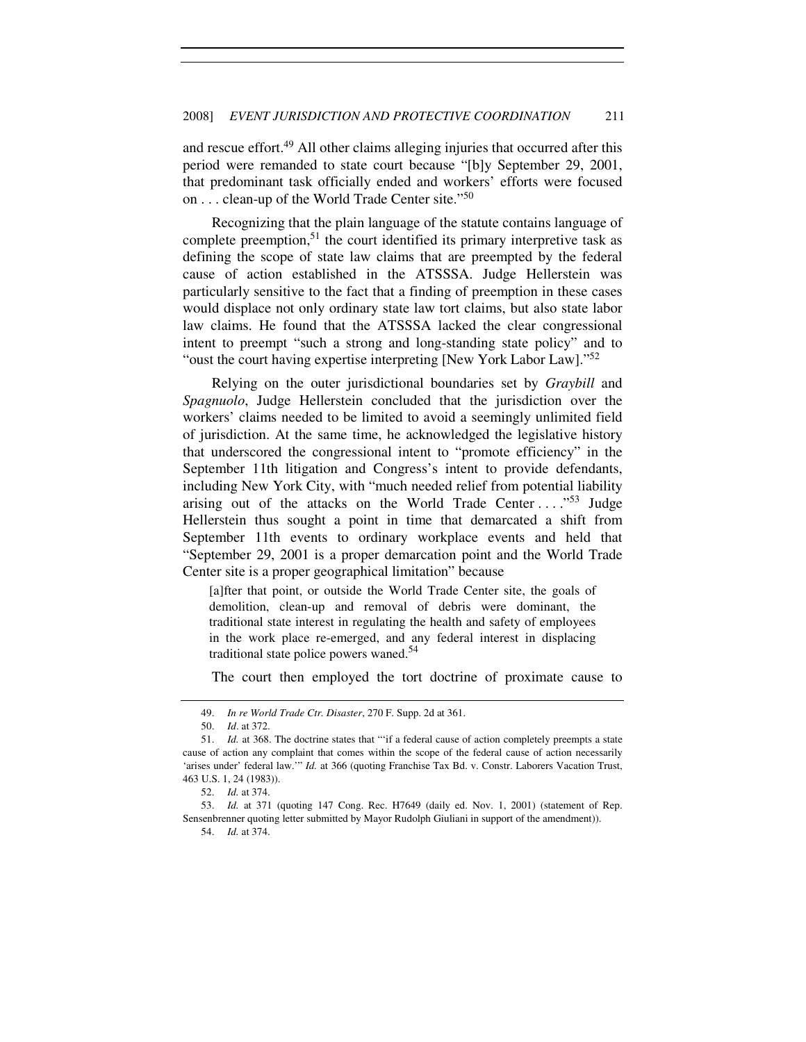and rescue effort.<sup>49</sup> All other claims alleging injuries that occurred after this period were remanded to state court because "[b]y September 29, 2001, that predominant task officially ended and workers' efforts were focused on . . . clean-up of the World Trade Center site."<sup>50</sup>

Recognizing that the plain language of the statute contains language of complete preemption,  $51$  the court identified its primary interpretive task as defining the scope of state law claims that are preempted by the federal cause of action established in the ATSSSA. Judge Hellerstein was particularly sensitive to the fact that a finding of preemption in these cases would displace not only ordinary state law tort claims, but also state labor law claims. He found that the ATSSSA lacked the clear congressional intent to preempt "such a strong and long-standing state policy" and to "oust the court having expertise interpreting [New York Labor Law]."<sup>52</sup>

Relying on the outer jurisdictional boundaries set by *Graybill* and *Spagnuolo*, Judge Hellerstein concluded that the jurisdiction over the workers' claims needed to be limited to avoid a seemingly unlimited field of jurisdiction. At the same time, he acknowledged the legislative history that underscored the congressional intent to "promote efficiency" in the September 11th litigation and Congress's intent to provide defendants, including New York City, with "much needed relief from potential liability arising out of the attacks on the World Trade Center ...."<sup>53</sup> Judge Hellerstein thus sought a point in time that demarcated a shift from September 11th events to ordinary workplace events and held that "September 29, 2001 is a proper demarcation point and the World Trade Center site is a proper geographical limitation" because

[a]fter that point, or outside the World Trade Center site, the goals of demolition, clean-up and removal of debris were dominant, the traditional state interest in regulating the health and safety of employees in the work place re-emerged, and any federal interest in displacing traditional state police powers waned.<sup>54</sup>

The court then employed the tort doctrine of proximate cause to

 <sup>49.</sup> *In re World Trade Ctr. Disaster*, 270 F. Supp. 2d at 361.

 <sup>50.</sup> *Id*. at 372.

 <sup>51.</sup> *Id.* at 368. The doctrine states that "'if a federal cause of action completely preempts a state cause of action any complaint that comes within the scope of the federal cause of action necessarily 'arises under' federal law.'" *Id.* at 366 (quoting Franchise Tax Bd. v. Constr. Laborers Vacation Trust, 463 U.S. 1, 24 (1983)).

 <sup>52.</sup> *Id.* at 374.

 <sup>53.</sup> *Id.* at 371 (quoting 147 Cong. Rec. H7649 (daily ed. Nov. 1, 2001) (statement of Rep. Sensenbrenner quoting letter submitted by Mayor Rudolph Giuliani in support of the amendment)).

 <sup>54.</sup> *Id.* at 374.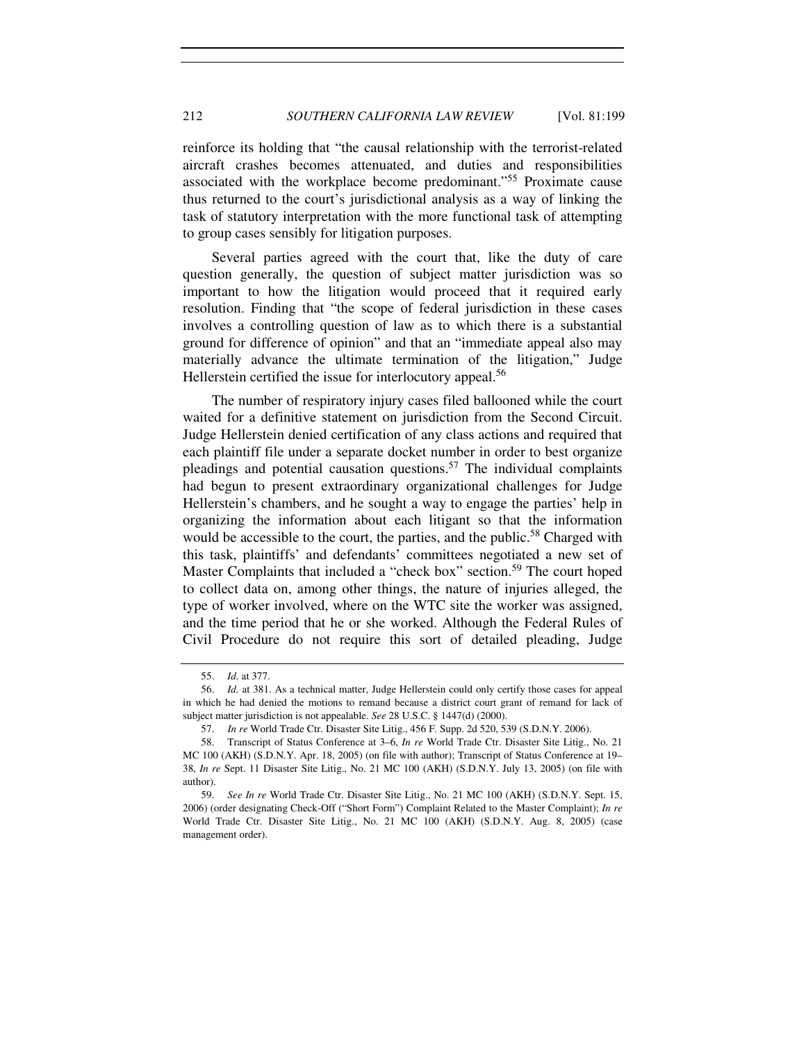reinforce its holding that "the causal relationship with the terrorist-related aircraft crashes becomes attenuated, and duties and responsibilities associated with the workplace become predominant."<sup>55</sup> Proximate cause thus returned to the court's jurisdictional analysis as a way of linking the task of statutory interpretation with the more functional task of attempting to group cases sensibly for litigation purposes.

Several parties agreed with the court that, like the duty of care question generally, the question of subject matter jurisdiction was so important to how the litigation would proceed that it required early resolution. Finding that "the scope of federal jurisdiction in these cases involves a controlling question of law as to which there is a substantial ground for difference of opinion" and that an "immediate appeal also may materially advance the ultimate termination of the litigation," Judge Hellerstein certified the issue for interlocutory appeal.<sup>56</sup>

The number of respiratory injury cases filed ballooned while the court waited for a definitive statement on jurisdiction from the Second Circuit. Judge Hellerstein denied certification of any class actions and required that each plaintiff file under a separate docket number in order to best organize pleadings and potential causation questions.<sup>57</sup> The individual complaints had begun to present extraordinary organizational challenges for Judge Hellerstein's chambers, and he sought a way to engage the parties' help in organizing the information about each litigant so that the information would be accessible to the court, the parties, and the public.<sup>58</sup> Charged with this task, plaintiffs' and defendants' committees negotiated a new set of Master Complaints that included a "check box" section.<sup>59</sup> The court hoped to collect data on, among other things, the nature of injuries alleged, the type of worker involved, where on the WTC site the worker was assigned, and the time period that he or she worked. Although the Federal Rules of Civil Procedure do not require this sort of detailed pleading, Judge

 <sup>55.</sup> *Id.* at 377.

 <sup>56.</sup> *Id.* at 381. As a technical matter, Judge Hellerstein could only certify those cases for appeal in which he had denied the motions to remand because a district court grant of remand for lack of subject matter jurisdiction is not appealable. *See* 28 U.S.C. § 1447(d) (2000).

 <sup>57.</sup> *In re* World Trade Ctr. Disaster Site Litig., 456 F. Supp. 2d 520, 539 (S.D.N.Y. 2006).

 <sup>58.</sup> Transcript of Status Conference at 3–6, *In re* World Trade Ctr. Disaster Site Litig., No. 21 MC 100 (AKH) (S.D.N.Y. Apr. 18, 2005) (on file with author); Transcript of Status Conference at 19– 38, *In re* Sept. 11 Disaster Site Litig., No. 21 MC 100 (AKH) (S.D.N.Y. July 13, 2005) (on file with author).

<sup>59.</sup> *See In re* World Trade Ctr. Disaster Site Litig., No. 21 MC 100 (AKH) (S.D.N.Y. Sept. 15, 2006) (order designating Check-Off ("Short Form") Complaint Related to the Master Complaint); *In re* World Trade Ctr. Disaster Site Litig., No. 21 MC 100 (AKH) (S.D.N.Y. Aug. 8, 2005) (case management order).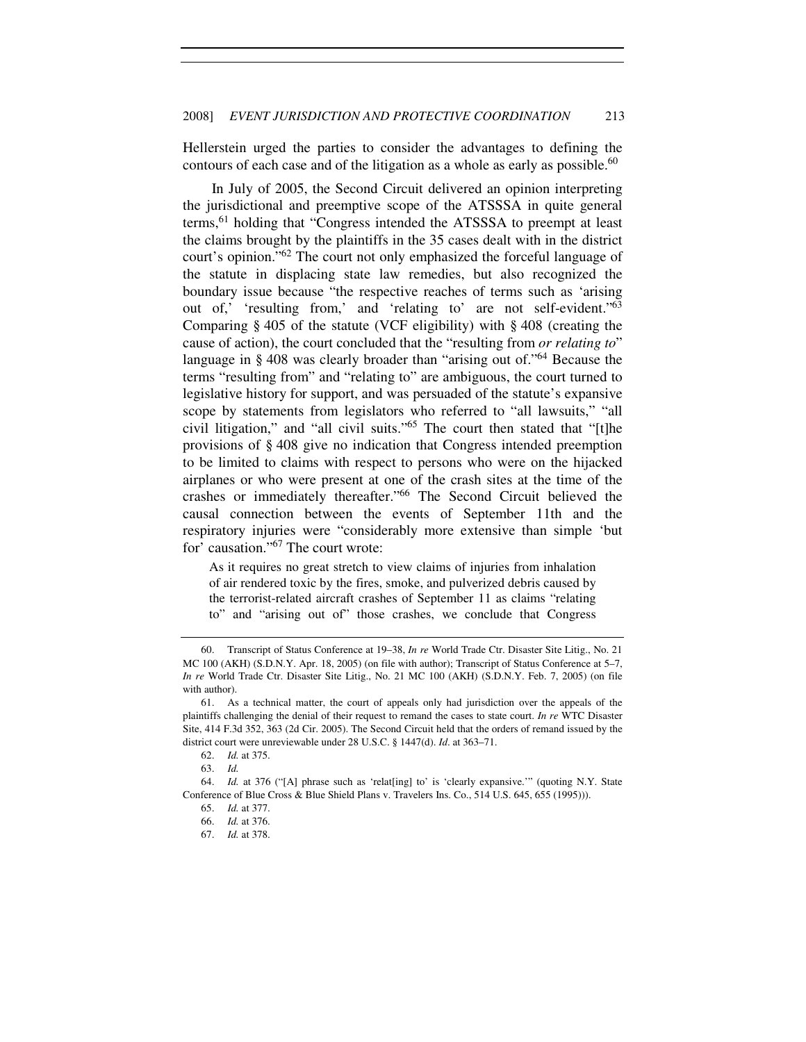Hellerstein urged the parties to consider the advantages to defining the contours of each case and of the litigation as a whole as early as possible.<sup>60</sup>

In July of 2005, the Second Circuit delivered an opinion interpreting the jurisdictional and preemptive scope of the ATSSSA in quite general terms,<sup>61</sup> holding that "Congress intended the ATSSSA to preempt at least the claims brought by the plaintiffs in the 35 cases dealt with in the district court's opinion."<sup>62</sup> The court not only emphasized the forceful language of the statute in displacing state law remedies, but also recognized the boundary issue because "the respective reaches of terms such as 'arising out of,' 'resulting from,' and 'relating to' are not self-evident."<sup>63</sup> Comparing § 405 of the statute (VCF eligibility) with § 408 (creating the cause of action), the court concluded that the "resulting from *or relating to*" language in § 408 was clearly broader than "arising out of."<sup>64</sup> Because the terms "resulting from" and "relating to" are ambiguous, the court turned to legislative history for support, and was persuaded of the statute's expansive scope by statements from legislators who referred to "all lawsuits," "all civil litigation," and "all civil suits."<sup>65</sup> The court then stated that "[t]he provisions of § 408 give no indication that Congress intended preemption to be limited to claims with respect to persons who were on the hijacked airplanes or who were present at one of the crash sites at the time of the crashes or immediately thereafter."<sup>66</sup> The Second Circuit believed the causal connection between the events of September 11th and the respiratory injuries were "considerably more extensive than simple 'but for' causation."<sup>67</sup> The court wrote:

As it requires no great stretch to view claims of injuries from inhalation of air rendered toxic by the fires, smoke, and pulverized debris caused by the terrorist-related aircraft crashes of September 11 as claims "relating to" and "arising out of" those crashes, we conclude that Congress

 <sup>60.</sup> Transcript of Status Conference at 19–38, *In re* World Trade Ctr. Disaster Site Litig., No. 21 MC 100 (AKH) (S.D.N.Y. Apr. 18, 2005) (on file with author); Transcript of Status Conference at 5–7, *In re* World Trade Ctr. Disaster Site Litig., No. 21 MC 100 (AKH) (S.D.N.Y. Feb. 7, 2005) (on file with author).

 <sup>61.</sup> As a technical matter, the court of appeals only had jurisdiction over the appeals of the plaintiffs challenging the denial of their request to remand the cases to state court. *In re* WTC Disaster Site, 414 F.3d 352, 363 (2d Cir. 2005). The Second Circuit held that the orders of remand issued by the district court were unreviewable under 28 U.S.C. § 1447(d). *Id*. at 363–71.

 <sup>62.</sup> *Id.* at 375.

 <sup>63.</sup> *Id.*

 <sup>64.</sup> *Id.* at 376 ("[A] phrase such as 'relat[ing] to' is 'clearly expansive.'" (quoting N.Y. State Conference of Blue Cross & Blue Shield Plans v. Travelers Ins. Co., 514 U.S. 645, 655 (1995))).

 <sup>65.</sup> *Id.* at 377.

 <sup>66.</sup> *Id.* at 376.

 <sup>67.</sup> *Id.* at 378.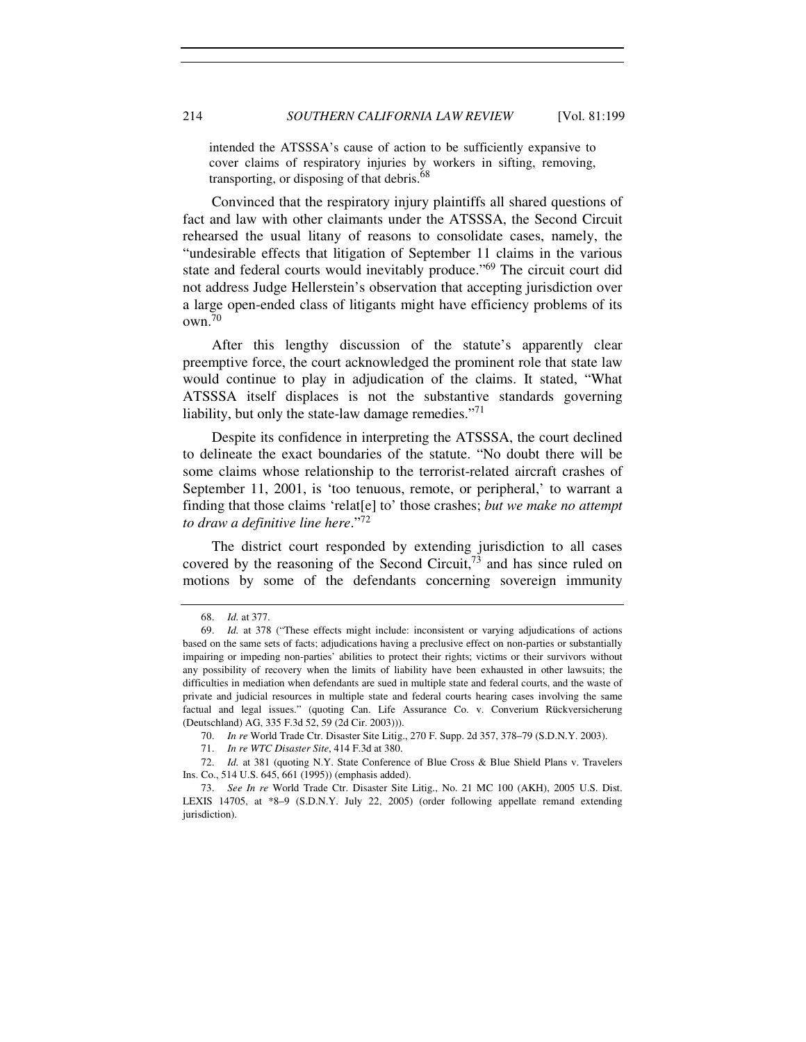intended the ATSSSA's cause of action to be sufficiently expansive to cover claims of respiratory injuries by workers in sifting, removing, transporting, or disposing of that debris.<sup>68</sup>

Convinced that the respiratory injury plaintiffs all shared questions of fact and law with other claimants under the ATSSSA, the Second Circuit rehearsed the usual litany of reasons to consolidate cases, namely, the "undesirable effects that litigation of September 11 claims in the various state and federal courts would inevitably produce."<sup>69</sup> The circuit court did not address Judge Hellerstein's observation that accepting jurisdiction over a large open-ended class of litigants might have efficiency problems of its own.<sup>70</sup>

After this lengthy discussion of the statute's apparently clear preemptive force, the court acknowledged the prominent role that state law would continue to play in adjudication of the claims. It stated, "What ATSSSA itself displaces is not the substantive standards governing liability, but only the state-law damage remedies."<sup>71</sup>

Despite its confidence in interpreting the ATSSSA, the court declined to delineate the exact boundaries of the statute. "No doubt there will be some claims whose relationship to the terrorist-related aircraft crashes of September 11, 2001, is 'too tenuous, remote, or peripheral,' to warrant a finding that those claims 'relat[e] to' those crashes; *but we make no attempt to draw a definitive line here*."<sup>72</sup>

The district court responded by extending jurisdiction to all cases covered by the reasoning of the Second Circuit, $^{73}$  and has since ruled on motions by some of the defendants concerning sovereign immunity

 72. *Id.* at 381 (quoting N.Y. State Conference of Blue Cross & Blue Shield Plans v. Travelers Ins. Co., 514 U.S. 645, 661 (1995)) (emphasis added).

 <sup>68.</sup> *Id.* at 377.

 <sup>69.</sup> *Id.* at 378 ("These effects might include: inconsistent or varying adjudications of actions based on the same sets of facts; adjudications having a preclusive effect on non-parties or substantially impairing or impeding non-parties' abilities to protect their rights; victims or their survivors without any possibility of recovery when the limits of liability have been exhausted in other lawsuits; the difficulties in mediation when defendants are sued in multiple state and federal courts, and the waste of private and judicial resources in multiple state and federal courts hearing cases involving the same factual and legal issues." (quoting Can. Life Assurance Co. v. Converium Rückversicherung (Deutschland) AG, 335 F.3d 52, 59 (2d Cir. 2003))).

<sup>70.</sup> *In re* World Trade Ctr. Disaster Site Litig., 270 F. Supp. 2d 357, 378–79 (S.D.N.Y. 2003).

 <sup>71.</sup> *In re WTC Disaster Site*, 414 F.3d at 380.

 <sup>73.</sup> *See In re* World Trade Ctr. Disaster Site Litig., No. 21 MC 100 (AKH), 2005 U.S. Dist. LEXIS 14705, at \*8–9 (S.D.N.Y. July 22, 2005) (order following appellate remand extending jurisdiction).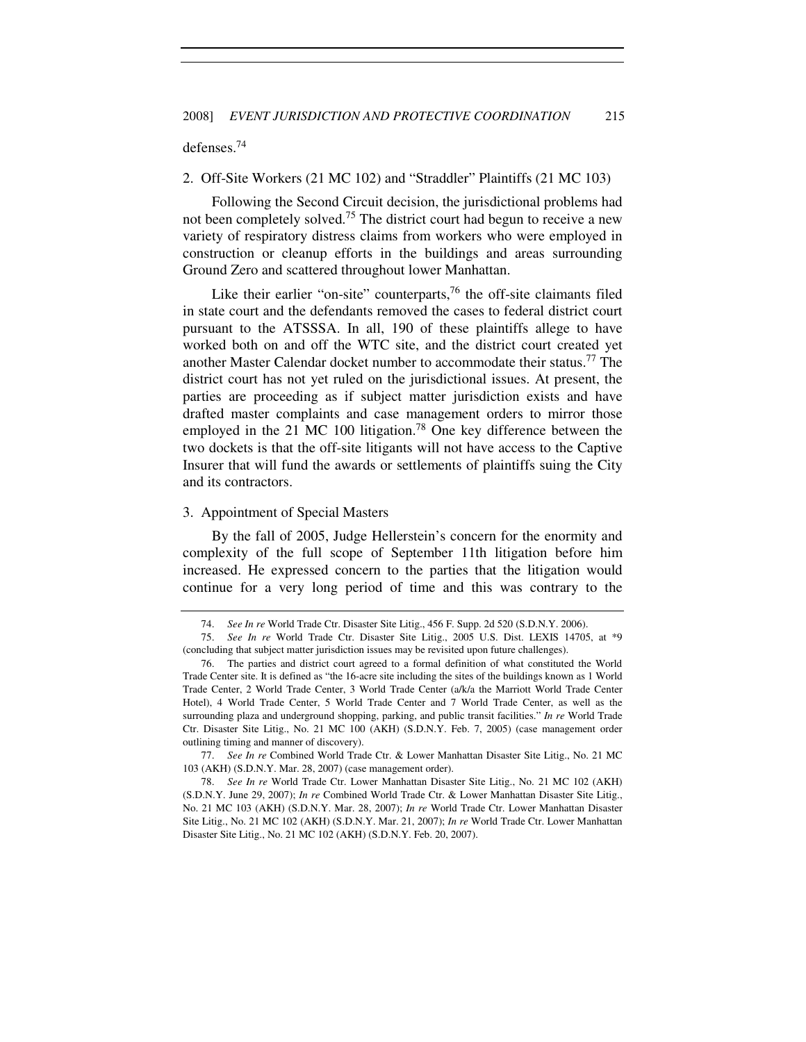#### defenses.<sup>74</sup>

#### 2. Off-Site Workers (21 MC 102) and "Straddler" Plaintiffs (21 MC 103)

Following the Second Circuit decision, the jurisdictional problems had not been completely solved.<sup>75</sup> The district court had begun to receive a new variety of respiratory distress claims from workers who were employed in construction or cleanup efforts in the buildings and areas surrounding Ground Zero and scattered throughout lower Manhattan.

Like their earlier "on-site" counterparts,<sup>76</sup> the off-site claimants filed in state court and the defendants removed the cases to federal district court pursuant to the ATSSSA. In all, 190 of these plaintiffs allege to have worked both on and off the WTC site, and the district court created yet another Master Calendar docket number to accommodate their status.<sup>77</sup> The district court has not yet ruled on the jurisdictional issues. At present, the parties are proceeding as if subject matter jurisdiction exists and have drafted master complaints and case management orders to mirror those employed in the 21 MC 100 litigation.<sup>78</sup> One key difference between the two dockets is that the off-site litigants will not have access to the Captive Insurer that will fund the awards or settlements of plaintiffs suing the City and its contractors.

# 3. Appointment of Special Masters

By the fall of 2005, Judge Hellerstein's concern for the enormity and complexity of the full scope of September 11th litigation before him increased. He expressed concern to the parties that the litigation would continue for a very long period of time and this was contrary to the

77. *See In re* Combined World Trade Ctr. & Lower Manhattan Disaster Site Litig., No. 21 MC 103 (AKH) (S.D.N.Y. Mar. 28, 2007) (case management order).

78. *See In re* World Trade Ctr. Lower Manhattan Disaster Site Litig., No. 21 MC 102 (AKH) (S.D.N.Y. June 29, 2007); *In re* Combined World Trade Ctr. & Lower Manhattan Disaster Site Litig., No. 21 MC 103 (AKH) (S.D.N.Y. Mar. 28, 2007); *In re* World Trade Ctr. Lower Manhattan Disaster Site Litig., No. 21 MC 102 (AKH) (S.D.N.Y. Mar. 21, 2007); *In re* World Trade Ctr. Lower Manhattan Disaster Site Litig., No. 21 MC 102 (AKH) (S.D.N.Y. Feb. 20, 2007).

 <sup>74.</sup> *See In re* World Trade Ctr. Disaster Site Litig., 456 F. Supp. 2d 520 (S.D.N.Y. 2006).

<sup>75.</sup> *See In re* World Trade Ctr. Disaster Site Litig., 2005 U.S. Dist. LEXIS 14705, at \*9 (concluding that subject matter jurisdiction issues may be revisited upon future challenges).

 <sup>76.</sup> The parties and district court agreed to a formal definition of what constituted the World Trade Center site. It is defined as "the 16-acre site including the sites of the buildings known as 1 World Trade Center, 2 World Trade Center, 3 World Trade Center (a/k/a the Marriott World Trade Center Hotel), 4 World Trade Center, 5 World Trade Center and 7 World Trade Center, as well as the surrounding plaza and underground shopping, parking, and public transit facilities." *In re* World Trade Ctr. Disaster Site Litig., No. 21 MC 100 (AKH) (S.D.N.Y. Feb. 7, 2005) (case management order outlining timing and manner of discovery).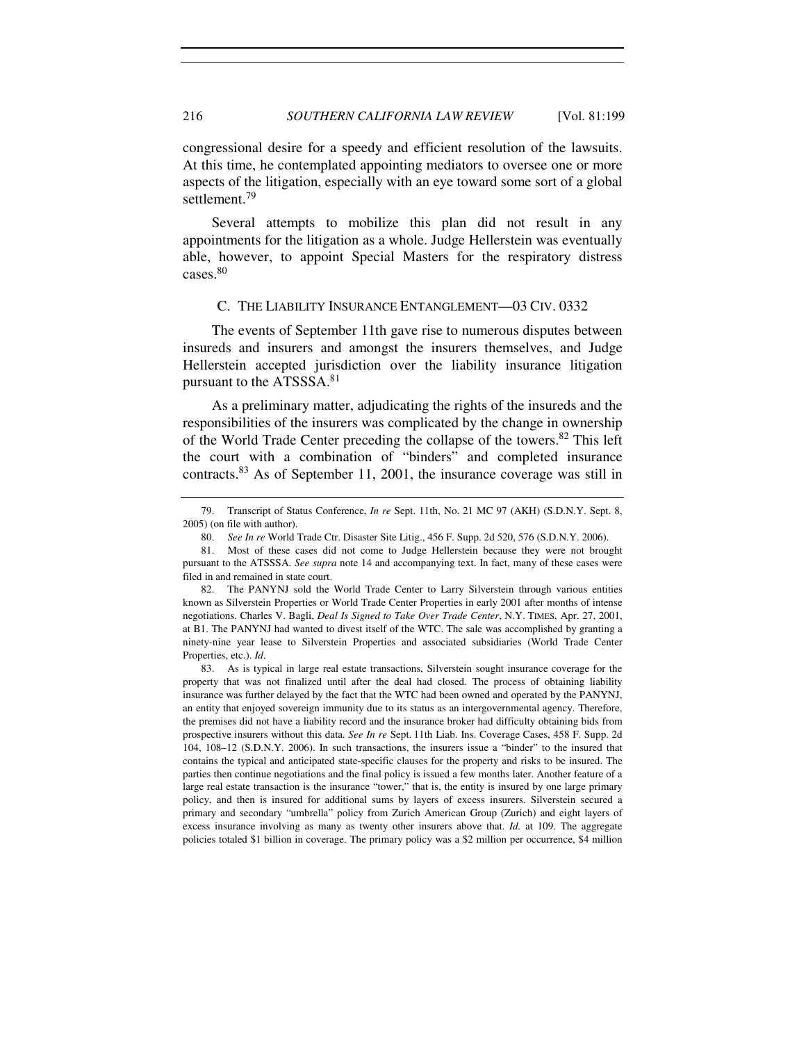congressional desire for a speedy and efficient resolution of the lawsuits. At this time, he contemplated appointing mediators to oversee one or more aspects of the litigation, especially with an eye toward some sort of a global settlement.<sup>79</sup>

Several attempts to mobilize this plan did not result in any appointments for the litigation as a whole. Judge Hellerstein was eventually able, however, to appoint Special Masters for the respiratory distress cases.<sup>80</sup>

#### C. THE LIABILITY INSURANCE ENTANGLEMENT—03 CIV. 0332

The events of September 11th gave rise to numerous disputes between insureds and insurers and amongst the insurers themselves, and Judge Hellerstein accepted jurisdiction over the liability insurance litigation pursuant to the ATSSSA.<sup>81</sup>

As a preliminary matter, adjudicating the rights of the insureds and the responsibilities of the insurers was complicated by the change in ownership of the World Trade Center preceding the collapse of the towers.<sup>82</sup> This left the court with a combination of "binders" and completed insurance contracts.<sup>83</sup> As of September 11, 2001, the insurance coverage was still in

 <sup>79.</sup> Transcript of Status Conference, *In re* Sept. 11th, No. 21 MC 97 (AKH) (S.D.N.Y. Sept. 8, 2005) (on file with author).

 <sup>80.</sup> *See In re* World Trade Ctr. Disaster Site Litig., 456 F. Supp. 2d 520, 576 (S.D.N.Y. 2006).

 <sup>81.</sup> Most of these cases did not come to Judge Hellerstein because they were not brought pursuant to the ATSSSA. *See supra* note 14 and accompanying text. In fact, many of these cases were filed in and remained in state court.

 <sup>82.</sup> The PANYNJ sold the World Trade Center to Larry Silverstein through various entities known as Silverstein Properties or World Trade Center Properties in early 2001 after months of intense negotiations. Charles V. Bagli, *Deal Is Signed to Take Over Trade Center*, N.Y. TIMES, Apr. 27, 2001, at B1. The PANYNJ had wanted to divest itself of the WTC. The sale was accomplished by granting a ninety-nine year lease to Silverstein Properties and associated subsidiaries (World Trade Center Properties, etc.). *Id*.

 <sup>83.</sup> As is typical in large real estate transactions, Silverstein sought insurance coverage for the property that was not finalized until after the deal had closed. The process of obtaining liability insurance was further delayed by the fact that the WTC had been owned and operated by the PANYNJ, an entity that enjoyed sovereign immunity due to its status as an intergovernmental agency. Therefore, the premises did not have a liability record and the insurance broker had difficulty obtaining bids from prospective insurers without this data. *See In re* Sept. 11th Liab. Ins. Coverage Cases, 458 F. Supp. 2d 104, 108–12 (S.D.N.Y. 2006). In such transactions, the insurers issue a "binder" to the insured that contains the typical and anticipated state-specific clauses for the property and risks to be insured. The parties then continue negotiations and the final policy is issued a few months later. Another feature of a large real estate transaction is the insurance "tower," that is, the entity is insured by one large primary policy, and then is insured for additional sums by layers of excess insurers. Silverstein secured a primary and secondary "umbrella" policy from Zurich American Group (Zurich) and eight layers of excess insurance involving as many as twenty other insurers above that. *Id.* at 109. The aggregate policies totaled \$1 billion in coverage. The primary policy was a \$2 million per occurrence, \$4 million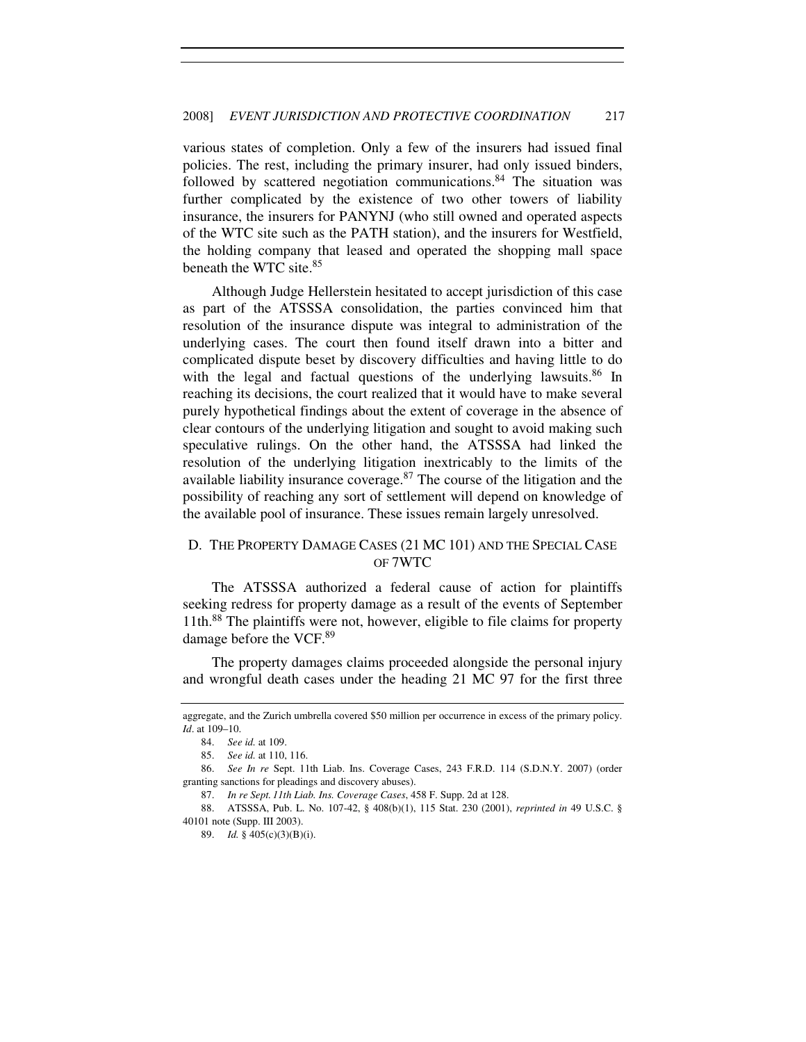various states of completion. Only a few of the insurers had issued final policies. The rest, including the primary insurer, had only issued binders, followed by scattered negotiation communications.<sup>84</sup> The situation was further complicated by the existence of two other towers of liability insurance, the insurers for PANYNJ (who still owned and operated aspects of the WTC site such as the PATH station), and the insurers for Westfield, the holding company that leased and operated the shopping mall space beneath the WTC site.<sup>85</sup>

Although Judge Hellerstein hesitated to accept jurisdiction of this case as part of the ATSSSA consolidation, the parties convinced him that resolution of the insurance dispute was integral to administration of the underlying cases. The court then found itself drawn into a bitter and complicated dispute beset by discovery difficulties and having little to do with the legal and factual questions of the underlying lawsuits.<sup>86</sup> In reaching its decisions, the court realized that it would have to make several purely hypothetical findings about the extent of coverage in the absence of clear contours of the underlying litigation and sought to avoid making such speculative rulings. On the other hand, the ATSSSA had linked the resolution of the underlying litigation inextricably to the limits of the available liability insurance coverage.<sup>87</sup> The course of the litigation and the possibility of reaching any sort of settlement will depend on knowledge of the available pool of insurance. These issues remain largely unresolved.

# D. THE PROPERTY DAMAGE CASES (21 MC 101) AND THE SPECIAL CASE OF 7WTC

The ATSSSA authorized a federal cause of action for plaintiffs seeking redress for property damage as a result of the events of September 11th.<sup>88</sup> The plaintiffs were not, however, eligible to file claims for property damage before the VCF.<sup>89</sup>

The property damages claims proceeded alongside the personal injury and wrongful death cases under the heading 21 MC 97 for the first three

aggregate, and the Zurich umbrella covered \$50 million per occurrence in excess of the primary policy. *Id*. at 109–10.

 <sup>84.</sup> *See id.* at 109.

 <sup>85.</sup> *See id.* at 110, 116.

 <sup>86.</sup> *See In re* Sept. 11th Liab. Ins. Coverage Cases, 243 F.R.D. 114 (S.D.N.Y. 2007) (order granting sanctions for pleadings and discovery abuses).

 <sup>87.</sup> *In re Sept. 11th Liab. Ins. Coverage Cases*, 458 F. Supp. 2d at 128.

 <sup>88.</sup> ATSSSA, Pub. L. No. 107-42, § 408(b)(1), 115 Stat. 230 (2001), *reprinted in* 49 U.S.C. § 40101 note (Supp. III 2003).

 <sup>89.</sup> *Id.* § 405(c)(3)(B)(i).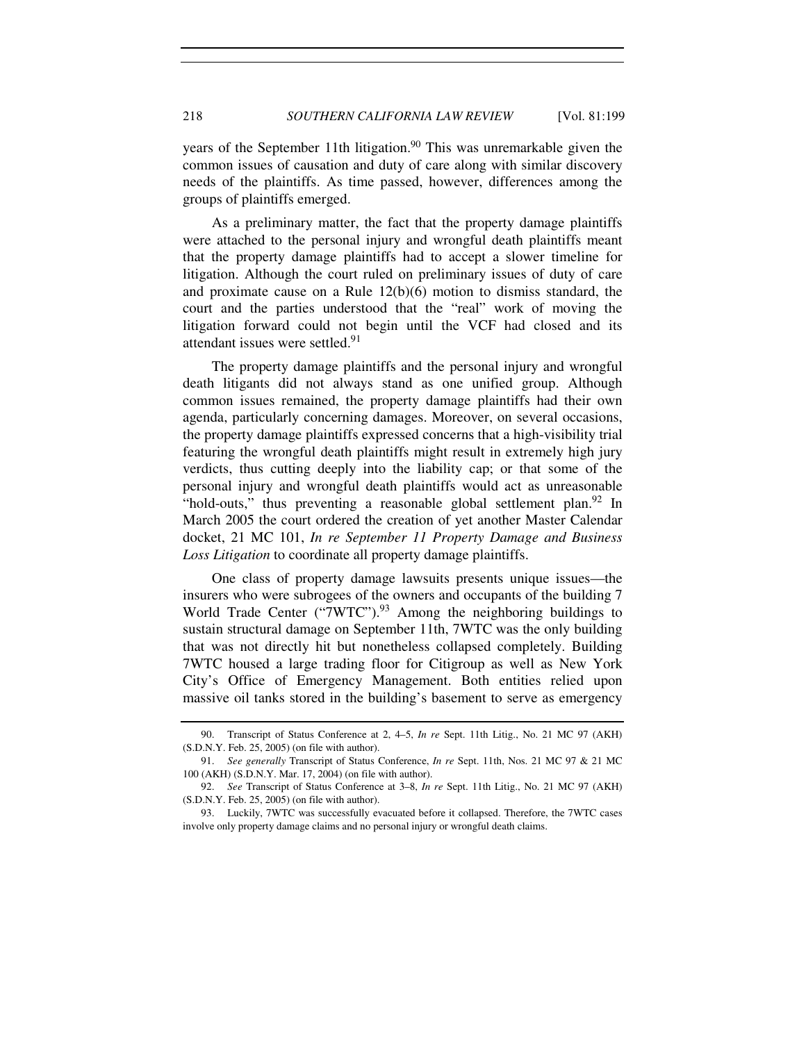years of the September 11th litigation.<sup>90</sup> This was unremarkable given the common issues of causation and duty of care along with similar discovery needs of the plaintiffs. As time passed, however, differences among the groups of plaintiffs emerged.

As a preliminary matter, the fact that the property damage plaintiffs were attached to the personal injury and wrongful death plaintiffs meant that the property damage plaintiffs had to accept a slower timeline for litigation. Although the court ruled on preliminary issues of duty of care and proximate cause on a Rule  $12(b)(6)$  motion to dismiss standard, the court and the parties understood that the "real" work of moving the litigation forward could not begin until the VCF had closed and its attendant issues were settled.<sup>91</sup>

The property damage plaintiffs and the personal injury and wrongful death litigants did not always stand as one unified group. Although common issues remained, the property damage plaintiffs had their own agenda, particularly concerning damages. Moreover, on several occasions, the property damage plaintiffs expressed concerns that a high-visibility trial featuring the wrongful death plaintiffs might result in extremely high jury verdicts, thus cutting deeply into the liability cap; or that some of the personal injury and wrongful death plaintiffs would act as unreasonable "hold-outs," thus preventing a reasonable global settlement plan.<sup>92</sup> In March 2005 the court ordered the creation of yet another Master Calendar docket, 21 MC 101, *In re September 11 Property Damage and Business Loss Litigation* to coordinate all property damage plaintiffs.

One class of property damage lawsuits presents unique issues—the insurers who were subrogees of the owners and occupants of the building 7 World Trade Center ("7WTC").<sup>93</sup> Among the neighboring buildings to sustain structural damage on September 11th, 7WTC was the only building that was not directly hit but nonetheless collapsed completely. Building 7WTC housed a large trading floor for Citigroup as well as New York City's Office of Emergency Management. Both entities relied upon massive oil tanks stored in the building's basement to serve as emergency

 <sup>90.</sup> Transcript of Status Conference at 2, 4–5, *In re* Sept. 11th Litig., No. 21 MC 97 (AKH) (S.D.N.Y. Feb. 25, 2005) (on file with author).

 <sup>91.</sup> *See generally* Transcript of Status Conference, *In re* Sept. 11th, Nos. 21 MC 97 & 21 MC 100 (AKH) (S.D.N.Y. Mar. 17, 2004) (on file with author).

 <sup>92.</sup> *See* Transcript of Status Conference at 3–8, *In re* Sept. 11th Litig., No. 21 MC 97 (AKH) (S.D.N.Y. Feb. 25, 2005) (on file with author).

 <sup>93.</sup> Luckily, 7WTC was successfully evacuated before it collapsed. Therefore, the 7WTC cases involve only property damage claims and no personal injury or wrongful death claims.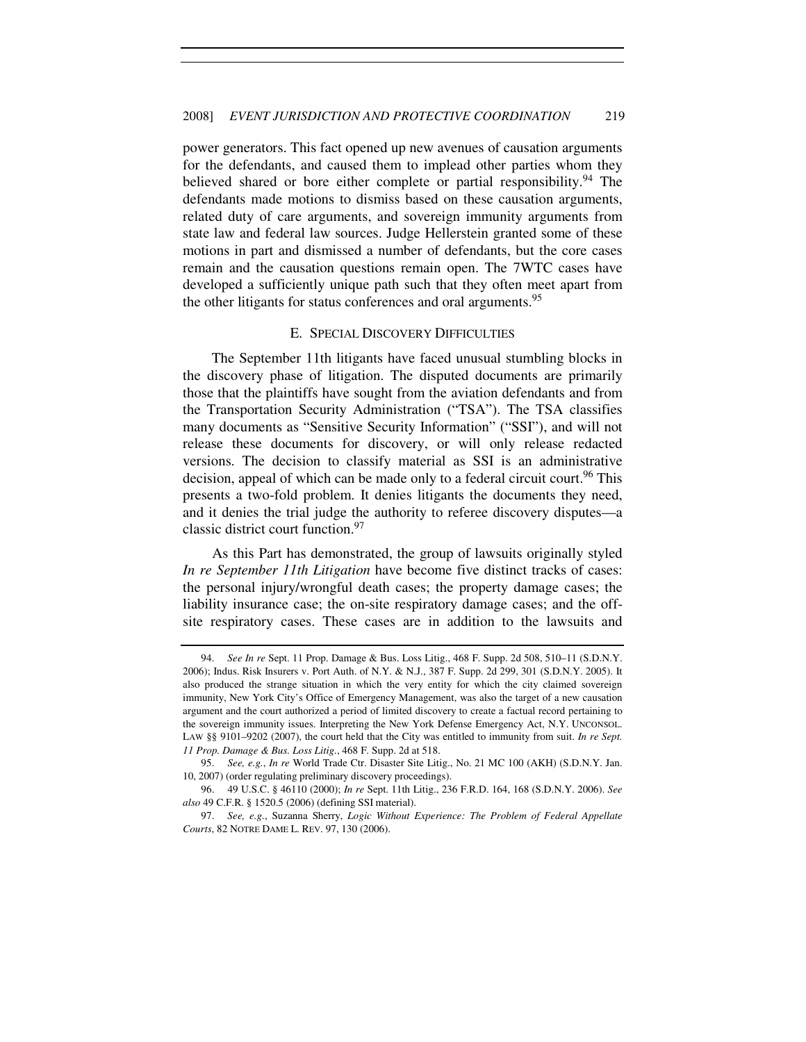power generators. This fact opened up new avenues of causation arguments for the defendants, and caused them to implead other parties whom they believed shared or bore either complete or partial responsibility.<sup>94</sup> The defendants made motions to dismiss based on these causation arguments, related duty of care arguments, and sovereign immunity arguments from state law and federal law sources. Judge Hellerstein granted some of these motions in part and dismissed a number of defendants, but the core cases remain and the causation questions remain open. The 7WTC cases have developed a sufficiently unique path such that they often meet apart from the other litigants for status conferences and oral arguments.<sup>95</sup>

# E. SPECIAL DISCOVERY DIFFICULTIES

The September 11th litigants have faced unusual stumbling blocks in the discovery phase of litigation. The disputed documents are primarily those that the plaintiffs have sought from the aviation defendants and from the Transportation Security Administration ("TSA"). The TSA classifies many documents as "Sensitive Security Information" ("SSI"), and will not release these documents for discovery, or will only release redacted versions. The decision to classify material as SSI is an administrative decision, appeal of which can be made only to a federal circuit court.<sup>96</sup> This presents a two-fold problem. It denies litigants the documents they need, and it denies the trial judge the authority to referee discovery disputes—a classic district court function.<sup>97</sup>

As this Part has demonstrated, the group of lawsuits originally styled *In re September 11th Litigation* have become five distinct tracks of cases: the personal injury/wrongful death cases; the property damage cases; the liability insurance case; the on-site respiratory damage cases; and the offsite respiratory cases. These cases are in addition to the lawsuits and

 <sup>94.</sup> *See In re* Sept. 11 Prop. Damage & Bus. Loss Litig., 468 F. Supp. 2d 508, 510–11 (S.D.N.Y. 2006); Indus. Risk Insurers v. Port Auth. of N.Y. & N.J., 387 F. Supp. 2d 299, 301 (S.D.N.Y. 2005). It also produced the strange situation in which the very entity for which the city claimed sovereign immunity, New York City's Office of Emergency Management, was also the target of a new causation argument and the court authorized a period of limited discovery to create a factual record pertaining to the sovereign immunity issues. Interpreting the New York Defense Emergency Act, N.Y. UNCONSOL. LAW §§ 9101–9202 (2007), the court held that the City was entitled to immunity from suit. *In re Sept. 11 Prop. Damage & Bus. Loss Litig.*, 468 F. Supp. 2d at 518.

<sup>95.</sup> *See, e.g.*, *In re* World Trade Ctr. Disaster Site Litig., No. 21 MC 100 (AKH) (S.D.N.Y. Jan. 10, 2007) (order regulating preliminary discovery proceedings).

 <sup>96. 49</sup> U.S.C. § 46110 (2000); *In re* Sept. 11th Litig., 236 F.R.D. 164, 168 (S.D.N.Y. 2006). *See also* 49 C.F.R. § 1520.5 (2006) (defining SSI material).

<sup>97.</sup> *See, e.g.*, Suzanna Sherry, *Logic Without Experience: The Problem of Federal Appellate Courts*, 82 NOTRE DAME L. REV. 97, 130 (2006).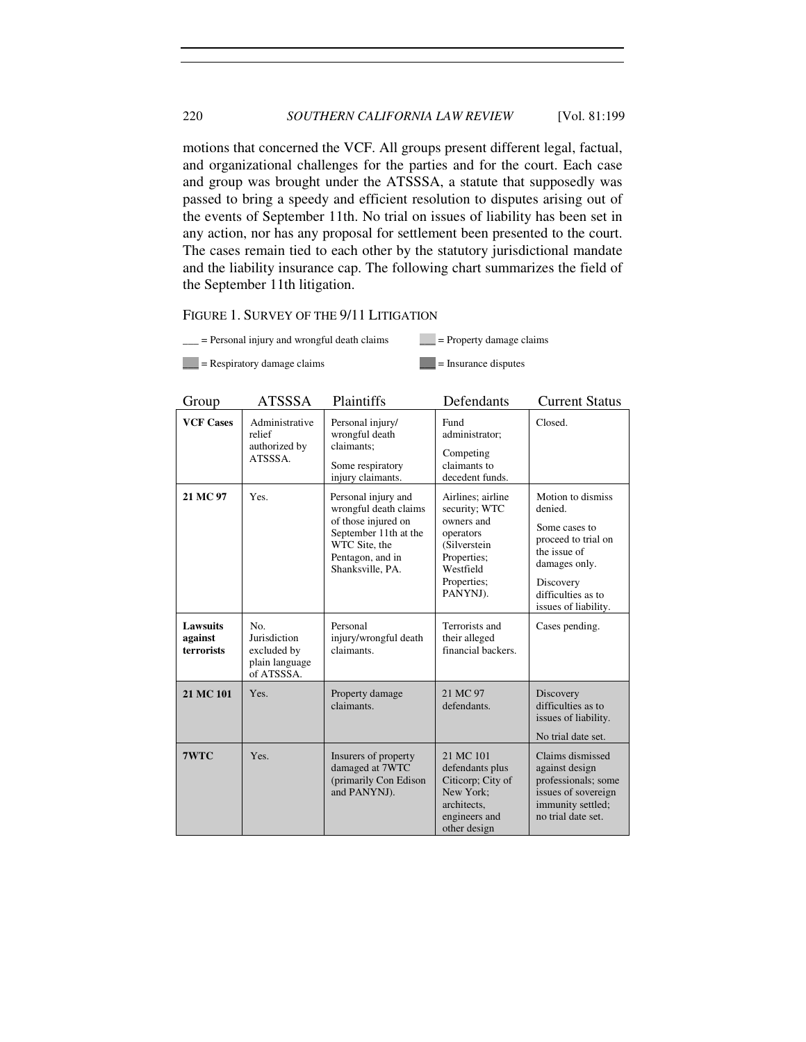motions that concerned the VCF. All groups present different legal, factual, and organizational challenges for the parties and for the court. Each case and group was brought under the ATSSSA, a statute that supposedly was passed to bring a speedy and efficient resolution to disputes arising out of the events of September 11th. No trial on issues of liability has been set in any action, nor has any proposal for settlement been presented to the court. The cases remain tied to each other by the statutory jurisdictional mandate and the liability insurance cap. The following chart summarizes the field of the September 11th litigation.

# FIGURE 1. SURVEY OF THE 9/11 LITIGATION

 $\angle$  = Personal injury and wrongful death claims  $\angle$  = Property damage claims

 $\Box$  = Respiratory damage claims  $\Box$  = Insurance disputes

| Group                                    | <b>ATSSSA</b>                                                      | Plaintiffs                                                                                                                                            | Defendants                                                                                                                           | <b>Current Status</b>                                                                                                                                            |
|------------------------------------------|--------------------------------------------------------------------|-------------------------------------------------------------------------------------------------------------------------------------------------------|--------------------------------------------------------------------------------------------------------------------------------------|------------------------------------------------------------------------------------------------------------------------------------------------------------------|
| <b>VCF Cases</b>                         | Administrative<br>relief<br>authorized by<br>ATSSSA.               | Personal injury/<br>wrongful death<br>claimants;<br>Some respiratory<br>injury claimants.                                                             | Fund<br>administrator;<br>Competing<br>claimants to<br>decedent funds.                                                               | Closed.                                                                                                                                                          |
| 21 MC 97                                 | Yes.                                                               | Personal injury and<br>wrongful death claims<br>of those injured on<br>September 11th at the<br>WTC Site, the<br>Pentagon, and in<br>Shanksville, PA. | Airlines; airline<br>security; WTC<br>owners and<br>operators<br>(Silverstein<br>Properties;<br>Westfield<br>Properties;<br>PANYNJ). | Motion to dismiss<br>denied.<br>Some cases to<br>proceed to trial on<br>the issue of<br>damages only.<br>Discovery<br>difficulties as to<br>issues of liability. |
| <b>Lawsuits</b><br>against<br>terrorists | No.<br>Jurisdiction<br>excluded by<br>plain language<br>of ATSSSA. | Personal<br>injury/wrongful death<br>claimants.                                                                                                       | Terrorists and<br>their alleged<br>financial backers.                                                                                | Cases pending.                                                                                                                                                   |
| 21 MC 101                                | Yes.                                                               | Property damage<br>claimants.                                                                                                                         | 21 MC 97<br>defendants.                                                                                                              | Discovery<br>difficulties as to<br>issues of liability.<br>No trial date set.                                                                                    |
| 7WTC                                     | Yes.                                                               | Insurers of property<br>damaged at 7WTC<br>(primarily Con Edison<br>and PANYNJ).                                                                      | 21 MC 101<br>defendants plus<br>Citicorp; City of<br>New York:<br>architects,<br>engineers and<br>other design                       | Claims dismissed<br>against design<br>professionals; some<br>issues of sovereign<br>immunity settled;<br>no trial date set.                                      |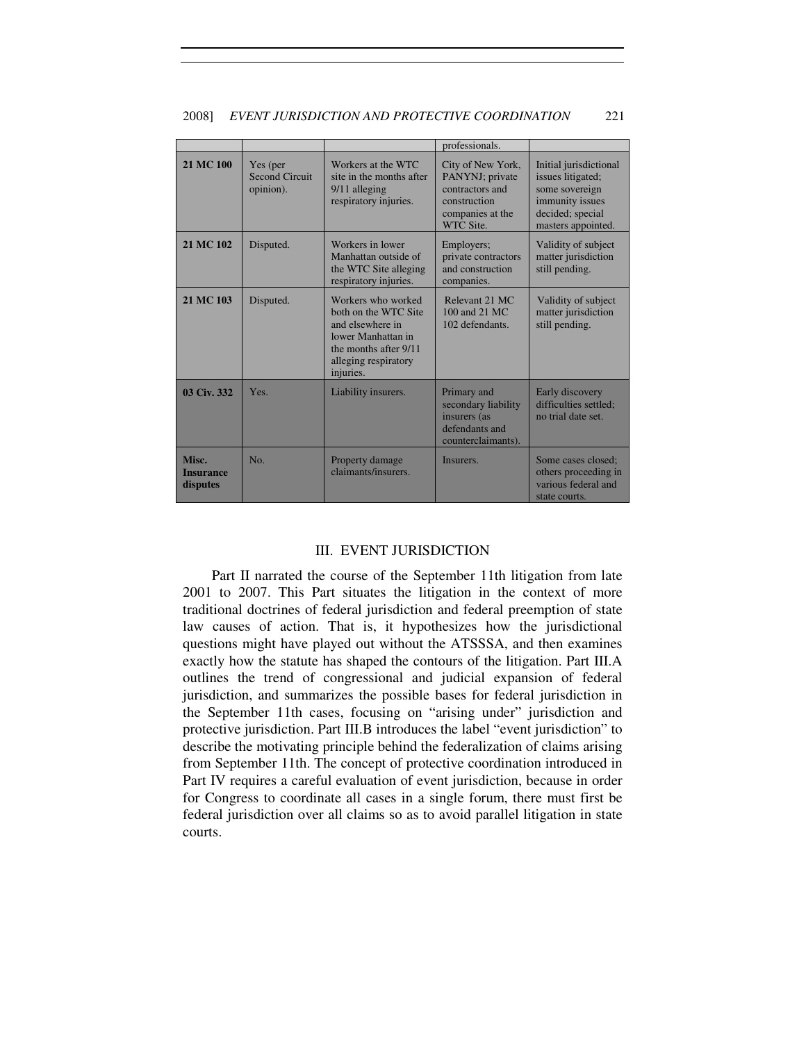|                                |                                                |                                                                                                                                                    | professionals.                                                                                           |                                                                                                                            |
|--------------------------------|------------------------------------------------|----------------------------------------------------------------------------------------------------------------------------------------------------|----------------------------------------------------------------------------------------------------------|----------------------------------------------------------------------------------------------------------------------------|
| 21 MC 100                      | Yes (per<br><b>Second Circuit</b><br>opinion). | Workers at the WTC<br>site in the months after<br>9/11 alleging<br>respiratory injuries.                                                           | City of New York,<br>PANYNJ; private<br>contractors and<br>construction<br>companies at the<br>WTC Site. | Initial jurisdictional<br>issues litigated:<br>some sovereign<br>immunity issues<br>decided; special<br>masters appointed. |
| 21 MC 102                      | Disputed.                                      | Workers in lower<br>Manhattan outside of<br>the WTC Site alleging<br>respiratory injuries.                                                         | Employers;<br>private contractors<br>and construction<br>companies.                                      | Validity of subject<br>matter jurisdiction<br>still pending.                                                               |
| 21 MC 103                      | Disputed.                                      | Workers who worked<br>both on the WTC Site<br>and elsewhere in<br>lower Manhattan in<br>the months after 9/11<br>alleging respiratory<br>injuries. | Relevant 21 MC<br>100 and 21 MC<br>102 defendants.                                                       | Validity of subject<br>matter jurisdiction<br>still pending.                                                               |
| 03 Civ. 332                    | Yes.                                           | Liability insurers.                                                                                                                                | Primary and<br>secondary liability<br>insurers (as<br>defendants and<br>counterclaimants).               | Early discovery<br>difficulties settled:<br>no trial date set.                                                             |
| Misc.<br>Insurance<br>disputes | No.                                            | Property damage<br>claimants/insurers.                                                                                                             | Insurers.                                                                                                | Some cases closed:<br>others proceeding in<br>various federal and<br>state courts.                                         |

#### 2008] *EVENT JURISDICTION AND PROTECTIVE COORDINATION* 221

# III. EVENT JURISDICTION

Part II narrated the course of the September 11th litigation from late 2001 to 2007. This Part situates the litigation in the context of more traditional doctrines of federal jurisdiction and federal preemption of state law causes of action. That is, it hypothesizes how the jurisdictional questions might have played out without the ATSSSA, and then examines exactly how the statute has shaped the contours of the litigation. Part III.A outlines the trend of congressional and judicial expansion of federal jurisdiction, and summarizes the possible bases for federal jurisdiction in the September 11th cases, focusing on "arising under" jurisdiction and protective jurisdiction. Part III.B introduces the label "event jurisdiction" to describe the motivating principle behind the federalization of claims arising from September 11th. The concept of protective coordination introduced in Part IV requires a careful evaluation of event jurisdiction, because in order for Congress to coordinate all cases in a single forum, there must first be federal jurisdiction over all claims so as to avoid parallel litigation in state courts.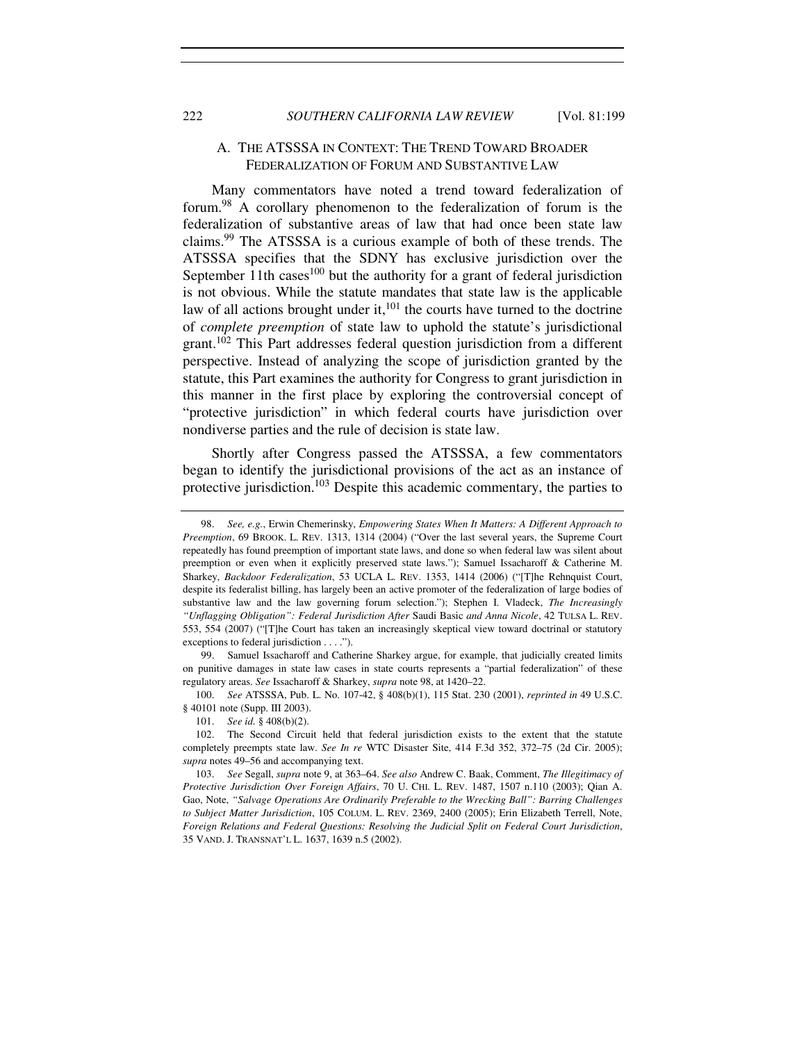# A. THE ATSSSA IN CONTEXT: THE TREND TOWARD BROADER FEDERALIZATION OF FORUM AND SUBSTANTIVE LAW

Many commentators have noted a trend toward federalization of forum.<sup>98</sup> A corollary phenomenon to the federalization of forum is the federalization of substantive areas of law that had once been state law claims.<sup>99</sup> The ATSSSA is a curious example of both of these trends. The ATSSSA specifies that the SDNY has exclusive jurisdiction over the September 11th cases<sup>100</sup> but the authority for a grant of federal jurisdiction is not obvious. While the statute mandates that state law is the applicable law of all actions brought under it, $101$  the courts have turned to the doctrine of *complete preemption* of state law to uphold the statute's jurisdictional grant.<sup>102</sup> This Part addresses federal question jurisdiction from a different perspective. Instead of analyzing the scope of jurisdiction granted by the statute, this Part examines the authority for Congress to grant jurisdiction in this manner in the first place by exploring the controversial concept of "protective jurisdiction" in which federal courts have jurisdiction over nondiverse parties and the rule of decision is state law.

Shortly after Congress passed the ATSSSA, a few commentators began to identify the jurisdictional provisions of the act as an instance of protective jurisdiction.<sup>103</sup> Despite this academic commentary, the parties to

100. *See* ATSSSA, Pub. L. No. 107-42, § 408(b)(1), 115 Stat. 230 (2001), *reprinted in* 49 U.S.C. § 40101 note (Supp. III 2003).

<sup>98.</sup> *See, e.g.*, Erwin Chemerinsky, *Empowering States When It Matters: A Different Approach to Preemption*, 69 BROOK. L. REV. 1313, 1314 (2004) ("Over the last several years, the Supreme Court repeatedly has found preemption of important state laws, and done so when federal law was silent about preemption or even when it explicitly preserved state laws."); Samuel Issacharoff & Catherine M. Sharkey, *Backdoor Federalization*, 53 UCLA L. REV. 1353, 1414 (2006) ("[T]he Rehnquist Court, despite its federalist billing, has largely been an active promoter of the federalization of large bodies of substantive law and the law governing forum selection."); Stephen I. Vladeck, *The Increasingly "Unflagging Obligation": Federal Jurisdiction After* Saudi Basic *and Anna Nicole*, 42 TULSA L. REV. 553, 554 (2007) ("[T]he Court has taken an increasingly skeptical view toward doctrinal or statutory exceptions to federal jurisdiction . . . .").

 <sup>99.</sup> Samuel Issacharoff and Catherine Sharkey argue, for example, that judicially created limits on punitive damages in state law cases in state courts represents a "partial federalization" of these regulatory areas. *See* Issacharoff & Sharkey, *supra* note 98, at 1420–22.

<sup>101.</sup> *See id.* § 408(b)(2).

 <sup>102.</sup> The Second Circuit held that federal jurisdiction exists to the extent that the statute completely preempts state law. *See In re* WTC Disaster Site, 414 F.3d 352, 372–75 (2d Cir. 2005); *supra* notes 49–56 and accompanying text.

 <sup>103.</sup> *See* Segall, *supra* note 9, at 363–64. *See also* Andrew C. Baak, Comment, *The Illegitimacy of Protective Jurisdiction Over Foreign Affairs*, 70 U. CHI. L. REV. 1487, 1507 n.110 (2003); Qian A. Gao, Note, *"Salvage Operations Are Ordinarily Preferable to the Wrecking Ball": Barring Challenges to Subject Matter Jurisdiction*, 105 COLUM. L. REV. 2369, 2400 (2005); Erin Elizabeth Terrell, Note, *Foreign Relations and Federal Questions: Resolving the Judicial Split on Federal Court Jurisdiction*, 35 VAND. J. TRANSNAT'L L. 1637, 1639 n.5 (2002).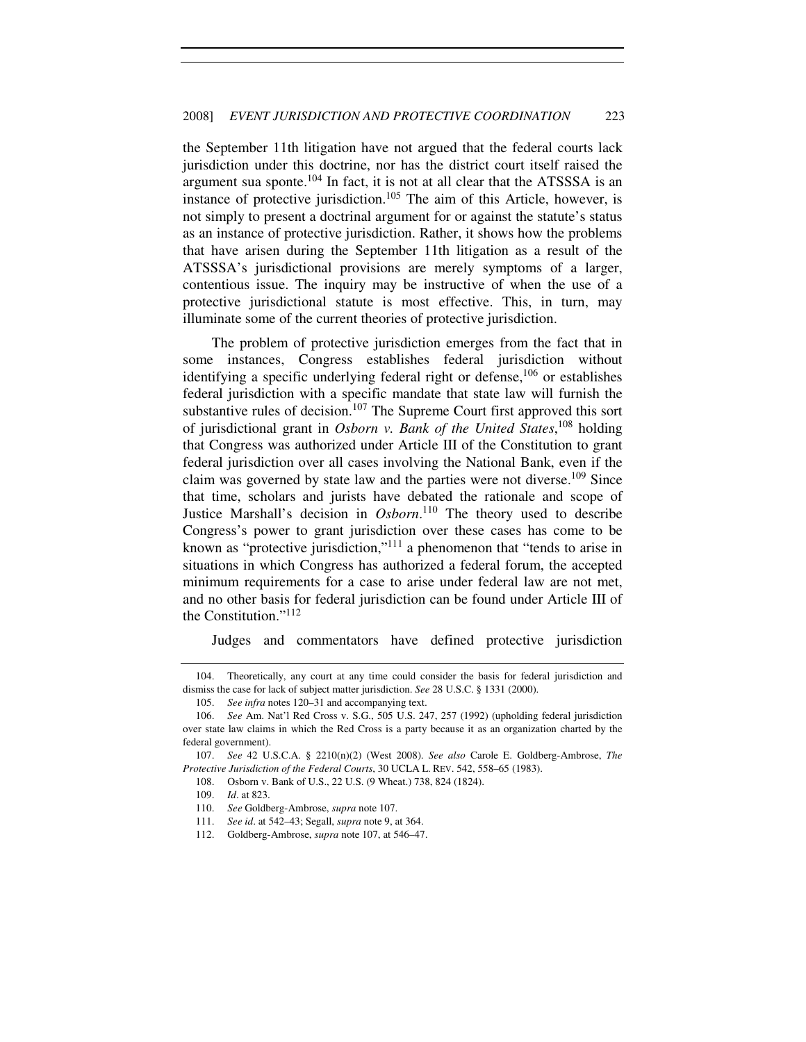the September 11th litigation have not argued that the federal courts lack jurisdiction under this doctrine, nor has the district court itself raised the argument sua sponte. $104$  In fact, it is not at all clear that the ATSSSA is an instance of protective jurisdiction.<sup>105</sup> The aim of this Article, however, is not simply to present a doctrinal argument for or against the statute's status as an instance of protective jurisdiction. Rather, it shows how the problems that have arisen during the September 11th litigation as a result of the ATSSSA's jurisdictional provisions are merely symptoms of a larger, contentious issue. The inquiry may be instructive of when the use of a protective jurisdictional statute is most effective. This, in turn, may illuminate some of the current theories of protective jurisdiction.

The problem of protective jurisdiction emerges from the fact that in some instances, Congress establishes federal jurisdiction without identifying a specific underlying federal right or defense,<sup>106</sup> or establishes federal jurisdiction with a specific mandate that state law will furnish the substantive rules of decision.<sup>107</sup> The Supreme Court first approved this sort of jurisdictional grant in *Osborn v. Bank of the United States*, <sup>108</sup> holding that Congress was authorized under Article III of the Constitution to grant federal jurisdiction over all cases involving the National Bank, even if the claim was governed by state law and the parties were not diverse.<sup>109</sup> Since that time, scholars and jurists have debated the rationale and scope of Justice Marshall's decision in *Osborn*. <sup>110</sup> The theory used to describe Congress's power to grant jurisdiction over these cases has come to be known as "protective jurisdiction,"<sup>111</sup> a phenomenon that "tends to arise in situations in which Congress has authorized a federal forum, the accepted minimum requirements for a case to arise under federal law are not met, and no other basis for federal jurisdiction can be found under Article III of the Constitution."<sup>112</sup>

Judges and commentators have defined protective jurisdiction

 <sup>104.</sup> Theoretically, any court at any time could consider the basis for federal jurisdiction and dismiss the case for lack of subject matter jurisdiction. *See* 28 U.S.C. § 1331 (2000).

 <sup>105.</sup> *See infra* notes 120–31 and accompanying text.

 <sup>106.</sup> *See* Am. Nat'l Red Cross v. S.G., 505 U.S. 247, 257 (1992) (upholding federal jurisdiction over state law claims in which the Red Cross is a party because it as an organization charted by the federal government).

 <sup>107.</sup> *See* 42 U.S.C.A. § 2210(n)(2) (West 2008). *See also* Carole E. Goldberg-Ambrose, *The Protective Jurisdiction of the Federal Courts*, 30 UCLA L. REV. 542, 558–65 (1983).

 <sup>108.</sup> Osborn v. Bank of U.S., 22 U.S. (9 Wheat.) 738, 824 (1824).

<sup>109.</sup> *Id*. at 823.

 <sup>110.</sup> *See* Goldberg-Ambrose, *supra* note 107.

 <sup>111.</sup> *See id*. at 542–43; Segall, *supra* note 9, at 364.

 <sup>112.</sup> Goldberg-Ambrose, *supra* note 107, at 546–47.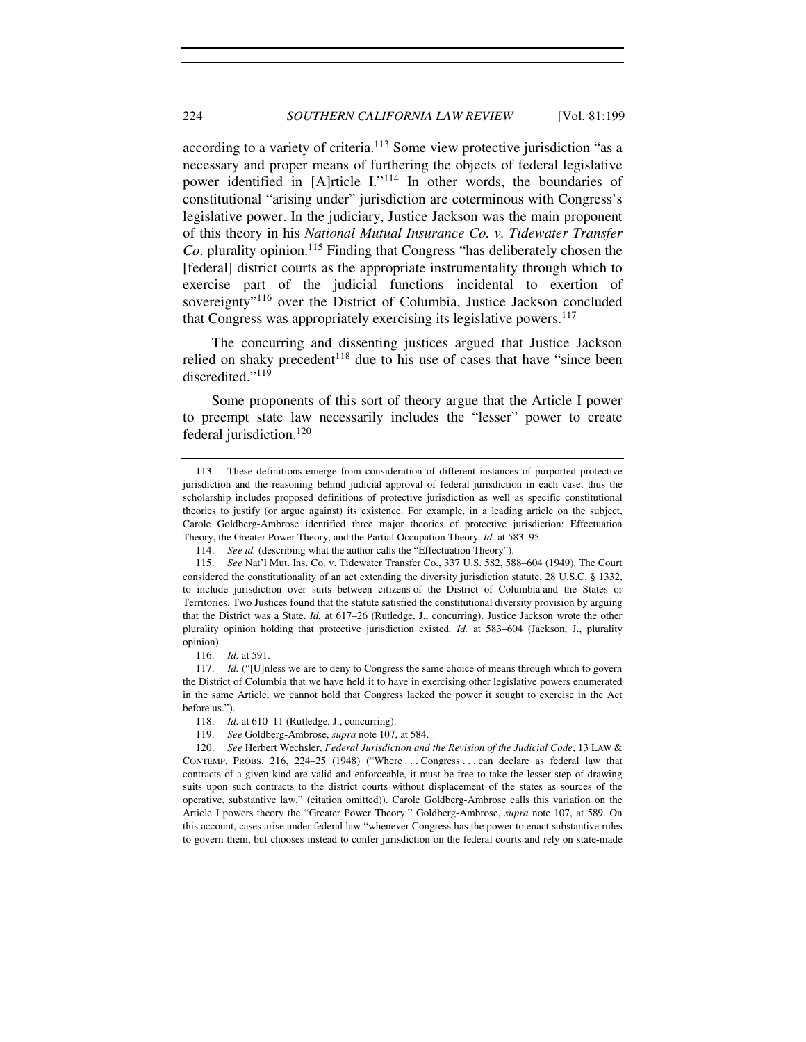according to a variety of criteria.<sup>113</sup> Some view protective jurisdiction "as a necessary and proper means of furthering the objects of federal legislative power identified in [A]rticle I."<sup>114</sup> In other words, the boundaries of constitutional "arising under" jurisdiction are coterminous with Congress's legislative power. In the judiciary, Justice Jackson was the main proponent of this theory in his *National Mutual Insurance Co. v. Tidewater Transfer Co*. plurality opinion.<sup>115</sup> Finding that Congress "has deliberately chosen the [federal] district courts as the appropriate instrumentality through which to exercise part of the judicial functions incidental to exertion of sovereignty"<sup>116</sup> over the District of Columbia, Justice Jackson concluded that Congress was appropriately exercising its legislative powers.<sup>117</sup>

The concurring and dissenting justices argued that Justice Jackson relied on shaky precedent<sup>118</sup> due to his use of cases that have "since been discredited."<sup>119</sup>

Some proponents of this sort of theory argue that the Article I power to preempt state law necessarily includes the "lesser" power to create federal jurisdiction.<sup>120</sup>

 <sup>113.</sup> These definitions emerge from consideration of different instances of purported protective jurisdiction and the reasoning behind judicial approval of federal jurisdiction in each case; thus the scholarship includes proposed definitions of protective jurisdiction as well as specific constitutional theories to justify (or argue against) its existence. For example, in a leading article on the subject, Carole Goldberg-Ambrose identified three major theories of protective jurisdiction: Effectuation Theory, the Greater Power Theory, and the Partial Occupation Theory. *Id.* at 583–95.

<sup>114.</sup> *See id.* (describing what the author calls the "Effectuation Theory").

 <sup>115.</sup> *See* Nat'l Mut. Ins. Co. v. Tidewater Transfer Co., 337 U.S. 582, 588–604 (1949). The Court considered the constitutionality of an act extending the diversity jurisdiction statute, 28 U.S.C. § 1332, to include jurisdiction over suits between citizens of the District of Columbia and the States or Territories. Two Justices found that the statute satisfied the constitutional diversity provision by arguing that the District was a State. *Id.* at 617–26 (Rutledge, J., concurring). Justice Jackson wrote the other plurality opinion holding that protective jurisdiction existed*. Id.* at 583–604 (Jackson, J., plurality opinion).

<sup>116.</sup> *Id.* at 591.

<sup>117.</sup> *Id.* ("[U]nless we are to deny to Congress the same choice of means through which to govern the District of Columbia that we have held it to have in exercising other legislative powers enumerated in the same Article, we cannot hold that Congress lacked the power it sought to exercise in the Act before us.").

<sup>118.</sup> *Id.* at 610–11 (Rutledge, J., concurring).

<sup>119.</sup> *See* Goldberg-Ambrose, *supra* note 107, at 584.

 <sup>120.</sup> *See* Herbert Wechsler, *Federal Jurisdiction and the Revision of the Judicial Code*, 13 LAW & CONTEMP. PROBS. 216, 224–25 (1948) ("Where . . . Congress . . . can declare as federal law that contracts of a given kind are valid and enforceable, it must be free to take the lesser step of drawing suits upon such contracts to the district courts without displacement of the states as sources of the operative, substantive law." (citation omitted)). Carole Goldberg-Ambrose calls this variation on the Article I powers theory the "Greater Power Theory." Goldberg-Ambrose, *supra* note 107, at 589. On this account, cases arise under federal law "whenever Congress has the power to enact substantive rules to govern them, but chooses instead to confer jurisdiction on the federal courts and rely on state-made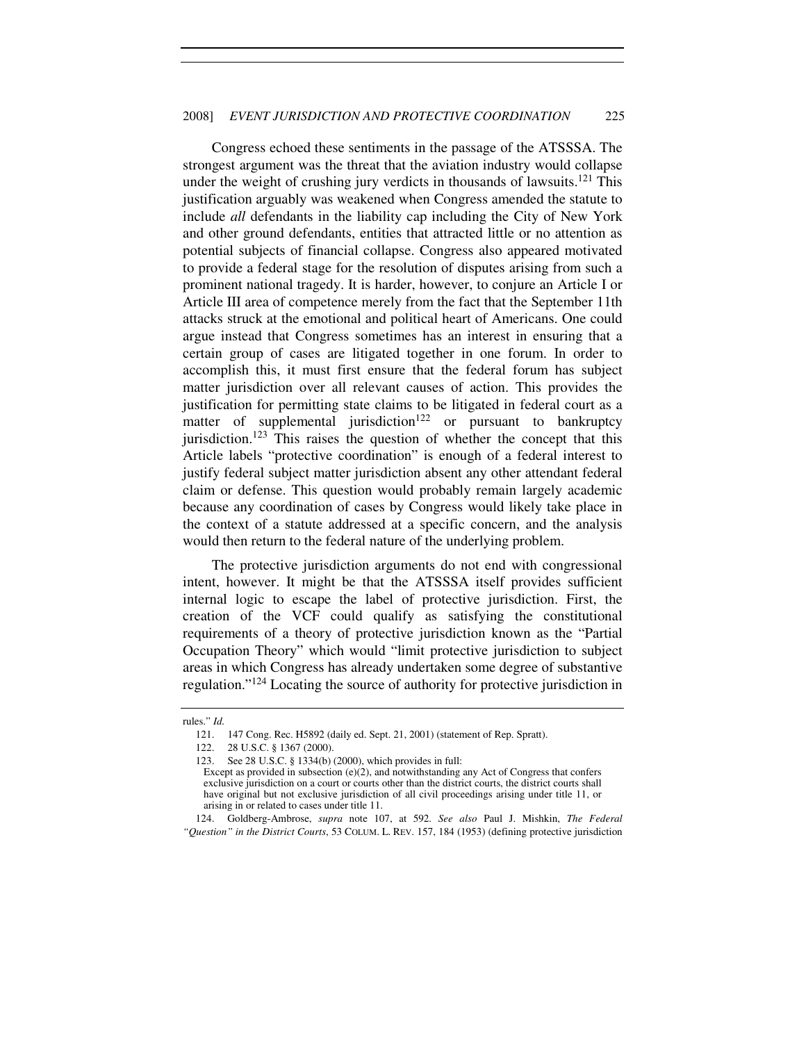Congress echoed these sentiments in the passage of the ATSSSA. The strongest argument was the threat that the aviation industry would collapse under the weight of crushing jury verdicts in thousands of lawsuits.<sup>121</sup> This justification arguably was weakened when Congress amended the statute to include *all* defendants in the liability cap including the City of New York and other ground defendants, entities that attracted little or no attention as potential subjects of financial collapse. Congress also appeared motivated to provide a federal stage for the resolution of disputes arising from such a prominent national tragedy. It is harder, however, to conjure an Article I or Article III area of competence merely from the fact that the September 11th attacks struck at the emotional and political heart of Americans. One could argue instead that Congress sometimes has an interest in ensuring that a certain group of cases are litigated together in one forum. In order to accomplish this, it must first ensure that the federal forum has subject matter jurisdiction over all relevant causes of action. This provides the justification for permitting state claims to be litigated in federal court as a matter of supplemental jurisdiction<sup>122</sup> or pursuant to bankruptcy jurisdiction.<sup>123</sup> This raises the question of whether the concept that this Article labels "protective coordination" is enough of a federal interest to justify federal subject matter jurisdiction absent any other attendant federal claim or defense. This question would probably remain largely academic because any coordination of cases by Congress would likely take place in the context of a statute addressed at a specific concern, and the analysis would then return to the federal nature of the underlying problem.

The protective jurisdiction arguments do not end with congressional intent, however. It might be that the ATSSSA itself provides sufficient internal logic to escape the label of protective jurisdiction. First, the creation of the VCF could qualify as satisfying the constitutional requirements of a theory of protective jurisdiction known as the "Partial Occupation Theory" which would "limit protective jurisdiction to subject areas in which Congress has already undertaken some degree of substantive regulation."<sup>124</sup> Locating the source of authority for protective jurisdiction in

 124. Goldberg-Ambrose, *supra* note 107, at 592. *See also* Paul J. Mishkin, *The Federal "Question" in the District Courts*, 53 COLUM. L. REV. 157, 184 (1953) (defining protective jurisdiction

rules." *Id.* 

 <sup>121. 147</sup> Cong. Rec. H5892 (daily ed. Sept. 21, 2001) (statement of Rep. Spratt).

 <sup>122. 28</sup> U.S.C. § 1367 (2000).

 <sup>123.</sup> See 28 U.S.C. § 1334(b) (2000), which provides in full:

Except as provided in subsection  $(e)(2)$ , and notwithstanding any Act of Congress that confers exclusive jurisdiction on a court or courts other than the district courts, the district courts shall have original but not exclusive jurisdiction of all civil proceedings arising under title 11, or arising in or related to cases under title 11.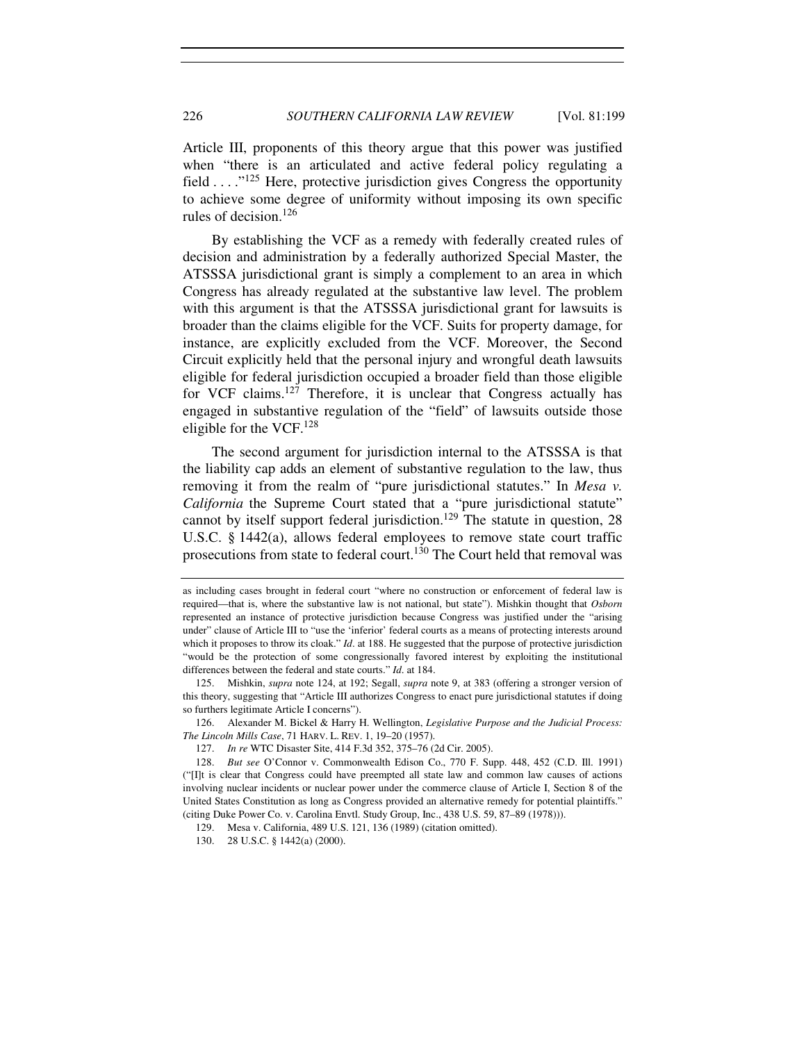Article III, proponents of this theory argue that this power was justified when "there is an articulated and active federal policy regulating a field  $\dots$  <sup>125</sup> Here, protective jurisdiction gives Congress the opportunity to achieve some degree of uniformity without imposing its own specific rules of decision.<sup>126</sup>

By establishing the VCF as a remedy with federally created rules of decision and administration by a federally authorized Special Master, the ATSSSA jurisdictional grant is simply a complement to an area in which Congress has already regulated at the substantive law level. The problem with this argument is that the ATSSSA jurisdictional grant for lawsuits is broader than the claims eligible for the VCF. Suits for property damage, for instance, are explicitly excluded from the VCF. Moreover, the Second Circuit explicitly held that the personal injury and wrongful death lawsuits eligible for federal jurisdiction occupied a broader field than those eligible for VCF claims.<sup>127</sup> Therefore, it is unclear that Congress actually has engaged in substantive regulation of the "field" of lawsuits outside those eligible for the VCF.<sup>128</sup>

The second argument for jurisdiction internal to the ATSSSA is that the liability cap adds an element of substantive regulation to the law, thus removing it from the realm of "pure jurisdictional statutes." In *Mesa v. California* the Supreme Court stated that a "pure jurisdictional statute" cannot by itself support federal jurisdiction.<sup>129</sup> The statute in question, 28 U.S.C. § 1442(a), allows federal employees to remove state court traffic prosecutions from state to federal court.<sup>130</sup> The Court held that removal was

 126. Alexander M. Bickel & Harry H. Wellington, *Legislative Purpose and the Judicial Process: The Lincoln Mills Case*, 71 HARV. L. REV. 1, 19–20 (1957).

129. Mesa v. California, 489 U.S. 121, 136 (1989) (citation omitted).

as including cases brought in federal court "where no construction or enforcement of federal law is required—that is, where the substantive law is not national, but state"). Mishkin thought that *Osborn* represented an instance of protective jurisdiction because Congress was justified under the "arising under" clause of Article III to "use the 'inferior' federal courts as a means of protecting interests around which it proposes to throw its cloak." *Id.* at 188. He suggested that the purpose of protective jurisdiction "would be the protection of some congressionally favored interest by exploiting the institutional differences between the federal and state courts." *Id*. at 184.

<sup>125.</sup> Mishkin, *supra* note 124, at 192; Segall, *supra* note 9, at 383 (offering a stronger version of this theory, suggesting that "Article III authorizes Congress to enact pure jurisdictional statutes if doing so furthers legitimate Article I concerns").

 <sup>127.</sup> *In re* WTC Disaster Site, 414 F.3d 352, 375–76 (2d Cir. 2005).

<sup>128.</sup> *But see* O'Connor v. Commonwealth Edison Co., 770 F. Supp. 448, 452 (C.D. Ill. 1991) ("[I]t is clear that Congress could have preempted all state law and common law causes of actions involving nuclear incidents or nuclear power under the commerce clause of Article I, Section 8 of the United States Constitution as long as Congress provided an alternative remedy for potential plaintiffs." (citing Duke Power Co. v. Carolina Envtl. Study Group, Inc., 438 U.S. 59, 87–89 (1978))).

 <sup>130. 28</sup> U.S.C. § 1442(a) (2000).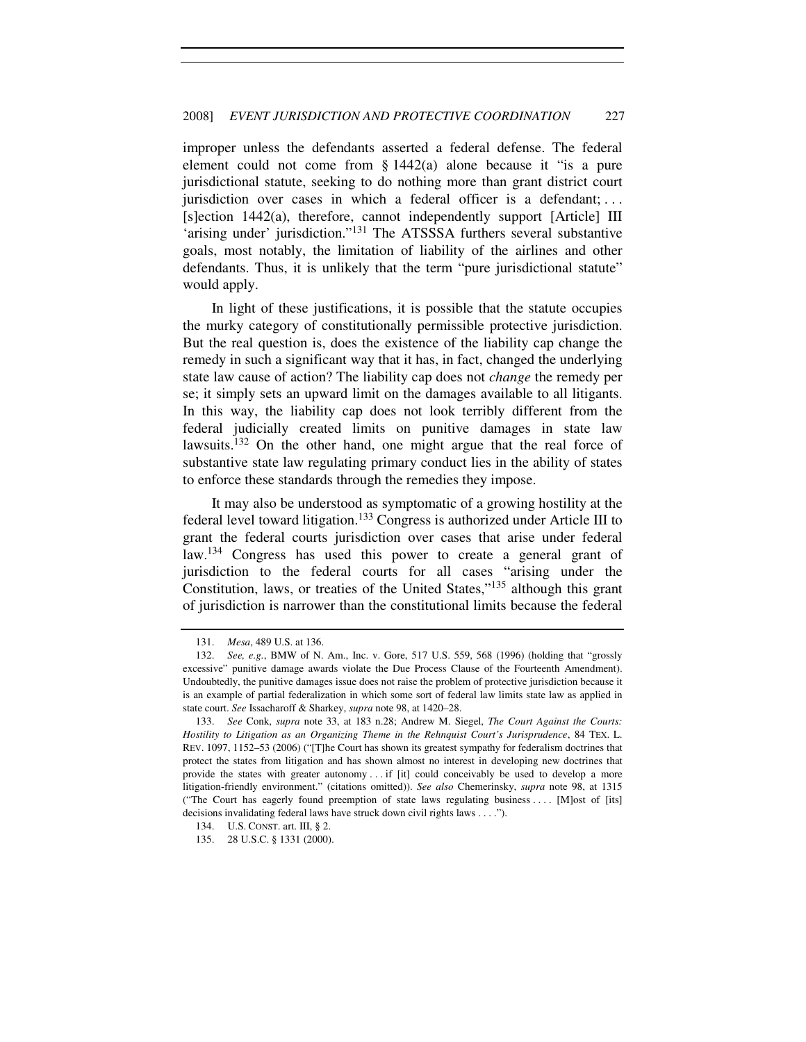improper unless the defendants asserted a federal defense. The federal element could not come from § 1442(a) alone because it "is a pure jurisdictional statute, seeking to do nothing more than grant district court jurisdiction over cases in which a federal officer is a defendant; ... [s]ection 1442(a), therefore, cannot independently support [Article] III 'arising under' jurisdiction."<sup>131</sup> The ATSSSA furthers several substantive goals, most notably, the limitation of liability of the airlines and other defendants. Thus, it is unlikely that the term "pure jurisdictional statute" would apply.

In light of these justifications, it is possible that the statute occupies the murky category of constitutionally permissible protective jurisdiction. But the real question is, does the existence of the liability cap change the remedy in such a significant way that it has, in fact, changed the underlying state law cause of action? The liability cap does not *change* the remedy per se; it simply sets an upward limit on the damages available to all litigants. In this way, the liability cap does not look terribly different from the federal judicially created limits on punitive damages in state law lawsuits.<sup>132</sup> On the other hand, one might argue that the real force of substantive state law regulating primary conduct lies in the ability of states to enforce these standards through the remedies they impose.

It may also be understood as symptomatic of a growing hostility at the federal level toward litigation.<sup>133</sup> Congress is authorized under Article III to grant the federal courts jurisdiction over cases that arise under federal law.<sup>134</sup> Congress has used this power to create a general grant of jurisdiction to the federal courts for all cases "arising under the Constitution, laws, or treaties of the United States,"<sup>135</sup> although this grant of jurisdiction is narrower than the constitutional limits because the federal

<sup>131.</sup> *Mesa*, 489 U.S. at 136.

<sup>132.</sup> *See, e.g.*, BMW of N. Am., Inc. v. Gore, 517 U.S. 559, 568 (1996) (holding that "grossly excessive" punitive damage awards violate the Due Process Clause of the Fourteenth Amendment). Undoubtedly, the punitive damages issue does not raise the problem of protective jurisdiction because it is an example of partial federalization in which some sort of federal law limits state law as applied in state court. *See* Issacharoff & Sharkey, *supra* note 98, at 1420–28.

<sup>133.</sup> *See* Conk, *supra* note 33, at 183 n.28; Andrew M. Siegel, *The Court Against the Courts: Hostility to Litigation as an Organizing Theme in the Rehnquist Court's Jurisprudence*, 84 TEX. L. REV. 1097, 1152–53 (2006) ("[T]he Court has shown its greatest sympathy for federalism doctrines that protect the states from litigation and has shown almost no interest in developing new doctrines that provide the states with greater autonomy . . . if [it] could conceivably be used to develop a more litigation-friendly environment." (citations omitted)). *See also* Chemerinsky, *supra* note 98, at 1315 ("The Court has eagerly found preemption of state laws regulating business . . . . [M]ost of [its] decisions invalidating federal laws have struck down civil rights laws . . . .").

 <sup>134.</sup> U.S. CONST. art. III, § 2.

 <sup>135. 28</sup> U.S.C. § 1331 (2000).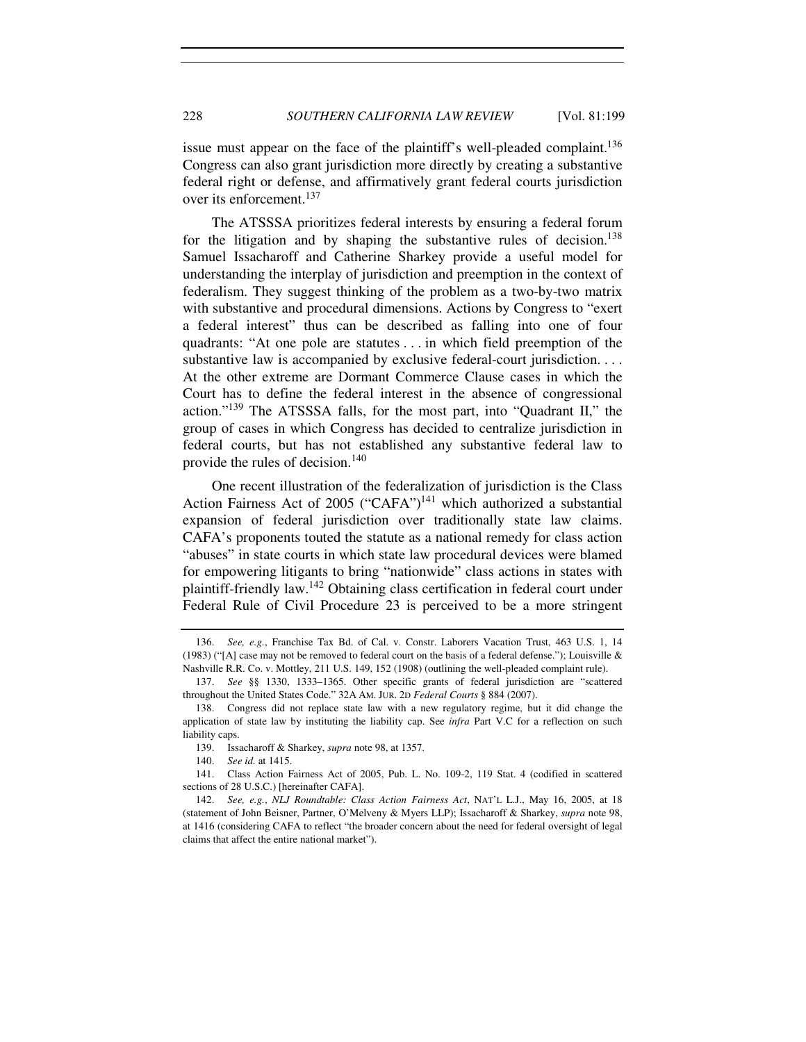issue must appear on the face of the plaintiff's well-pleaded complaint.<sup>136</sup> Congress can also grant jurisdiction more directly by creating a substantive federal right or defense, and affirmatively grant federal courts jurisdiction over its enforcement.<sup>137</sup>

The ATSSSA prioritizes federal interests by ensuring a federal forum for the litigation and by shaping the substantive rules of decision.<sup>138</sup> Samuel Issacharoff and Catherine Sharkey provide a useful model for understanding the interplay of jurisdiction and preemption in the context of federalism. They suggest thinking of the problem as a two-by-two matrix with substantive and procedural dimensions. Actions by Congress to "exert a federal interest" thus can be described as falling into one of four quadrants: "At one pole are statutes . . . in which field preemption of the substantive law is accompanied by exclusive federal-court jurisdiction.... At the other extreme are Dormant Commerce Clause cases in which the Court has to define the federal interest in the absence of congressional action."<sup>139</sup> The ATSSSA falls, for the most part, into "Quadrant II," the group of cases in which Congress has decided to centralize jurisdiction in federal courts, but has not established any substantive federal law to provide the rules of decision.<sup>140</sup>

One recent illustration of the federalization of jurisdiction is the Class Action Fairness Act of 2005 ("CAFA")<sup>141</sup> which authorized a substantial expansion of federal jurisdiction over traditionally state law claims. CAFA's proponents touted the statute as a national remedy for class action "abuses" in state courts in which state law procedural devices were blamed for empowering litigants to bring "nationwide" class actions in states with plaintiff-friendly law.<sup>142</sup> Obtaining class certification in federal court under Federal Rule of Civil Procedure 23 is perceived to be a more stringent

 <sup>136.</sup> *See, e.g.*, Franchise Tax Bd. of Cal. v. Constr. Laborers Vacation Trust, 463 U.S. 1, 14 (1983) ("[A] case may not be removed to federal court on the basis of a federal defense."); Louisville  $\&$ Nashville R.R. Co. v. Mottley, 211 U.S. 149, 152 (1908) (outlining the well-pleaded complaint rule).

 <sup>137.</sup> *See* §§ 1330, 1333–1365. Other specific grants of federal jurisdiction are "scattered throughout the United States Code." 32A AM. JUR. 2D *Federal Courts* § 884 (2007).

 <sup>138.</sup> Congress did not replace state law with a new regulatory regime, but it did change the application of state law by instituting the liability cap. See *infra* Part V.C for a reflection on such liability caps.

 <sup>139.</sup> Issacharoff & Sharkey, *supra* note 98, at 1357.

<sup>140.</sup> *See id.* at 1415.

 <sup>141.</sup> Class Action Fairness Act of 2005, Pub. L. No. 109-2, 119 Stat. 4 (codified in scattered sections of 28 U.S.C.) [hereinafter CAFA].

<sup>142.</sup> *See, e.g.*, *NLJ Roundtable: Class Action Fairness Act*, NAT'L L.J., May 16, 2005, at 18 (statement of John Beisner, Partner, O'Melveny & Myers LLP); Issacharoff & Sharkey, *supra* note 98, at 1416 (considering CAFA to reflect "the broader concern about the need for federal oversight of legal claims that affect the entire national market").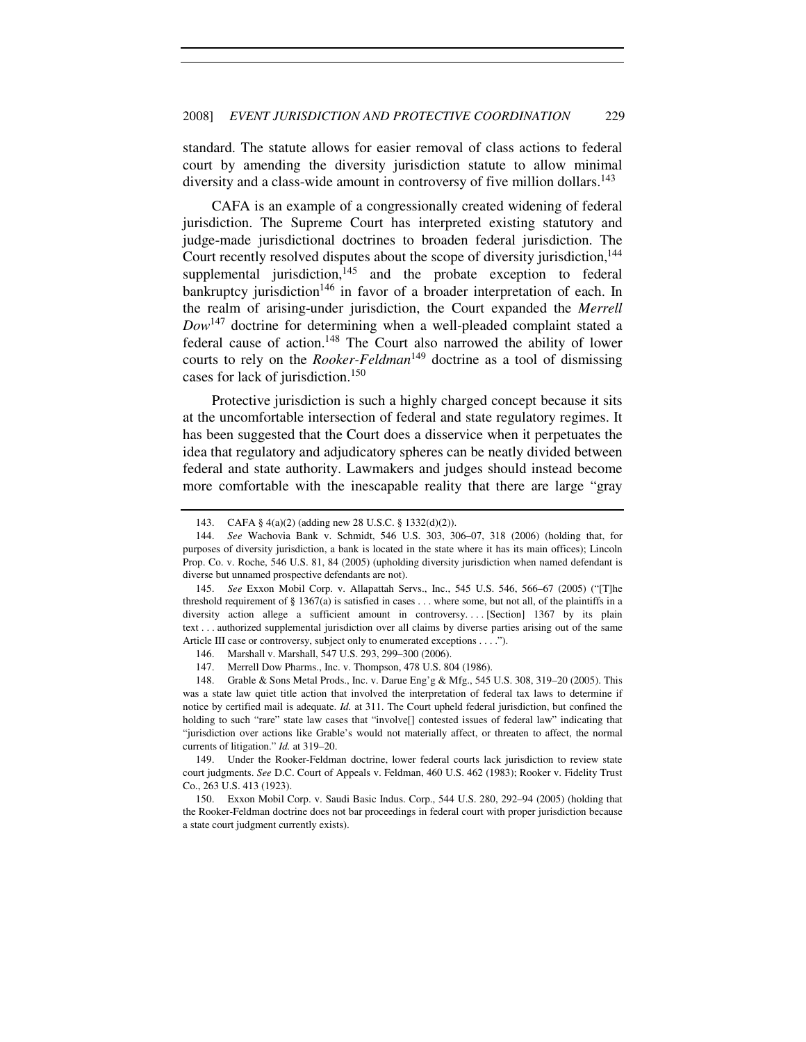standard. The statute allows for easier removal of class actions to federal court by amending the diversity jurisdiction statute to allow minimal diversity and a class-wide amount in controversy of five million dollars.<sup>143</sup>

CAFA is an example of a congressionally created widening of federal jurisdiction. The Supreme Court has interpreted existing statutory and judge-made jurisdictional doctrines to broaden federal jurisdiction. The Court recently resolved disputes about the scope of diversity jurisdiction,<sup>144</sup> supplemental jurisdiction, $145$  and the probate exception to federal bankruptcy jurisdiction<sup>146</sup> in favor of a broader interpretation of each. In the realm of arising-under jurisdiction, the Court expanded the *Merrell Dow*<sup>147</sup> doctrine for determining when a well-pleaded complaint stated a federal cause of action.<sup>148</sup> The Court also narrowed the ability of lower courts to rely on the *Rooker-Feldman*<sup>149</sup> doctrine as a tool of dismissing cases for lack of jurisdiction.<sup>150</sup>

Protective jurisdiction is such a highly charged concept because it sits at the uncomfortable intersection of federal and state regulatory regimes. It has been suggested that the Court does a disservice when it perpetuates the idea that regulatory and adjudicatory spheres can be neatly divided between federal and state authority. Lawmakers and judges should instead become more comfortable with the inescapable reality that there are large "gray

 <sup>143.</sup> CAFA § 4(a)(2) (adding new 28 U.S.C. § 1332(d)(2)).

<sup>144.</sup> *See* Wachovia Bank v. Schmidt, 546 U.S. 303, 306–07, 318 (2006) (holding that, for purposes of diversity jurisdiction, a bank is located in the state where it has its main offices); Lincoln Prop. Co. v. Roche, 546 U.S. 81, 84 (2005) (upholding diversity jurisdiction when named defendant is diverse but unnamed prospective defendants are not).

 <sup>145.</sup> *See* Exxon Mobil Corp. v. Allapattah Servs., Inc., 545 U.S. 546, 566–67 (2005) ("[T]he threshold requirement of  $\S 1367(a)$  is satisfied in cases ... where some, but not all, of the plaintiffs in a diversity action allege a sufficient amount in controversy.... [Section] 1367 by its plain text . . . authorized supplemental jurisdiction over all claims by diverse parties arising out of the same Article III case or controversy, subject only to enumerated exceptions . . . .").

 <sup>146.</sup> Marshall v. Marshall, 547 U.S. 293, 299–300 (2006).

 <sup>147.</sup> Merrell Dow Pharms., Inc. v. Thompson, 478 U.S. 804 (1986).

 <sup>148.</sup> Grable & Sons Metal Prods., Inc. v. Darue Eng'g & Mfg., 545 U.S. 308, 319–20 (2005). This was a state law quiet title action that involved the interpretation of federal tax laws to determine if notice by certified mail is adequate. *Id.* at 311. The Court upheld federal jurisdiction, but confined the holding to such "rare" state law cases that "involve<sup>[]</sup> contested issues of federal law" indicating that "jurisdiction over actions like Grable's would not materially affect, or threaten to affect, the normal currents of litigation." *Id.* at 319–20.

 <sup>149.</sup> Under the Rooker-Feldman doctrine, lower federal courts lack jurisdiction to review state court judgments. *See* D.C. Court of Appeals v. Feldman, 460 U.S. 462 (1983); Rooker v. Fidelity Trust Co., 263 U.S. 413 (1923).

 <sup>150.</sup> Exxon Mobil Corp. v. Saudi Basic Indus. Corp., 544 U.S. 280, 292–94 (2005) (holding that the Rooker-Feldman doctrine does not bar proceedings in federal court with proper jurisdiction because a state court judgment currently exists).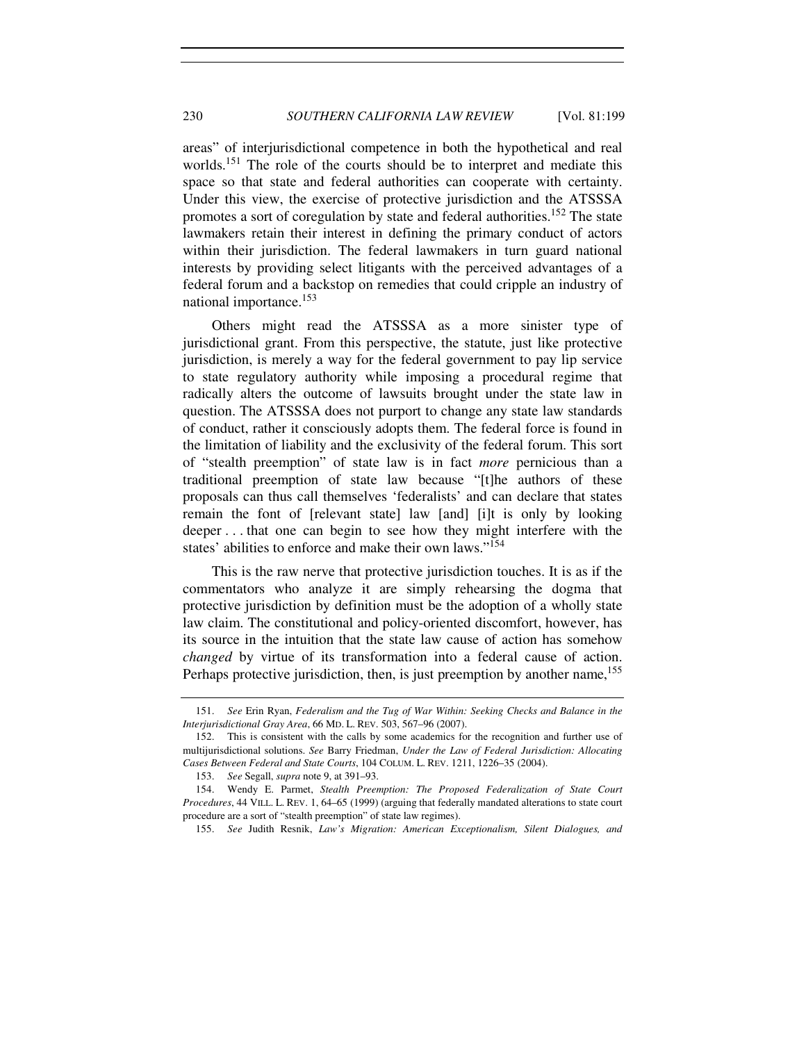areas" of interjurisdictional competence in both the hypothetical and real worlds.<sup>151</sup> The role of the courts should be to interpret and mediate this space so that state and federal authorities can cooperate with certainty. Under this view, the exercise of protective jurisdiction and the ATSSSA promotes a sort of coregulation by state and federal authorities.<sup>152</sup> The state lawmakers retain their interest in defining the primary conduct of actors within their jurisdiction. The federal lawmakers in turn guard national interests by providing select litigants with the perceived advantages of a federal forum and a backstop on remedies that could cripple an industry of national importance.<sup>153</sup>

Others might read the ATSSSA as a more sinister type of jurisdictional grant. From this perspective, the statute, just like protective jurisdiction, is merely a way for the federal government to pay lip service to state regulatory authority while imposing a procedural regime that radically alters the outcome of lawsuits brought under the state law in question. The ATSSSA does not purport to change any state law standards of conduct, rather it consciously adopts them. The federal force is found in the limitation of liability and the exclusivity of the federal forum. This sort of "stealth preemption" of state law is in fact *more* pernicious than a traditional preemption of state law because "[t]he authors of these proposals can thus call themselves 'federalists' and can declare that states remain the font of [relevant state] law [and] [i]t is only by looking deeper . . . that one can begin to see how they might interfere with the states' abilities to enforce and make their own laws."<sup>154</sup>

This is the raw nerve that protective jurisdiction touches. It is as if the commentators who analyze it are simply rehearsing the dogma that protective jurisdiction by definition must be the adoption of a wholly state law claim. The constitutional and policy-oriented discomfort, however, has its source in the intuition that the state law cause of action has somehow *changed* by virtue of its transformation into a federal cause of action. Perhaps protective jurisdiction, then, is just preemption by another name,<sup>155</sup>

<sup>151.</sup> *See* Erin Ryan, *Federalism and the Tug of War Within: Seeking Checks and Balance in the Interjurisdictional Gray Area*, 66 MD. L. REV. 503, 567–96 (2007).

 <sup>152.</sup> This is consistent with the calls by some academics for the recognition and further use of multijurisdictional solutions. *See* Barry Friedman, *Under the Law of Federal Jurisdiction: Allocating Cases Between Federal and State Courts*, 104 COLUM. L. REV. 1211, 1226–35 (2004).

<sup>153.</sup> *See* Segall, *supra* note 9, at 391–93.

 <sup>154.</sup> Wendy E. Parmet, *Stealth Preemption: The Proposed Federalization of State Court Procedures*, 44 VILL. L. REV. 1, 64–65 (1999) (arguing that federally mandated alterations to state court procedure are a sort of "stealth preemption" of state law regimes).

<sup>155.</sup> *See* Judith Resnik, *Law's Migration: American Exceptionalism, Silent Dialogues, and*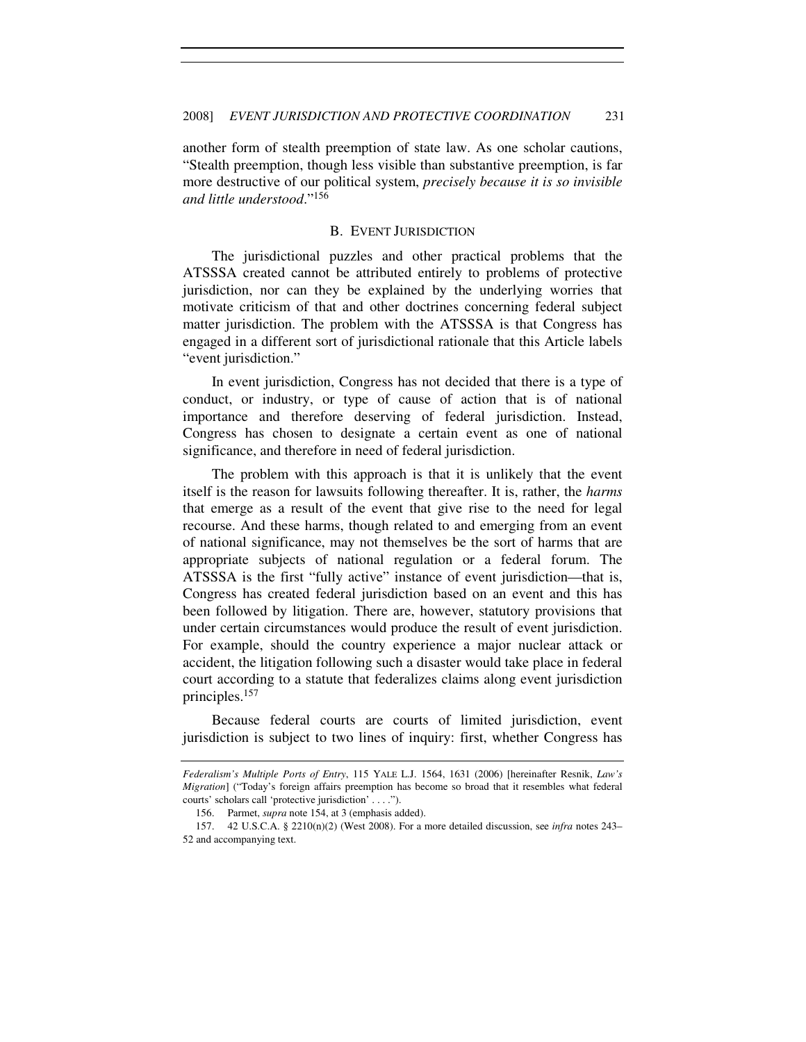another form of stealth preemption of state law. As one scholar cautions, "Stealth preemption, though less visible than substantive preemption, is far more destructive of our political system, *precisely because it is so invisible and little understood*."<sup>156</sup>

#### B. EVENT JURISDICTION

The jurisdictional puzzles and other practical problems that the ATSSSA created cannot be attributed entirely to problems of protective jurisdiction, nor can they be explained by the underlying worries that motivate criticism of that and other doctrines concerning federal subject matter jurisdiction. The problem with the ATSSSA is that Congress has engaged in a different sort of jurisdictional rationale that this Article labels "event jurisdiction."

In event jurisdiction, Congress has not decided that there is a type of conduct, or industry, or type of cause of action that is of national importance and therefore deserving of federal jurisdiction. Instead, Congress has chosen to designate a certain event as one of national significance, and therefore in need of federal jurisdiction.

The problem with this approach is that it is unlikely that the event itself is the reason for lawsuits following thereafter. It is, rather, the *harms* that emerge as a result of the event that give rise to the need for legal recourse. And these harms, though related to and emerging from an event of national significance, may not themselves be the sort of harms that are appropriate subjects of national regulation or a federal forum. The ATSSSA is the first "fully active" instance of event jurisdiction—that is, Congress has created federal jurisdiction based on an event and this has been followed by litigation. There are, however, statutory provisions that under certain circumstances would produce the result of event jurisdiction. For example, should the country experience a major nuclear attack or accident, the litigation following such a disaster would take place in federal court according to a statute that federalizes claims along event jurisdiction principles.<sup>157</sup>

Because federal courts are courts of limited jurisdiction, event jurisdiction is subject to two lines of inquiry: first, whether Congress has

*Federalism's Multiple Ports of Entry*, 115 YALE L.J. 1564, 1631 (2006) [hereinafter Resnik, *Law's Migration*] ("Today's foreign affairs preemption has become so broad that it resembles what federal courts' scholars call 'protective jurisdiction' . . . .").

 <sup>156.</sup> Parmet, *supra* note 154, at 3 (emphasis added).

 <sup>157. 42</sup> U.S.C.A. § 2210(n)(2) (West 2008). For a more detailed discussion, see *infra* notes 243– 52 and accompanying text.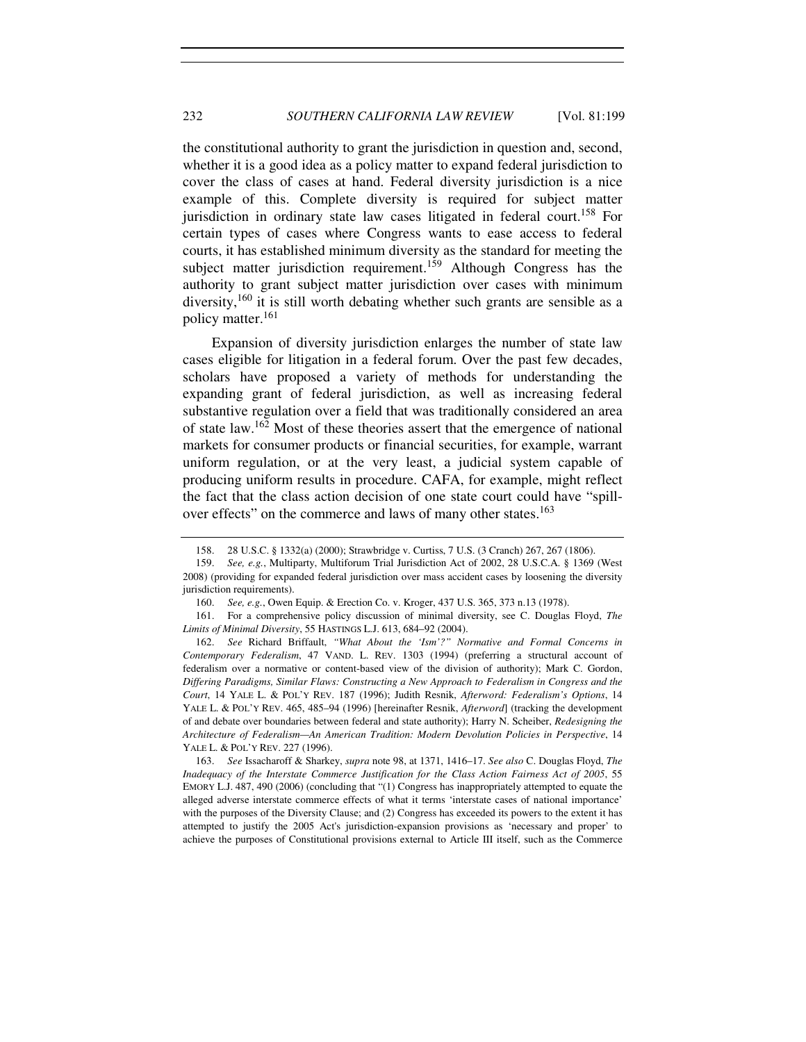the constitutional authority to grant the jurisdiction in question and, second, whether it is a good idea as a policy matter to expand federal jurisdiction to cover the class of cases at hand. Federal diversity jurisdiction is a nice example of this. Complete diversity is required for subject matter jurisdiction in ordinary state law cases litigated in federal court.<sup>158</sup> For certain types of cases where Congress wants to ease access to federal courts, it has established minimum diversity as the standard for meeting the subject matter jurisdiction requirement.<sup>159</sup> Although Congress has the authority to grant subject matter jurisdiction over cases with minimum diversity, $160$  it is still worth debating whether such grants are sensible as a policy matter.<sup>161</sup>

Expansion of diversity jurisdiction enlarges the number of state law cases eligible for litigation in a federal forum. Over the past few decades, scholars have proposed a variety of methods for understanding the expanding grant of federal jurisdiction, as well as increasing federal substantive regulation over a field that was traditionally considered an area of state law.<sup>162</sup> Most of these theories assert that the emergence of national markets for consumer products or financial securities, for example, warrant uniform regulation, or at the very least, a judicial system capable of producing uniform results in procedure. CAFA, for example, might reflect the fact that the class action decision of one state court could have "spillover effects" on the commerce and laws of many other states.<sup>163</sup>

 <sup>158. 28</sup> U.S.C. § 1332(a) (2000); Strawbridge v. Curtiss, 7 U.S. (3 Cranch) 267, 267 (1806).

 <sup>159.</sup> *See, e.g.*, Multiparty, Multiforum Trial Jurisdiction Act of 2002, 28 U.S.C.A. § 1369 (West 2008) (providing for expanded federal jurisdiction over mass accident cases by loosening the diversity jurisdiction requirements).

 <sup>160.</sup> *See, e.g.*, Owen Equip. & Erection Co. v. Kroger, 437 U.S. 365, 373 n.13 (1978).

 <sup>161.</sup> For a comprehensive policy discussion of minimal diversity, see C. Douglas Floyd, *The Limits of Minimal Diversity*, 55 HASTINGS L.J. 613, 684–92 (2004).

 <sup>162.</sup> *See* Richard Briffault, *"What About the 'Ism'?" Normative and Formal Concerns in Contemporary Federalism*, 47 VAND. L. REV. 1303 (1994) (preferring a structural account of federalism over a normative or content-based view of the division of authority); Mark C. Gordon, *Differing Paradigms, Similar Flaws: Constructing a New Approach to Federalism in Congress and the Court*, 14 YALE L. & POL'Y REV. 187 (1996); Judith Resnik, *Afterword: Federalism's Options*, 14 YALE L. & POL'Y REV. 465, 485–94 (1996) [hereinafter Resnik, *Afterword*] (tracking the development of and debate over boundaries between federal and state authority); Harry N. Scheiber, *Redesigning the Architecture of Federalism—An American Tradition: Modern Devolution Policies in Perspective*, 14 YALE L. & POL'Y REV. 227 (1996).

<sup>163.</sup> *See* Issacharoff & Sharkey, *supra* note 98, at 1371, 1416–17. *See also* C. Douglas Floyd, *The Inadequacy of the Interstate Commerce Justification for the Class Action Fairness Act of 2005*, 55 EMORY L.J. 487, 490 (2006) (concluding that "(1) Congress has inappropriately attempted to equate the alleged adverse interstate commerce effects of what it terms 'interstate cases of national importance' with the purposes of the Diversity Clause; and (2) Congress has exceeded its powers to the extent it has attempted to justify the 2005 Act's jurisdiction-expansion provisions as 'necessary and proper' to achieve the purposes of Constitutional provisions external to Article III itself, such as the Commerce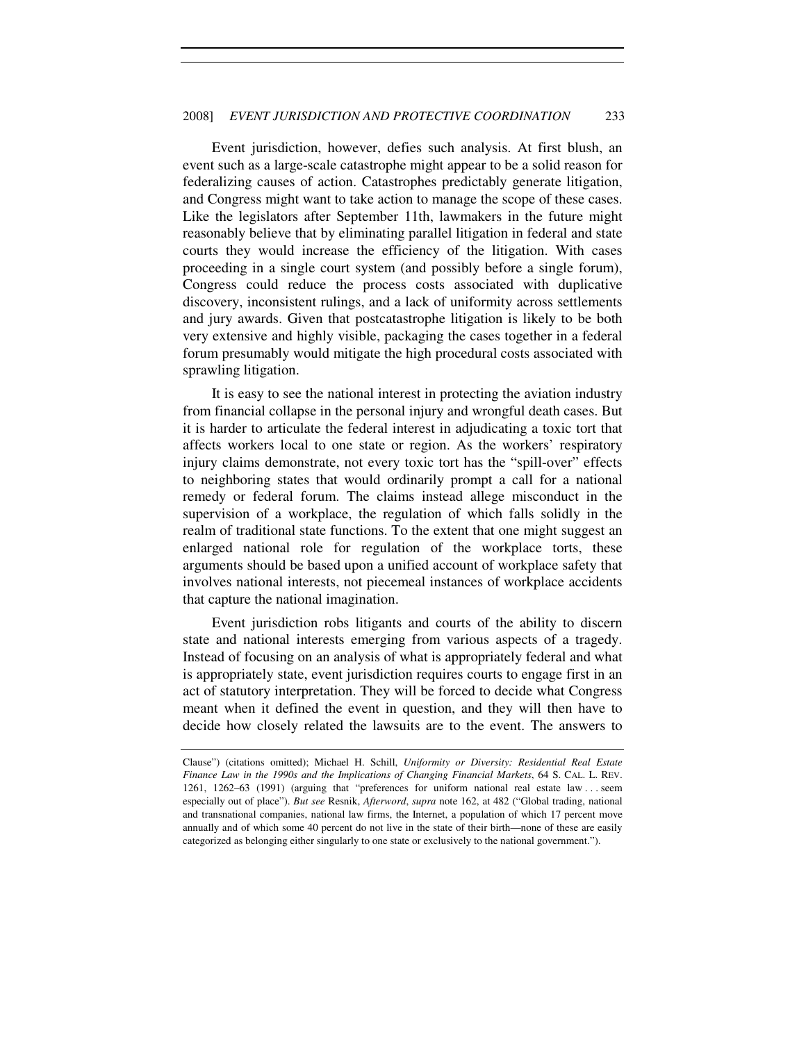Event jurisdiction, however, defies such analysis. At first blush, an event such as a large-scale catastrophe might appear to be a solid reason for federalizing causes of action. Catastrophes predictably generate litigation, and Congress might want to take action to manage the scope of these cases. Like the legislators after September 11th, lawmakers in the future might reasonably believe that by eliminating parallel litigation in federal and state courts they would increase the efficiency of the litigation. With cases proceeding in a single court system (and possibly before a single forum), Congress could reduce the process costs associated with duplicative discovery, inconsistent rulings, and a lack of uniformity across settlements and jury awards. Given that postcatastrophe litigation is likely to be both very extensive and highly visible, packaging the cases together in a federal forum presumably would mitigate the high procedural costs associated with sprawling litigation.

It is easy to see the national interest in protecting the aviation industry from financial collapse in the personal injury and wrongful death cases. But it is harder to articulate the federal interest in adjudicating a toxic tort that affects workers local to one state or region. As the workers' respiratory injury claims demonstrate, not every toxic tort has the "spill-over" effects to neighboring states that would ordinarily prompt a call for a national remedy or federal forum. The claims instead allege misconduct in the supervision of a workplace, the regulation of which falls solidly in the realm of traditional state functions. To the extent that one might suggest an enlarged national role for regulation of the workplace torts, these arguments should be based upon a unified account of workplace safety that involves national interests, not piecemeal instances of workplace accidents that capture the national imagination.

Event jurisdiction robs litigants and courts of the ability to discern state and national interests emerging from various aspects of a tragedy. Instead of focusing on an analysis of what is appropriately federal and what is appropriately state, event jurisdiction requires courts to engage first in an act of statutory interpretation. They will be forced to decide what Congress meant when it defined the event in question, and they will then have to decide how closely related the lawsuits are to the event. The answers to

Clause") (citations omitted); Michael H. Schill, *Uniformity or Diversity: Residential Real Estate Finance Law in the 1990s and the Implications of Changing Financial Markets*, 64 S. CAL. L. REV. 1261, 1262–63 (1991) (arguing that "preferences for uniform national real estate law . . . seem especially out of place"). *But see* Resnik, *Afterword*, *supra* note 162, at 482 ("Global trading, national and transnational companies, national law firms, the Internet, a population of which 17 percent move annually and of which some 40 percent do not live in the state of their birth—none of these are easily categorized as belonging either singularly to one state or exclusively to the national government.").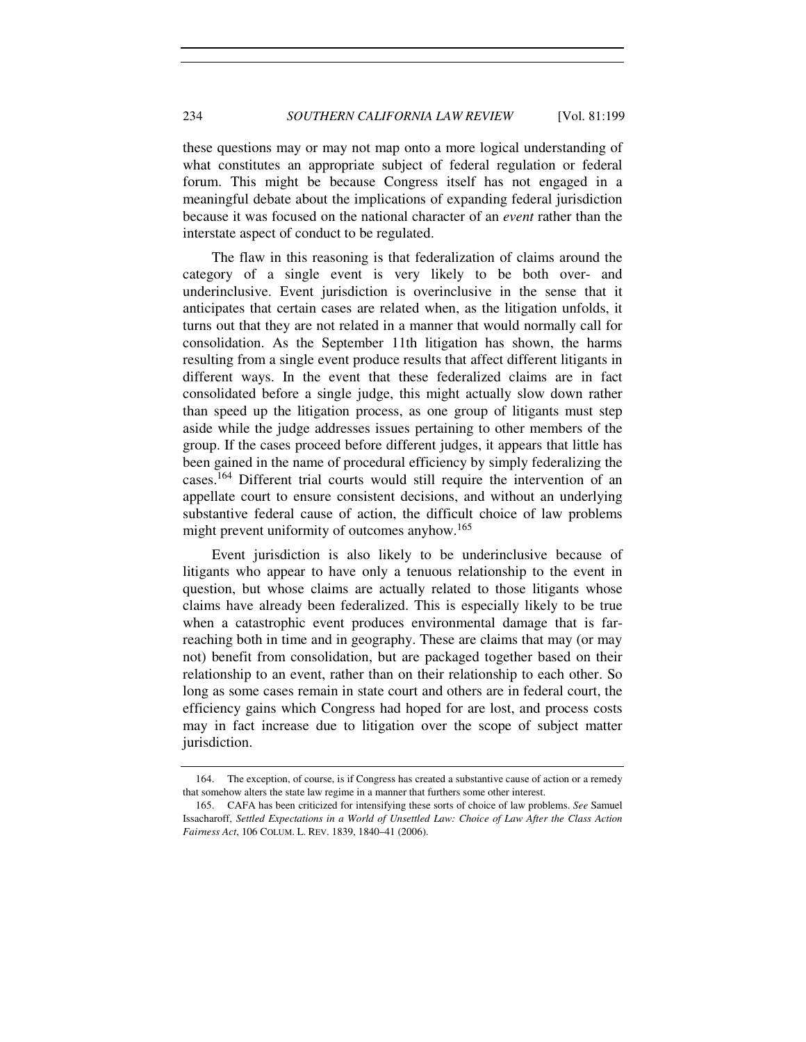these questions may or may not map onto a more logical understanding of what constitutes an appropriate subject of federal regulation or federal forum. This might be because Congress itself has not engaged in a meaningful debate about the implications of expanding federal jurisdiction because it was focused on the national character of an *event* rather than the interstate aspect of conduct to be regulated.

The flaw in this reasoning is that federalization of claims around the category of a single event is very likely to be both over- and underinclusive. Event jurisdiction is overinclusive in the sense that it anticipates that certain cases are related when, as the litigation unfolds, it turns out that they are not related in a manner that would normally call for consolidation. As the September 11th litigation has shown, the harms resulting from a single event produce results that affect different litigants in different ways. In the event that these federalized claims are in fact consolidated before a single judge, this might actually slow down rather than speed up the litigation process, as one group of litigants must step aside while the judge addresses issues pertaining to other members of the group. If the cases proceed before different judges, it appears that little has been gained in the name of procedural efficiency by simply federalizing the cases.<sup>164</sup> Different trial courts would still require the intervention of an appellate court to ensure consistent decisions, and without an underlying substantive federal cause of action, the difficult choice of law problems might prevent uniformity of outcomes anyhow.<sup>165</sup>

Event jurisdiction is also likely to be underinclusive because of litigants who appear to have only a tenuous relationship to the event in question, but whose claims are actually related to those litigants whose claims have already been federalized. This is especially likely to be true when a catastrophic event produces environmental damage that is farreaching both in time and in geography. These are claims that may (or may not) benefit from consolidation, but are packaged together based on their relationship to an event, rather than on their relationship to each other. So long as some cases remain in state court and others are in federal court, the efficiency gains which Congress had hoped for are lost, and process costs may in fact increase due to litigation over the scope of subject matter jurisdiction.

 <sup>164.</sup> The exception, of course, is if Congress has created a substantive cause of action or a remedy that somehow alters the state law regime in a manner that furthers some other interest.

 <sup>165.</sup> CAFA has been criticized for intensifying these sorts of choice of law problems. *See* Samuel Issacharoff, *Settled Expectations in a World of Unsettled Law: Choice of Law After the Class Action Fairness Act*, 106 COLUM. L. REV. 1839, 1840–41 (2006).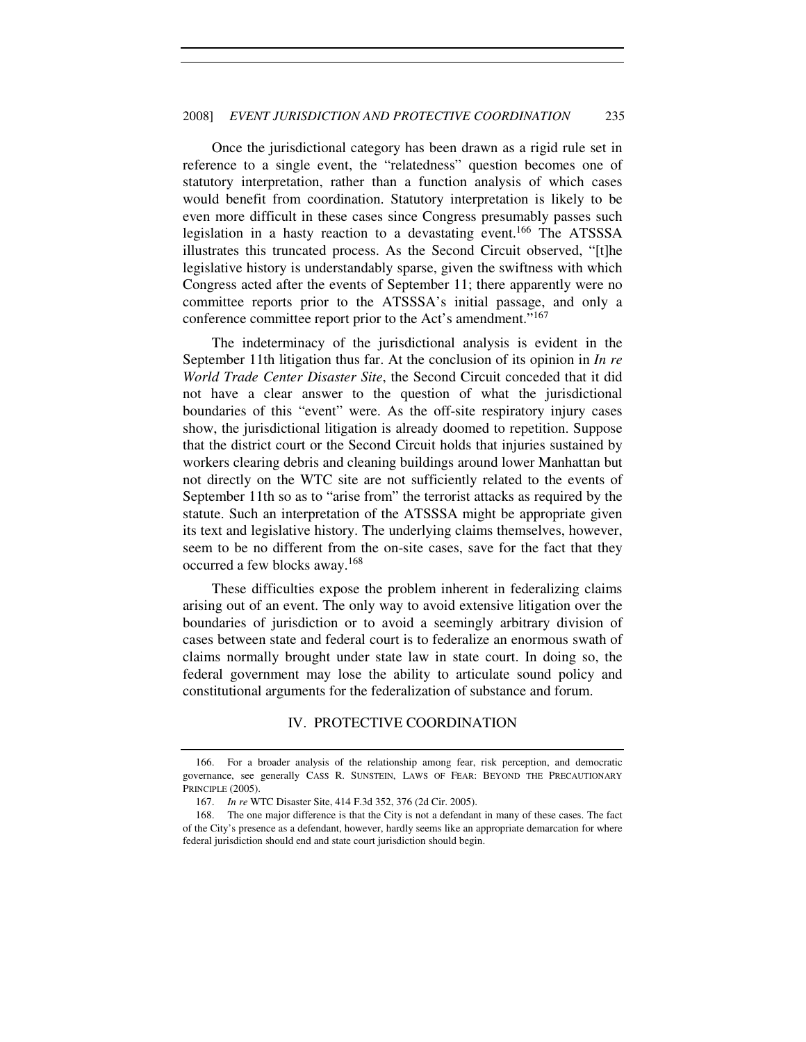Once the jurisdictional category has been drawn as a rigid rule set in reference to a single event, the "relatedness" question becomes one of statutory interpretation, rather than a function analysis of which cases would benefit from coordination. Statutory interpretation is likely to be even more difficult in these cases since Congress presumably passes such legislation in a hasty reaction to a devastating event.<sup>166</sup> The ATSSSA illustrates this truncated process. As the Second Circuit observed, "[t]he legislative history is understandably sparse, given the swiftness with which Congress acted after the events of September 11; there apparently were no committee reports prior to the ATSSSA's initial passage, and only a conference committee report prior to the Act's amendment."<sup>167</sup>

The indeterminacy of the jurisdictional analysis is evident in the September 11th litigation thus far. At the conclusion of its opinion in *In re World Trade Center Disaster Site*, the Second Circuit conceded that it did not have a clear answer to the question of what the jurisdictional boundaries of this "event" were. As the off-site respiratory injury cases show, the jurisdictional litigation is already doomed to repetition. Suppose that the district court or the Second Circuit holds that injuries sustained by workers clearing debris and cleaning buildings around lower Manhattan but not directly on the WTC site are not sufficiently related to the events of September 11th so as to "arise from" the terrorist attacks as required by the statute. Such an interpretation of the ATSSSA might be appropriate given its text and legislative history. The underlying claims themselves, however, seem to be no different from the on-site cases, save for the fact that they occurred a few blocks away.<sup>168</sup>

These difficulties expose the problem inherent in federalizing claims arising out of an event. The only way to avoid extensive litigation over the boundaries of jurisdiction or to avoid a seemingly arbitrary division of cases between state and federal court is to federalize an enormous swath of claims normally brought under state law in state court. In doing so, the federal government may lose the ability to articulate sound policy and constitutional arguments for the federalization of substance and forum.

# IV. PROTECTIVE COORDINATION

 <sup>166.</sup> For a broader analysis of the relationship among fear, risk perception, and democratic governance, see generally CASS R. SUNSTEIN, LAWS OF FEAR: BEYOND THE PRECAUTIONARY PRINCIPLE (2005).

 <sup>167.</sup> *In re* WTC Disaster Site, 414 F.3d 352, 376 (2d Cir. 2005).

 <sup>168.</sup> The one major difference is that the City is not a defendant in many of these cases. The fact of the City's presence as a defendant, however, hardly seems like an appropriate demarcation for where federal jurisdiction should end and state court jurisdiction should begin.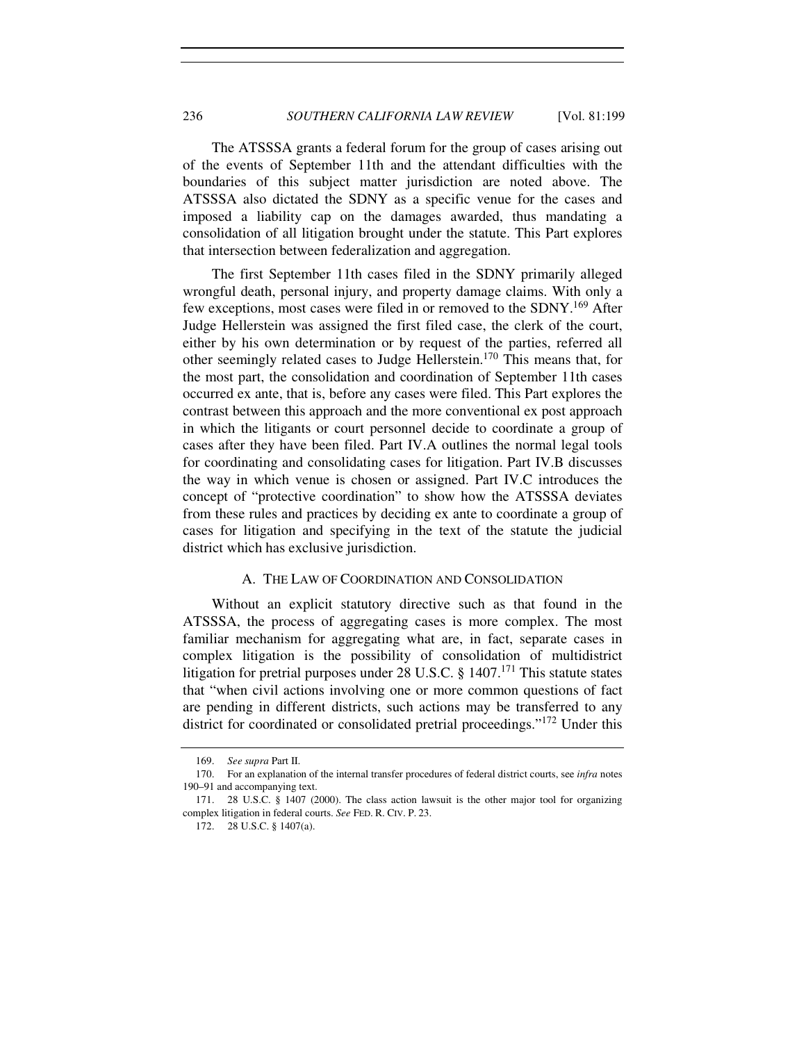The ATSSSA grants a federal forum for the group of cases arising out of the events of September 11th and the attendant difficulties with the boundaries of this subject matter jurisdiction are noted above. The ATSSSA also dictated the SDNY as a specific venue for the cases and imposed a liability cap on the damages awarded, thus mandating a consolidation of all litigation brought under the statute. This Part explores that intersection between federalization and aggregation.

The first September 11th cases filed in the SDNY primarily alleged wrongful death, personal injury, and property damage claims. With only a few exceptions, most cases were filed in or removed to the SDNY.<sup>169</sup> After Judge Hellerstein was assigned the first filed case, the clerk of the court, either by his own determination or by request of the parties, referred all other seemingly related cases to Judge Hellerstein.<sup>170</sup> This means that, for the most part, the consolidation and coordination of September 11th cases occurred ex ante, that is, before any cases were filed. This Part explores the contrast between this approach and the more conventional ex post approach in which the litigants or court personnel decide to coordinate a group of cases after they have been filed. Part IV.A outlines the normal legal tools for coordinating and consolidating cases for litigation. Part IV.B discusses the way in which venue is chosen or assigned. Part IV.C introduces the concept of "protective coordination" to show how the ATSSSA deviates from these rules and practices by deciding ex ante to coordinate a group of cases for litigation and specifying in the text of the statute the judicial district which has exclusive jurisdiction.

#### A. THE LAW OF COORDINATION AND CONSOLIDATION

Without an explicit statutory directive such as that found in the ATSSSA, the process of aggregating cases is more complex. The most familiar mechanism for aggregating what are, in fact, separate cases in complex litigation is the possibility of consolidation of multidistrict litigation for pretrial purposes under 28 U.S.C.  $\S$  1407.<sup>171</sup> This statute states that "when civil actions involving one or more common questions of fact are pending in different districts, such actions may be transferred to any district for coordinated or consolidated pretrial proceedings."<sup>172</sup> Under this

<sup>169.</sup> *See supra* Part II.

<sup>170.</sup> For an explanation of the internal transfer procedures of federal district courts, see *infra* notes 190–91 and accompanying text.

 <sup>171. 28</sup> U.S.C. § 1407 (2000). The class action lawsuit is the other major tool for organizing complex litigation in federal courts. *See* FED. R. CIV. P. 23.

 <sup>172. 28</sup> U.S.C. § 1407(a).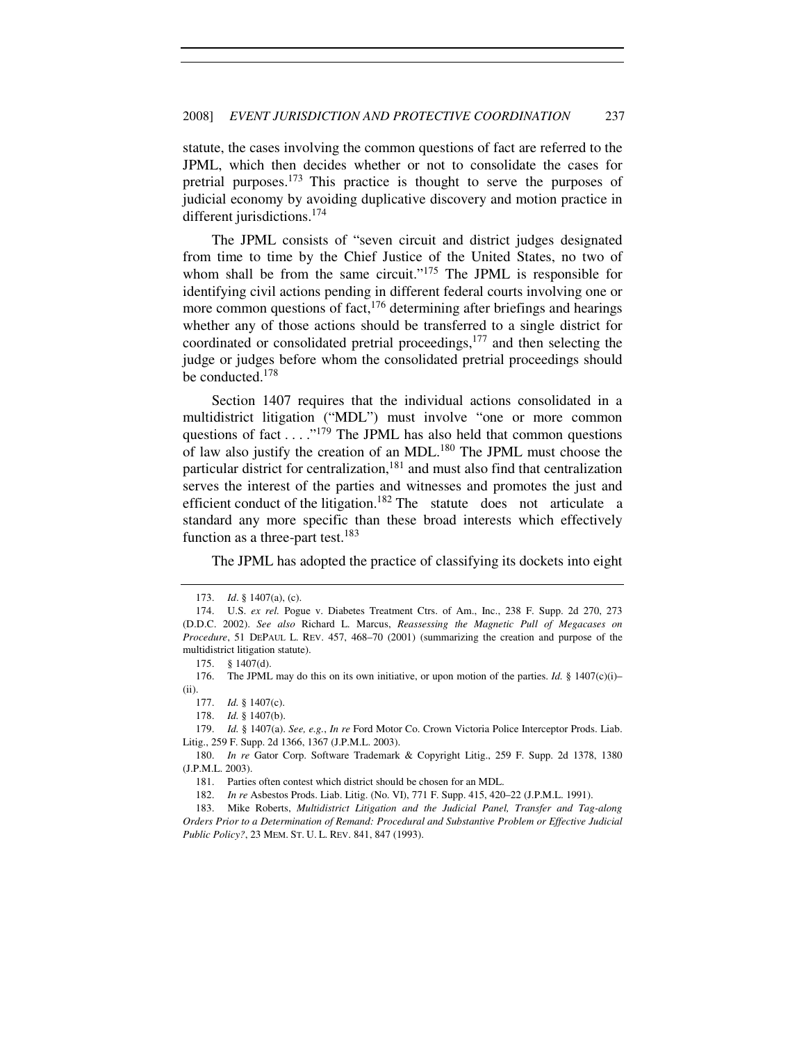statute, the cases involving the common questions of fact are referred to the JPML, which then decides whether or not to consolidate the cases for pretrial purposes.<sup>173</sup> This practice is thought to serve the purposes of judicial economy by avoiding duplicative discovery and motion practice in different jurisdictions.<sup>174</sup>

The JPML consists of "seven circuit and district judges designated from time to time by the Chief Justice of the United States, no two of whom shall be from the same circuit."<sup>175</sup> The JPML is responsible for identifying civil actions pending in different federal courts involving one or more common questions of fact,  $176$  determining after briefings and hearings whether any of those actions should be transferred to a single district for coordinated or consolidated pretrial proceedings,  $177$  and then selecting the judge or judges before whom the consolidated pretrial proceedings should be conducted.<sup>178</sup>

Section 1407 requires that the individual actions consolidated in a multidistrict litigation ("MDL") must involve "one or more common questions of fact . . . . "<sup>179</sup> The JPML has also held that common questions of law also justify the creation of an MDL.<sup>180</sup> The JPML must choose the particular district for centralization, $181$  and must also find that centralization serves the interest of the parties and witnesses and promotes the just and efficient conduct of the litigation.<sup>182</sup> The statute does not articulate a standard any more specific than these broad interests which effectively function as a three-part test.<sup>183</sup>

The JPML has adopted the practice of classifying its dockets into eight

 <sup>173.</sup> *Id*. § 1407(a), (c).

 <sup>174.</sup> U.S. *ex rel.* Pogue v. Diabetes Treatment Ctrs. of Am., Inc., 238 F. Supp. 2d 270, 273 (D.D.C. 2002). *See also* Richard L. Marcus, *Reassessing the Magnetic Pull of Megacases on Procedure*, 51 DEPAUL L. REV. 457, 468–70 (2001) (summarizing the creation and purpose of the multidistrict litigation statute).

 <sup>175. § 1407(</sup>d).

<sup>176.</sup> The JPML may do this on its own initiative, or upon motion of the parties. *Id.*  $§$  1407(c)(i)– (ii).

 <sup>177.</sup> *Id.* § 1407(c).

 <sup>178.</sup> *Id.* § 1407(b).

 <sup>179.</sup> *Id.* § 1407(a). *See, e.g.*, *In re* Ford Motor Co. Crown Victoria Police Interceptor Prods. Liab. Litig., 259 F. Supp. 2d 1366, 1367 (J.P.M.L. 2003).

 <sup>180.</sup> *In re* Gator Corp. Software Trademark & Copyright Litig., 259 F. Supp. 2d 1378, 1380 (J.P.M.L. 2003).

 <sup>181.</sup> Parties often contest which district should be chosen for an MDL.

 <sup>182.</sup> *In re* Asbestos Prods. Liab. Litig. (No. VI), 771 F. Supp. 415, 420–22 (J.P.M.L. 1991).

 <sup>183.</sup> Mike Roberts, *Multidistrict Litigation and the Judicial Panel, Transfer and Tag-along Orders Prior to a Determination of Remand: Procedural and Substantive Problem or Effective Judicial Public Policy?*, 23 MEM. ST. U. L. REV. 841, 847 (1993).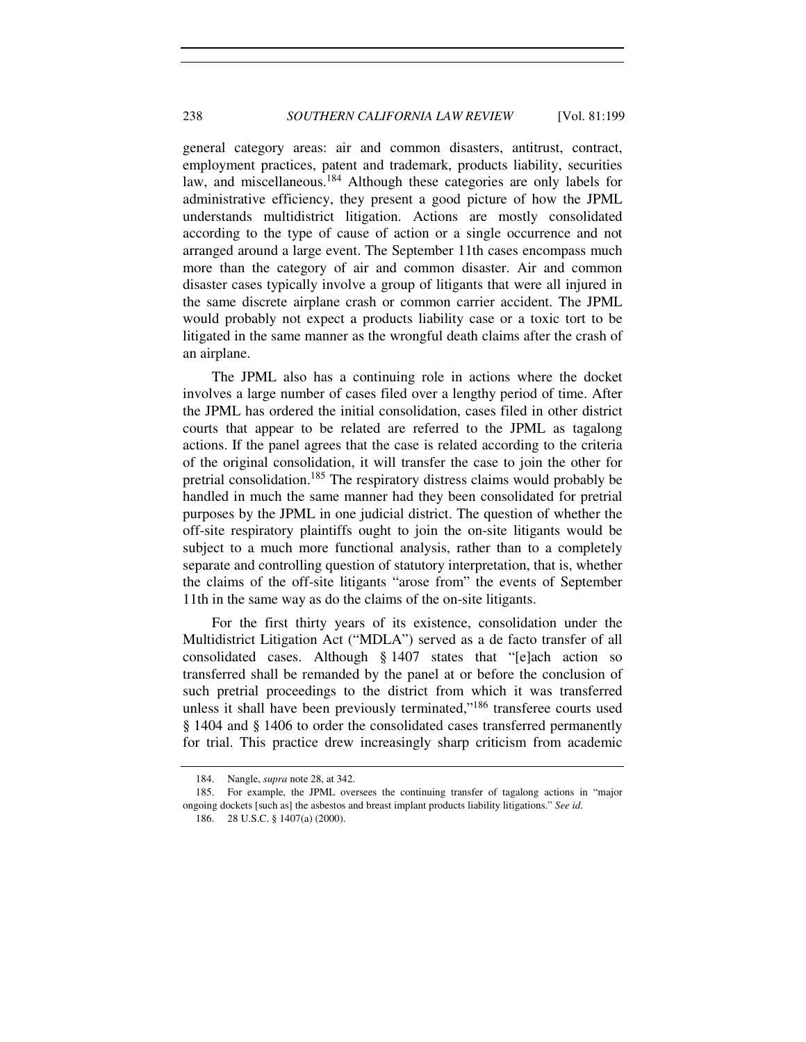general category areas: air and common disasters, antitrust, contract, employment practices, patent and trademark, products liability, securities law, and miscellaneous.<sup>184</sup> Although these categories are only labels for administrative efficiency, they present a good picture of how the JPML understands multidistrict litigation. Actions are mostly consolidated according to the type of cause of action or a single occurrence and not arranged around a large event. The September 11th cases encompass much more than the category of air and common disaster. Air and common disaster cases typically involve a group of litigants that were all injured in the same discrete airplane crash or common carrier accident. The JPML would probably not expect a products liability case or a toxic tort to be litigated in the same manner as the wrongful death claims after the crash of an airplane.

The JPML also has a continuing role in actions where the docket involves a large number of cases filed over a lengthy period of time. After the JPML has ordered the initial consolidation, cases filed in other district courts that appear to be related are referred to the JPML as tagalong actions. If the panel agrees that the case is related according to the criteria of the original consolidation, it will transfer the case to join the other for pretrial consolidation.<sup>185</sup> The respiratory distress claims would probably be handled in much the same manner had they been consolidated for pretrial purposes by the JPML in one judicial district. The question of whether the off-site respiratory plaintiffs ought to join the on-site litigants would be subject to a much more functional analysis, rather than to a completely separate and controlling question of statutory interpretation, that is, whether the claims of the off-site litigants "arose from" the events of September 11th in the same way as do the claims of the on-site litigants.

For the first thirty years of its existence, consolidation under the Multidistrict Litigation Act ("MDLA") served as a de facto transfer of all consolidated cases. Although § 1407 states that "[e]ach action so transferred shall be remanded by the panel at or before the conclusion of such pretrial proceedings to the district from which it was transferred unless it shall have been previously terminated,"<sup>186</sup> transferee courts used § 1404 and § 1406 to order the consolidated cases transferred permanently for trial. This practice drew increasingly sharp criticism from academic

 <sup>184.</sup> Nangle, *supra* note 28, at 342.

 <sup>185.</sup> For example, the JPML oversees the continuing transfer of tagalong actions in "major ongoing dockets [such as] the asbestos and breast implant products liability litigations." *See id*.

 <sup>186. 28</sup> U.S.C. § 1407(a) (2000).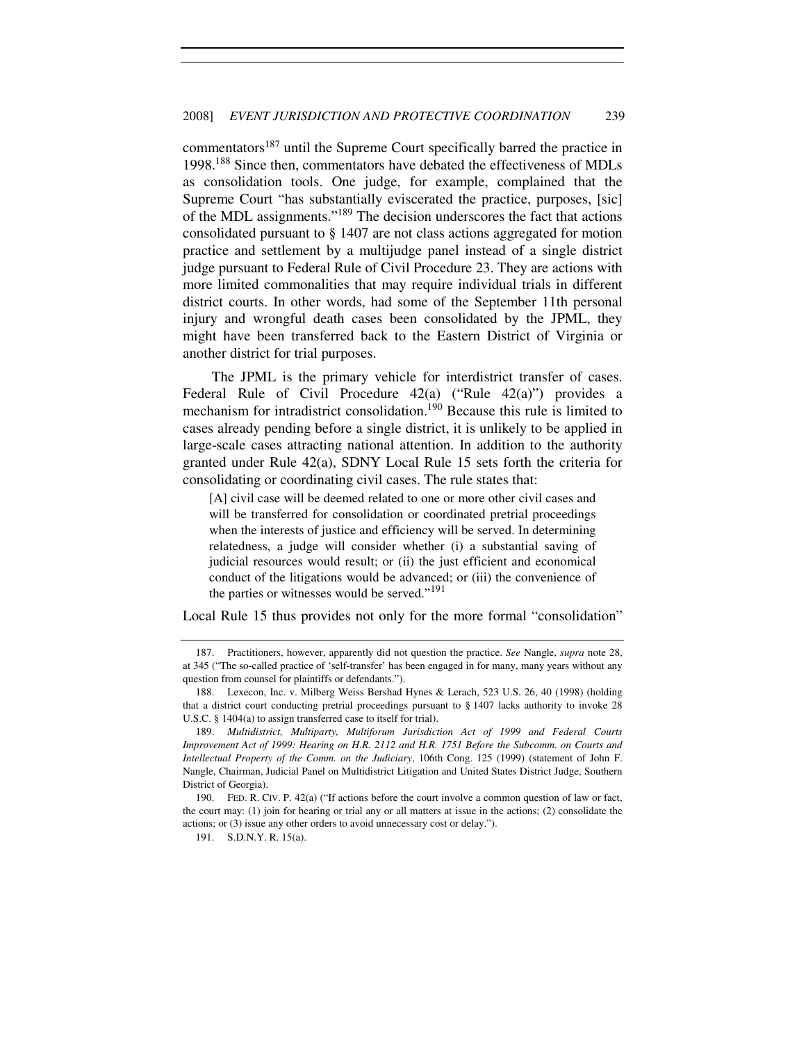commentators<sup>187</sup> until the Supreme Court specifically barred the practice in 1998.<sup>188</sup> Since then, commentators have debated the effectiveness of MDLs as consolidation tools. One judge, for example, complained that the Supreme Court "has substantially eviscerated the practice, purposes, [sic] of the MDL assignments."<sup>189</sup> The decision underscores the fact that actions consolidated pursuant to § 1407 are not class actions aggregated for motion practice and settlement by a multijudge panel instead of a single district judge pursuant to Federal Rule of Civil Procedure 23. They are actions with more limited commonalities that may require individual trials in different district courts. In other words, had some of the September 11th personal injury and wrongful death cases been consolidated by the JPML, they might have been transferred back to the Eastern District of Virginia or another district for trial purposes.

The JPML is the primary vehicle for interdistrict transfer of cases. Federal Rule of Civil Procedure 42(a) ("Rule 42(a)") provides a mechanism for intradistrict consolidation.<sup>190</sup> Because this rule is limited to cases already pending before a single district, it is unlikely to be applied in large-scale cases attracting national attention. In addition to the authority granted under Rule 42(a), SDNY Local Rule 15 sets forth the criteria for consolidating or coordinating civil cases. The rule states that:

[A] civil case will be deemed related to one or more other civil cases and will be transferred for consolidation or coordinated pretrial proceedings when the interests of justice and efficiency will be served. In determining relatedness, a judge will consider whether (i) a substantial saving of judicial resources would result; or (ii) the just efficient and economical conduct of the litigations would be advanced; or (iii) the convenience of the parties or witnesses would be served."<sup>191</sup>

Local Rule 15 thus provides not only for the more formal "consolidation"

 <sup>187.</sup> Practitioners, however, apparently did not question the practice. *See* Nangle, *supra* note 28, at 345 ("The so-called practice of 'self-transfer' has been engaged in for many, many years without any question from counsel for plaintiffs or defendants.").

<sup>188.</sup> Lexecon, Inc. v. Milberg Weiss Bershad Hynes & Lerach, 523 U.S. 26, 40 (1998) (holding that a district court conducting pretrial proceedings pursuant to § 1407 lacks authority to invoke 28 U.S.C. § 1404(a) to assign transferred case to itself for trial).

<sup>189.</sup> *Multidistrict, Multiparty, Multiforum Jurisdiction Act of 1999 and Federal Courts Improvement Act of 1999: Hearing on H.R. 2112 and H.R. 1751 Before the Subcomm. on Courts and Intellectual Property of the Comm. on the Judiciary*, 106th Cong. 125 (1999) (statement of John F. Nangle, Chairman, Judicial Panel on Multidistrict Litigation and United States District Judge, Southern District of Georgia).

 <sup>190.</sup> FED. R. CIV. P. 42(a) ("If actions before the court involve a common question of law or fact, the court may: (1) join for hearing or trial any or all matters at issue in the actions; (2) consolidate the actions; or (3) issue any other orders to avoid unnecessary cost or delay.").

 <sup>191.</sup> S.D.N.Y. R. 15(a).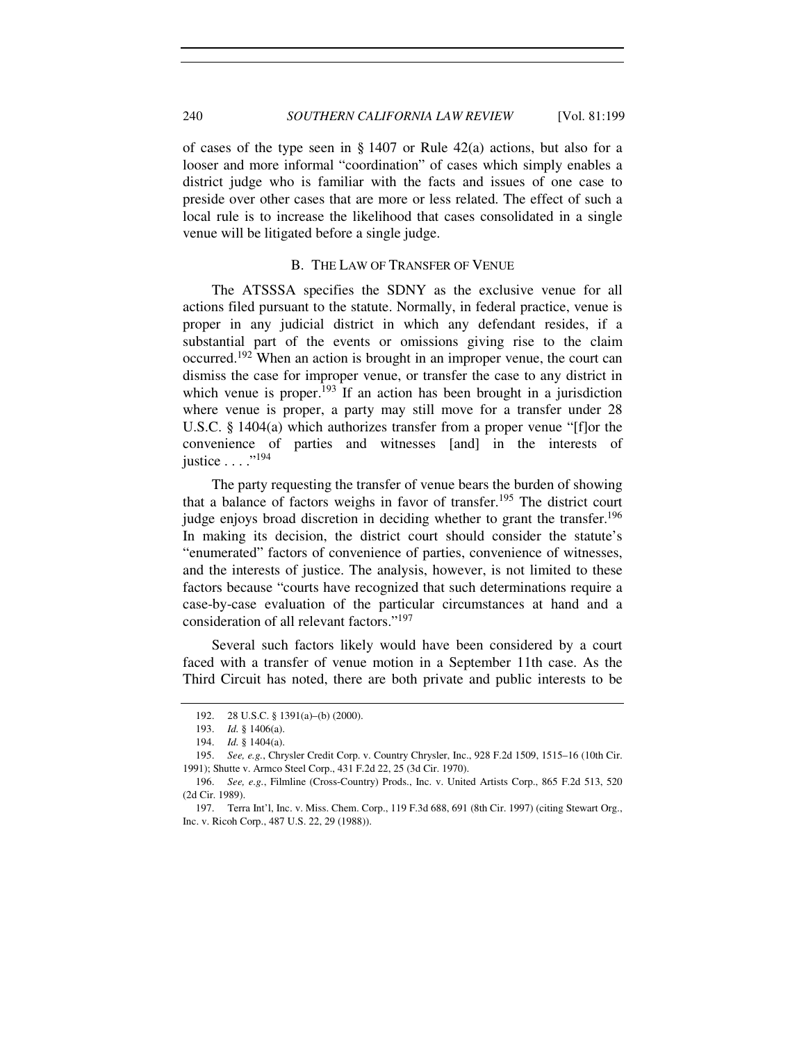of cases of the type seen in § 1407 or Rule 42(a) actions, but also for a looser and more informal "coordination" of cases which simply enables a district judge who is familiar with the facts and issues of one case to preside over other cases that are more or less related. The effect of such a local rule is to increase the likelihood that cases consolidated in a single venue will be litigated before a single judge.

# B. THE LAW OF TRANSFER OF VENUE

The ATSSSA specifies the SDNY as the exclusive venue for all actions filed pursuant to the statute. Normally, in federal practice, venue is proper in any judicial district in which any defendant resides, if a substantial part of the events or omissions giving rise to the claim occurred.<sup>192</sup> When an action is brought in an improper venue, the court can dismiss the case for improper venue, or transfer the case to any district in which venue is proper.<sup>193</sup> If an action has been brought in a jurisdiction where venue is proper, a party may still move for a transfer under 28 U.S.C. § 1404(a) which authorizes transfer from a proper venue "[f]or the convenience of parties and witnesses [and] in the interests of justice . . . . "<sup>194</sup>

The party requesting the transfer of venue bears the burden of showing that a balance of factors weighs in favor of transfer.<sup>195</sup> The district court judge enjoys broad discretion in deciding whether to grant the transfer.<sup>196</sup> In making its decision, the district court should consider the statute's "enumerated" factors of convenience of parties, convenience of witnesses, and the interests of justice. The analysis, however, is not limited to these factors because "courts have recognized that such determinations require a case-by-case evaluation of the particular circumstances at hand and a consideration of all relevant factors."<sup>197</sup>

Several such factors likely would have been considered by a court faced with a transfer of venue motion in a September 11th case. As the Third Circuit has noted, there are both private and public interests to be

 <sup>192. 28</sup> U.S.C. § 1391(a)–(b) (2000).

 <sup>193.</sup> *Id.* § 1406(a).

 <sup>194.</sup> *Id.* § 1404(a).

 <sup>195.</sup> *See, e.g.*, Chrysler Credit Corp. v. Country Chrysler, Inc., 928 F.2d 1509, 1515–16 (10th Cir. 1991); Shutte v. Armco Steel Corp., 431 F.2d 22, 25 (3d Cir. 1970).

 <sup>196.</sup> *See, e.g.*, Filmline (Cross-Country) Prods., Inc. v. United Artists Corp., 865 F.2d 513, 520 (2d Cir. 1989).

<sup>197.</sup> Terra Int'l, Inc. v. Miss. Chem. Corp., 119 F.3d 688, 691 (8th Cir. 1997) (citing Stewart Org., Inc. v. Ricoh Corp., 487 U.S. 22, 29 (1988)).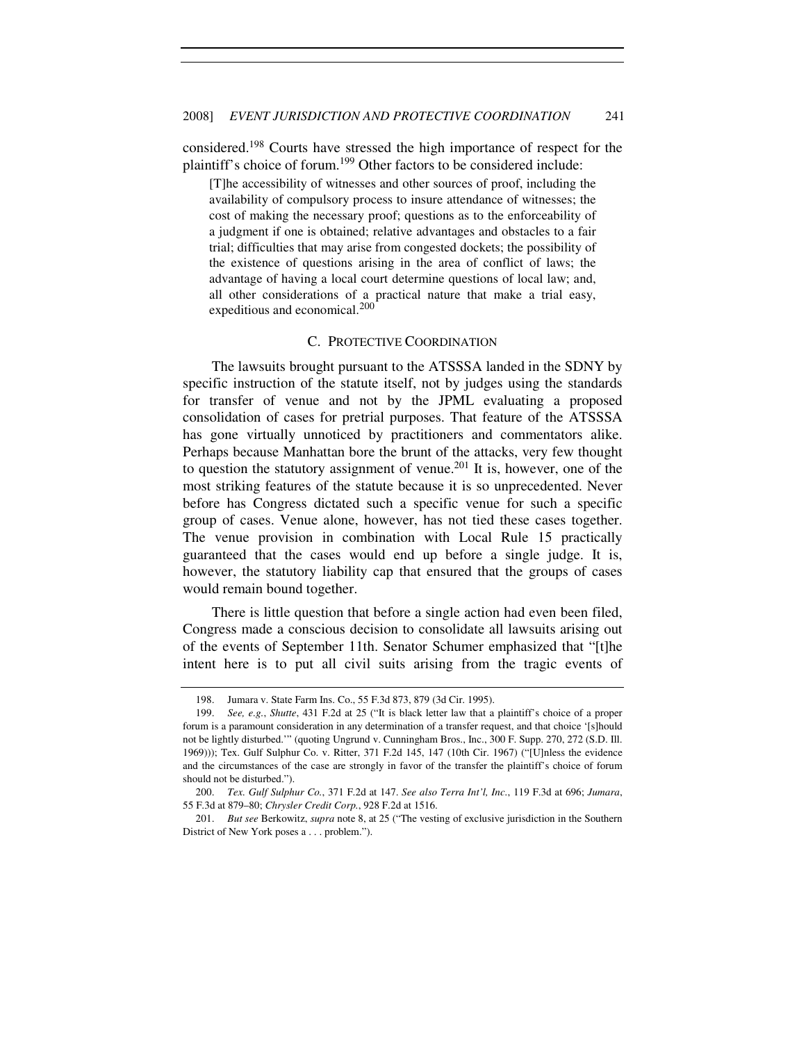considered.<sup>198</sup> Courts have stressed the high importance of respect for the plaintiff's choice of forum.<sup>199</sup> Other factors to be considered include:

[T]he accessibility of witnesses and other sources of proof, including the availability of compulsory process to insure attendance of witnesses; the cost of making the necessary proof; questions as to the enforceability of a judgment if one is obtained; relative advantages and obstacles to a fair trial; difficulties that may arise from congested dockets; the possibility of the existence of questions arising in the area of conflict of laws; the advantage of having a local court determine questions of local law; and, all other considerations of a practical nature that make a trial easy, expeditious and economical.<sup>200</sup>

# C. PROTECTIVE COORDINATION

The lawsuits brought pursuant to the ATSSSA landed in the SDNY by specific instruction of the statute itself, not by judges using the standards for transfer of venue and not by the JPML evaluating a proposed consolidation of cases for pretrial purposes. That feature of the ATSSSA has gone virtually unnoticed by practitioners and commentators alike. Perhaps because Manhattan bore the brunt of the attacks, very few thought to question the statutory assignment of venue.<sup>201</sup> It is, however, one of the most striking features of the statute because it is so unprecedented. Never before has Congress dictated such a specific venue for such a specific group of cases. Venue alone, however, has not tied these cases together. The venue provision in combination with Local Rule 15 practically guaranteed that the cases would end up before a single judge. It is, however, the statutory liability cap that ensured that the groups of cases would remain bound together.

There is little question that before a single action had even been filed, Congress made a conscious decision to consolidate all lawsuits arising out of the events of September 11th. Senator Schumer emphasized that "[t]he intent here is to put all civil suits arising from the tragic events of

<sup>198.</sup> Jumara v. State Farm Ins. Co., 55 F.3d 873, 879 (3d Cir. 1995).

 <sup>199.</sup> *See, e.g.*, *Shutte*, 431 F.2d at 25 ("It is black letter law that a plaintiff's choice of a proper forum is a paramount consideration in any determination of a transfer request, and that choice '[s]hould not be lightly disturbed.'" (quoting Ungrund v. Cunningham Bros., Inc., 300 F. Supp. 270, 272 (S.D. Ill. 1969))); Tex. Gulf Sulphur Co. v. Ritter, 371 F.2d 145, 147 (10th Cir. 1967) ("[U]nless the evidence and the circumstances of the case are strongly in favor of the transfer the plaintiff's choice of forum should not be disturbed.").

<sup>200.</sup> *Tex. Gulf Sulphur Co.*, 371 F.2d at 147. *See also Terra Int'l, Inc.*, 119 F.3d at 696; *Jumara*, 55 F.3d at 879–80; *Chrysler Credit Corp.*, 928 F.2d at 1516.

<sup>201.</sup> *But see* Berkowitz, *supra* note 8, at 25 ("The vesting of exclusive jurisdiction in the Southern District of New York poses a . . . problem.").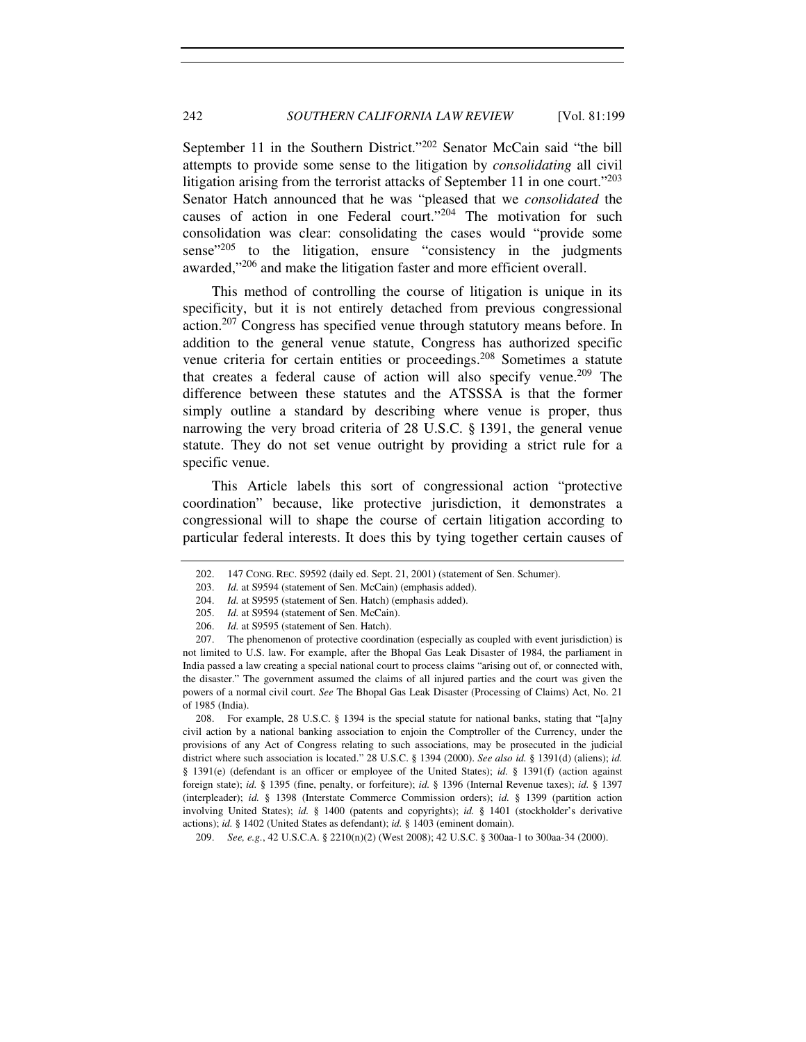September 11 in the Southern District."<sup>202</sup> Senator McCain said "the bill attempts to provide some sense to the litigation by *consolidating* all civil litigation arising from the terrorist attacks of September 11 in one court."<sup>203</sup> Senator Hatch announced that he was "pleased that we *consolidated* the causes of action in one Federal court."<sup>204</sup> The motivation for such consolidation was clear: consolidating the cases would "provide some sense $^{205}$  to the litigation, ensure "consistency in the judgments" awarded,"<sup>206</sup> and make the litigation faster and more efficient overall.

This method of controlling the course of litigation is unique in its specificity, but it is not entirely detached from previous congressional action.<sup>207</sup> Congress has specified venue through statutory means before. In addition to the general venue statute, Congress has authorized specific venue criteria for certain entities or proceedings.<sup>208</sup> Sometimes a statute that creates a federal cause of action will also specify venue.<sup>209</sup> The difference between these statutes and the ATSSSA is that the former simply outline a standard by describing where venue is proper, thus narrowing the very broad criteria of 28 U.S.C. § 1391, the general venue statute. They do not set venue outright by providing a strict rule for a specific venue.

This Article labels this sort of congressional action "protective coordination" because, like protective jurisdiction, it demonstrates a congressional will to shape the course of certain litigation according to particular federal interests. It does this by tying together certain causes of

 208. For example, 28 U.S.C. § 1394 is the special statute for national banks, stating that "[a]ny civil action by a national banking association to enjoin the Comptroller of the Currency, under the provisions of any Act of Congress relating to such associations, may be prosecuted in the judicial district where such association is located." 28 U.S.C. § 1394 (2000). *See also id.* § 1391(d) (aliens); *id.*  § 1391(e) (defendant is an officer or employee of the United States); *id.* § 1391(f) (action against foreign state); *id.* § 1395 (fine, penalty, or forfeiture); *id.* § 1396 (Internal Revenue taxes); *id.* § 1397 (interpleader); *id.* § 1398 (Interstate Commerce Commission orders); *id.* § 1399 (partition action involving United States); *id.* § 1400 (patents and copyrights); *id.* § 1401 (stockholder's derivative actions); *id.* § 1402 (United States as defendant); *id.* § 1403 (eminent domain).

209. *See, e.g.*, 42 U.S.C.A. § 2210(n)(2) (West 2008); 42 U.S.C. § 300aa-1 to 300aa-34 (2000).

 <sup>202. 147</sup> CONG. REC. S9592 (daily ed. Sept. 21, 2001) (statement of Sen. Schumer).

 <sup>203.</sup> *Id.* at S9594 (statement of Sen. McCain) (emphasis added).

<sup>204.</sup> *Id.* at S9595 (statement of Sen. Hatch) (emphasis added).

 <sup>205.</sup> *Id.* at S9594 (statement of Sen. McCain).

<sup>206.</sup> *Id.* at S9595 (statement of Sen. Hatch).

 <sup>207.</sup> The phenomenon of protective coordination (especially as coupled with event jurisdiction) is not limited to U.S. law. For example, after the Bhopal Gas Leak Disaster of 1984, the parliament in India passed a law creating a special national court to process claims "arising out of, or connected with, the disaster." The government assumed the claims of all injured parties and the court was given the powers of a normal civil court. *See* The Bhopal Gas Leak Disaster (Processing of Claims) Act, No. 21 of 1985 (India).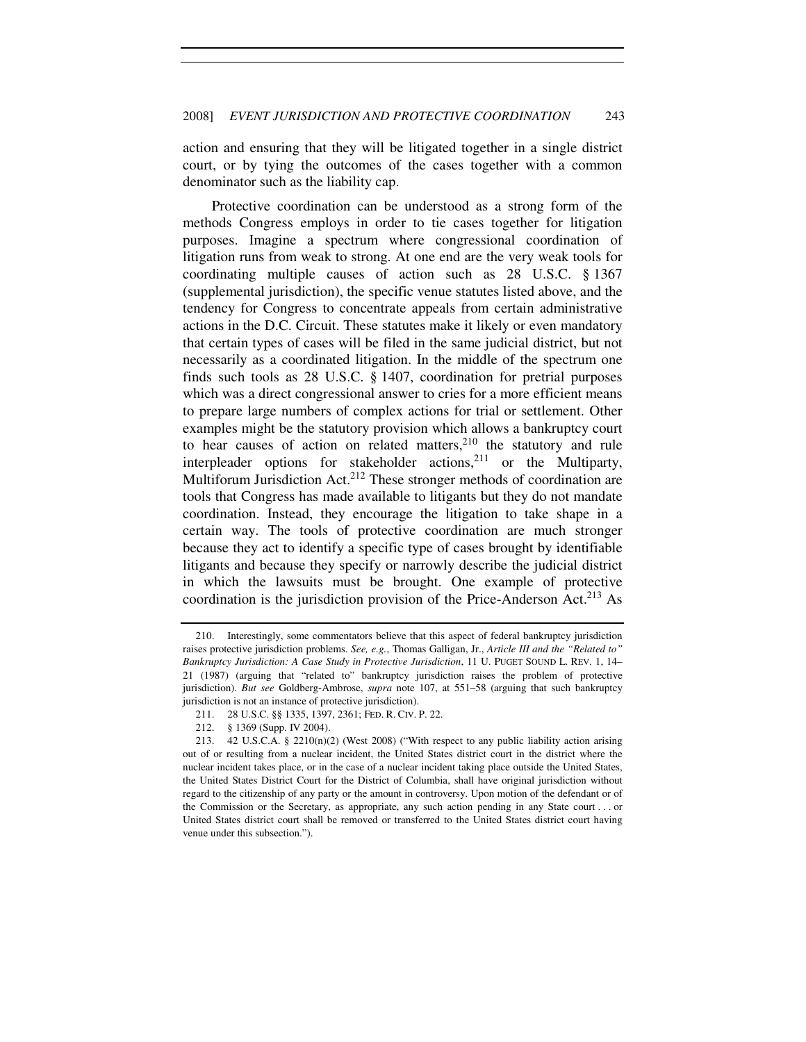action and ensuring that they will be litigated together in a single district court, or by tying the outcomes of the cases together with a common denominator such as the liability cap.

Protective coordination can be understood as a strong form of the methods Congress employs in order to tie cases together for litigation purposes. Imagine a spectrum where congressional coordination of litigation runs from weak to strong. At one end are the very weak tools for coordinating multiple causes of action such as 28 U.S.C. § 1367 (supplemental jurisdiction), the specific venue statutes listed above, and the tendency for Congress to concentrate appeals from certain administrative actions in the D.C. Circuit. These statutes make it likely or even mandatory that certain types of cases will be filed in the same judicial district, but not necessarily as a coordinated litigation. In the middle of the spectrum one finds such tools as 28 U.S.C. § 1407, coordination for pretrial purposes which was a direct congressional answer to cries for a more efficient means to prepare large numbers of complex actions for trial or settlement. Other examples might be the statutory provision which allows a bankruptcy court to hear causes of action on related matters, $2^{10}$  the statutory and rule interpleader options for stakeholder actions, $2^{11}$  or the Multiparty, Multiforum Jurisdiction Act.<sup>212</sup> These stronger methods of coordination are tools that Congress has made available to litigants but they do not mandate coordination. Instead, they encourage the litigation to take shape in a certain way. The tools of protective coordination are much stronger because they act to identify a specific type of cases brought by identifiable litigants and because they specify or narrowly describe the judicial district in which the lawsuits must be brought. One example of protective coordination is the jurisdiction provision of the Price-Anderson Act.<sup>213</sup> As

 <sup>210.</sup> Interestingly, some commentators believe that this aspect of federal bankruptcy jurisdiction raises protective jurisdiction problems. *See, e.g.*, Thomas Galligan, Jr., *Article III and the "Related to" Bankruptcy Jurisdiction: A Case Study in Protective Jurisdiction*, 11 U. PUGET SOUND L. REV. 1, 14– 21 (1987) (arguing that "related to" bankruptcy jurisdiction raises the problem of protective jurisdiction). *But see* Goldberg-Ambrose, *supra* note 107, at 551–58 (arguing that such bankruptcy jurisdiction is not an instance of protective jurisdiction).

 <sup>211. 28</sup> U.S.C. §§ 1335, 1397, 2361; FED. R. CIV. P. 22.

 <sup>212. § 1369 (</sup>Supp. IV 2004).

<sup>213. 42</sup> U.S.C.A. § 2210(n)(2) (West 2008) ("With respect to any public liability action arising out of or resulting from a nuclear incident, the United States district court in the district where the nuclear incident takes place, or in the case of a nuclear incident taking place outside the United States, the United States District Court for the District of Columbia, shall have original jurisdiction without regard to the citizenship of any party or the amount in controversy. Upon motion of the defendant or of the Commission or the Secretary, as appropriate, any such action pending in any State court . . . or United States district court shall be removed or transferred to the United States district court having venue under this subsection.").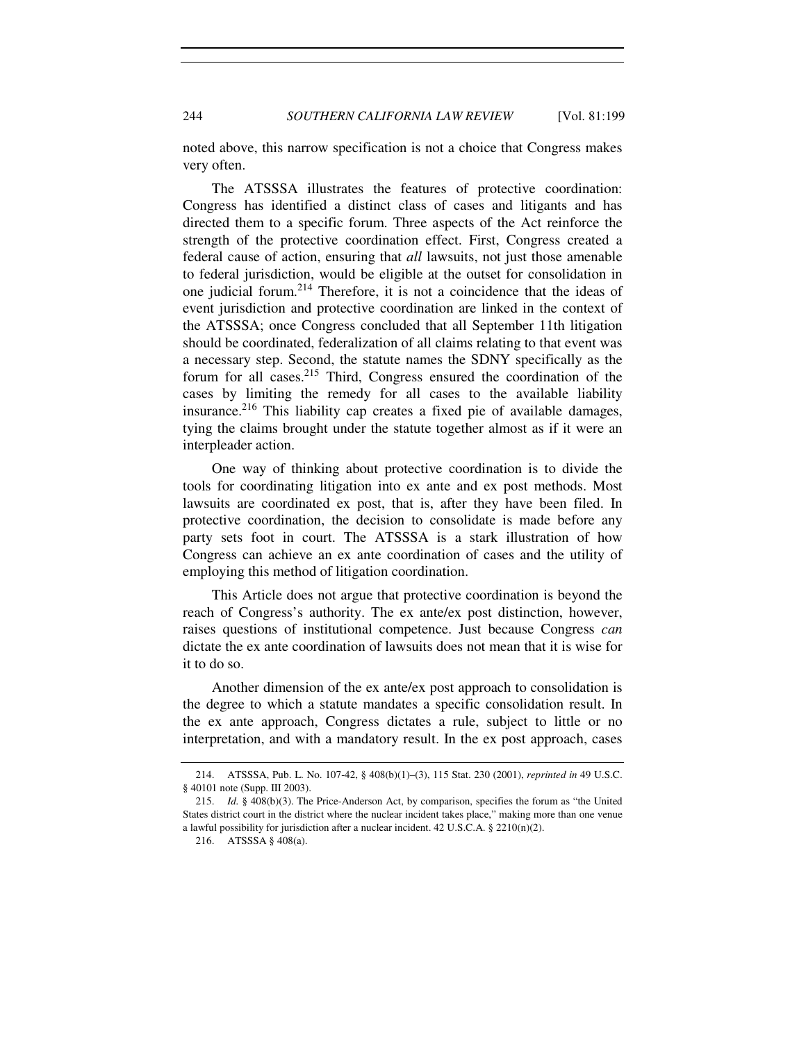# 244 *SOUTHERN CALIFORNIA LAW REVIEW* [Vol. 81:199

noted above, this narrow specification is not a choice that Congress makes very often.

The ATSSSA illustrates the features of protective coordination: Congress has identified a distinct class of cases and litigants and has directed them to a specific forum. Three aspects of the Act reinforce the strength of the protective coordination effect. First, Congress created a federal cause of action, ensuring that *all* lawsuits, not just those amenable to federal jurisdiction, would be eligible at the outset for consolidation in one judicial forum.<sup>214</sup> Therefore, it is not a coincidence that the ideas of event jurisdiction and protective coordination are linked in the context of the ATSSSA; once Congress concluded that all September 11th litigation should be coordinated, federalization of all claims relating to that event was a necessary step. Second, the statute names the SDNY specifically as the forum for all cases.<sup>215</sup> Third, Congress ensured the coordination of the cases by limiting the remedy for all cases to the available liability insurance.<sup>216</sup> This liability cap creates a fixed pie of available damages, tying the claims brought under the statute together almost as if it were an interpleader action.

One way of thinking about protective coordination is to divide the tools for coordinating litigation into ex ante and ex post methods. Most lawsuits are coordinated ex post, that is, after they have been filed. In protective coordination, the decision to consolidate is made before any party sets foot in court. The ATSSSA is a stark illustration of how Congress can achieve an ex ante coordination of cases and the utility of employing this method of litigation coordination.

This Article does not argue that protective coordination is beyond the reach of Congress's authority. The ex ante/ex post distinction, however, raises questions of institutional competence. Just because Congress *can* dictate the ex ante coordination of lawsuits does not mean that it is wise for it to do so.

Another dimension of the ex ante/ex post approach to consolidation is the degree to which a statute mandates a specific consolidation result. In the ex ante approach, Congress dictates a rule, subject to little or no interpretation, and with a mandatory result. In the ex post approach, cases

 <sup>214.</sup> ATSSSA, Pub. L. No. 107-42, § 408(b)(1)–(3), 115 Stat. 230 (2001), *reprinted in* 49 U.S.C. § 40101 note (Supp. III 2003).

 <sup>215.</sup> *Id.* § 408(b)(3). The Price-Anderson Act, by comparison, specifies the forum as "the United States district court in the district where the nuclear incident takes place," making more than one venue a lawful possibility for jurisdiction after a nuclear incident. 42 U.S.C.A. § 2210(n)(2).

 <sup>216.</sup> ATSSSA § 408(a).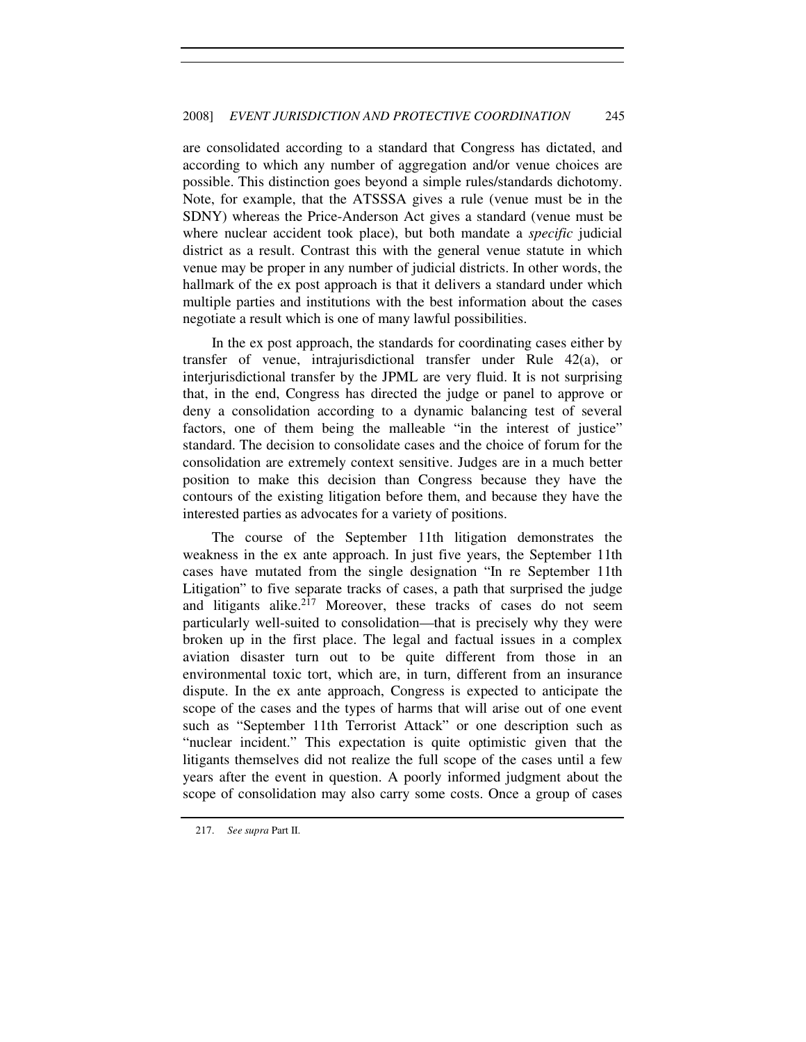are consolidated according to a standard that Congress has dictated, and according to which any number of aggregation and/or venue choices are possible. This distinction goes beyond a simple rules/standards dichotomy. Note, for example, that the ATSSSA gives a rule (venue must be in the SDNY) whereas the Price-Anderson Act gives a standard (venue must be where nuclear accident took place), but both mandate a *specific* judicial district as a result. Contrast this with the general venue statute in which venue may be proper in any number of judicial districts. In other words, the hallmark of the ex post approach is that it delivers a standard under which multiple parties and institutions with the best information about the cases negotiate a result which is one of many lawful possibilities.

In the ex post approach, the standards for coordinating cases either by transfer of venue, intrajurisdictional transfer under Rule 42(a), or interjurisdictional transfer by the JPML are very fluid. It is not surprising that, in the end, Congress has directed the judge or panel to approve or deny a consolidation according to a dynamic balancing test of several factors, one of them being the malleable "in the interest of justice" standard. The decision to consolidate cases and the choice of forum for the consolidation are extremely context sensitive. Judges are in a much better position to make this decision than Congress because they have the contours of the existing litigation before them, and because they have the interested parties as advocates for a variety of positions.

The course of the September 11th litigation demonstrates the weakness in the ex ante approach. In just five years, the September 11th cases have mutated from the single designation "In re September 11th Litigation" to five separate tracks of cases, a path that surprised the judge and litigants alike.<sup>217</sup> Moreover, these tracks of cases do not seem particularly well-suited to consolidation—that is precisely why they were broken up in the first place. The legal and factual issues in a complex aviation disaster turn out to be quite different from those in an environmental toxic tort, which are, in turn, different from an insurance dispute. In the ex ante approach, Congress is expected to anticipate the scope of the cases and the types of harms that will arise out of one event such as "September 11th Terrorist Attack" or one description such as "nuclear incident." This expectation is quite optimistic given that the litigants themselves did not realize the full scope of the cases until a few years after the event in question. A poorly informed judgment about the scope of consolidation may also carry some costs. Once a group of cases

<sup>217.</sup> *See supra* Part II.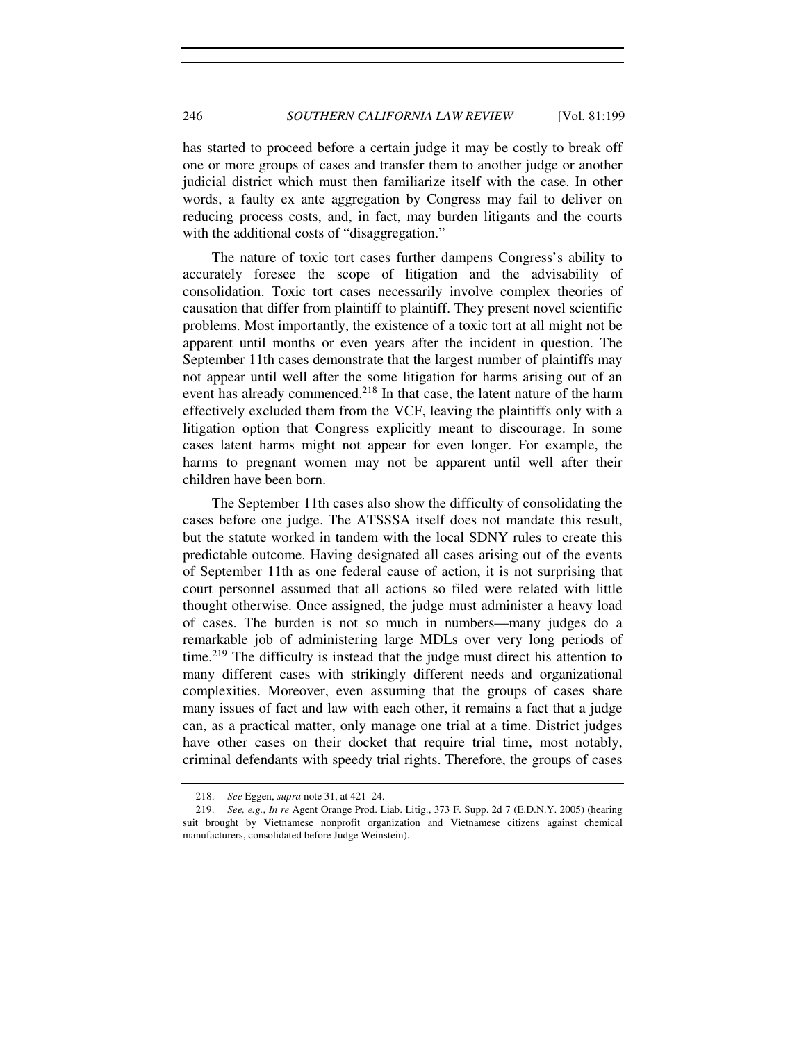has started to proceed before a certain judge it may be costly to break off one or more groups of cases and transfer them to another judge or another judicial district which must then familiarize itself with the case. In other words, a faulty ex ante aggregation by Congress may fail to deliver on reducing process costs, and, in fact, may burden litigants and the courts with the additional costs of "disaggregation."

The nature of toxic tort cases further dampens Congress's ability to accurately foresee the scope of litigation and the advisability of consolidation. Toxic tort cases necessarily involve complex theories of causation that differ from plaintiff to plaintiff. They present novel scientific problems. Most importantly, the existence of a toxic tort at all might not be apparent until months or even years after the incident in question. The September 11th cases demonstrate that the largest number of plaintiffs may not appear until well after the some litigation for harms arising out of an event has already commenced.<sup>218</sup> In that case, the latent nature of the harm effectively excluded them from the VCF, leaving the plaintiffs only with a litigation option that Congress explicitly meant to discourage. In some cases latent harms might not appear for even longer. For example, the harms to pregnant women may not be apparent until well after their children have been born.

The September 11th cases also show the difficulty of consolidating the cases before one judge. The ATSSSA itself does not mandate this result, but the statute worked in tandem with the local SDNY rules to create this predictable outcome. Having designated all cases arising out of the events of September 11th as one federal cause of action, it is not surprising that court personnel assumed that all actions so filed were related with little thought otherwise. Once assigned, the judge must administer a heavy load of cases. The burden is not so much in numbers—many judges do a remarkable job of administering large MDLs over very long periods of time.<sup>219</sup> The difficulty is instead that the judge must direct his attention to many different cases with strikingly different needs and organizational complexities. Moreover, even assuming that the groups of cases share many issues of fact and law with each other, it remains a fact that a judge can, as a practical matter, only manage one trial at a time. District judges have other cases on their docket that require trial time, most notably, criminal defendants with speedy trial rights. Therefore, the groups of cases

<sup>218.</sup> *See* Eggen, *supra* note 31, at 421–24.

<sup>219.</sup> *See, e.g.*, *In re* Agent Orange Prod. Liab. Litig., 373 F. Supp. 2d 7 (E.D.N.Y. 2005) (hearing suit brought by Vietnamese nonprofit organization and Vietnamese citizens against chemical manufacturers, consolidated before Judge Weinstein).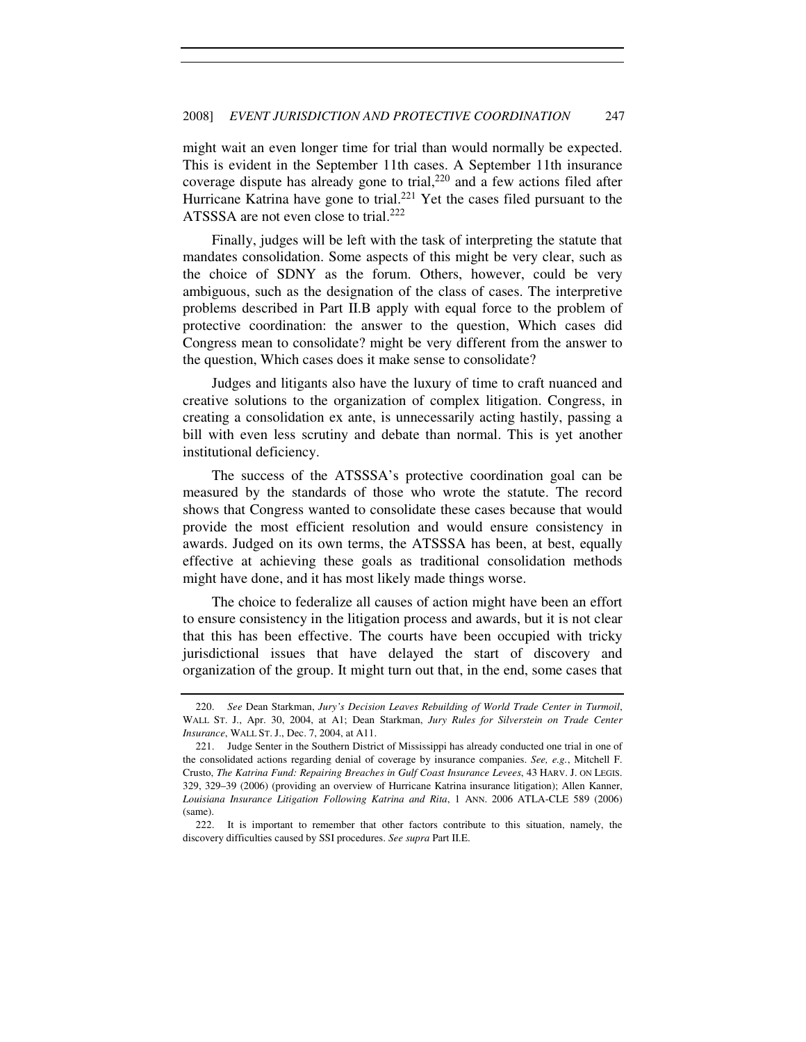might wait an even longer time for trial than would normally be expected. This is evident in the September 11th cases. A September 11th insurance coverage dispute has already gone to trial, $220$  and a few actions filed after Hurricane Katrina have gone to trial.<sup>221</sup> Yet the cases filed pursuant to the ATSSSA are not even close to trial.<sup>222</sup>

Finally, judges will be left with the task of interpreting the statute that mandates consolidation. Some aspects of this might be very clear, such as the choice of SDNY as the forum. Others, however, could be very ambiguous, such as the designation of the class of cases. The interpretive problems described in Part II.B apply with equal force to the problem of protective coordination: the answer to the question, Which cases did Congress mean to consolidate? might be very different from the answer to the question, Which cases does it make sense to consolidate?

Judges and litigants also have the luxury of time to craft nuanced and creative solutions to the organization of complex litigation. Congress, in creating a consolidation ex ante, is unnecessarily acting hastily, passing a bill with even less scrutiny and debate than normal. This is yet another institutional deficiency.

The success of the ATSSSA's protective coordination goal can be measured by the standards of those who wrote the statute. The record shows that Congress wanted to consolidate these cases because that would provide the most efficient resolution and would ensure consistency in awards. Judged on its own terms, the ATSSSA has been, at best, equally effective at achieving these goals as traditional consolidation methods might have done, and it has most likely made things worse.

The choice to federalize all causes of action might have been an effort to ensure consistency in the litigation process and awards, but it is not clear that this has been effective. The courts have been occupied with tricky jurisdictional issues that have delayed the start of discovery and organization of the group. It might turn out that, in the end, some cases that

<sup>220.</sup> *See* Dean Starkman, *Jury's Decision Leaves Rebuilding of World Trade Center in Turmoil*, WALL ST. J., Apr. 30, 2004, at A1; Dean Starkman, *Jury Rules for Silverstein on Trade Center Insurance*, WALL ST. J., Dec. 7, 2004, at A11.

 <sup>221.</sup> Judge Senter in the Southern District of Mississippi has already conducted one trial in one of the consolidated actions regarding denial of coverage by insurance companies. *See, e.g.*, Mitchell F. Crusto, *The Katrina Fund: Repairing Breaches in Gulf Coast Insurance Levees*, 43 HARV. J. ON LEGIS. 329, 329–39 (2006) (providing an overview of Hurricane Katrina insurance litigation); Allen Kanner, *Louisiana Insurance Litigation Following Katrina and Rita*, 1 ANN. 2006 ATLA-CLE 589 (2006) (same).

 <sup>222.</sup> It is important to remember that other factors contribute to this situation, namely, the discovery difficulties caused by SSI procedures. *See supra* Part II.E.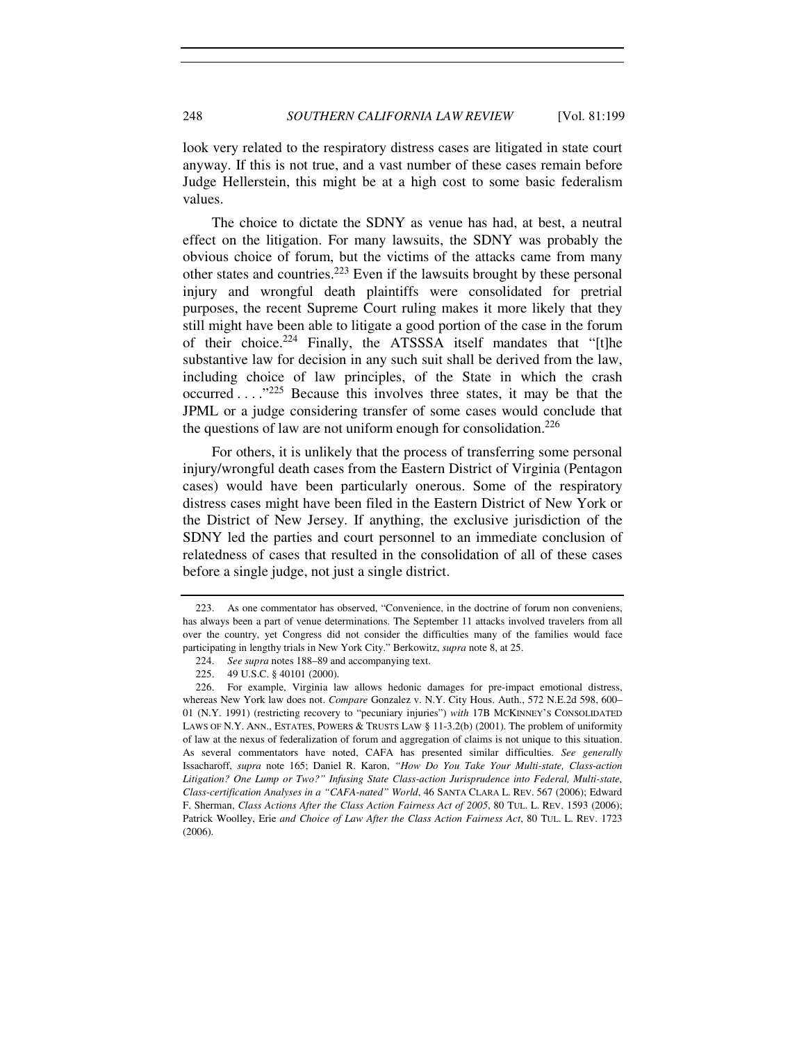look very related to the respiratory distress cases are litigated in state court anyway. If this is not true, and a vast number of these cases remain before Judge Hellerstein, this might be at a high cost to some basic federalism values.

The choice to dictate the SDNY as venue has had, at best, a neutral effect on the litigation. For many lawsuits, the SDNY was probably the obvious choice of forum, but the victims of the attacks came from many other states and countries.<sup>223</sup> Even if the lawsuits brought by these personal injury and wrongful death plaintiffs were consolidated for pretrial purposes, the recent Supreme Court ruling makes it more likely that they still might have been able to litigate a good portion of the case in the forum of their choice.<sup>224</sup> Finally, the ATSSSA itself mandates that "[t]he substantive law for decision in any such suit shall be derived from the law, including choice of law principles, of the State in which the crash occurred  $\ldots$ <sup>225</sup> Because this involves three states, it may be that the JPML or a judge considering transfer of some cases would conclude that the questions of law are not uniform enough for consolidation.<sup>226</sup>

For others, it is unlikely that the process of transferring some personal injury/wrongful death cases from the Eastern District of Virginia (Pentagon cases) would have been particularly onerous. Some of the respiratory distress cases might have been filed in the Eastern District of New York or the District of New Jersey. If anything, the exclusive jurisdiction of the SDNY led the parties and court personnel to an immediate conclusion of relatedness of cases that resulted in the consolidation of all of these cases before a single judge, not just a single district.

 <sup>223.</sup> As one commentator has observed, "Convenience, in the doctrine of forum non conveniens, has always been a part of venue determinations. The September 11 attacks involved travelers from all over the country, yet Congress did not consider the difficulties many of the families would face participating in lengthy trials in New York City." Berkowitz, *supra* note 8, at 25.

<sup>224.</sup> *See supra* notes 188–89 and accompanying text.

 <sup>225. 49</sup> U.S.C. § 40101 (2000).

 <sup>226.</sup> For example, Virginia law allows hedonic damages for pre-impact emotional distress, whereas New York law does not. *Compare* Gonzalez v. N.Y. City Hous. Auth., 572 N.E.2d 598, 600– 01 (N.Y. 1991) (restricting recovery to "pecuniary injuries") *with* 17B MCKINNEY'S CONSOLIDATED LAWS OF N.Y. ANN., ESTATES, POWERS & TRUSTS LAW § 11-3.2(b) (2001). The problem of uniformity of law at the nexus of federalization of forum and aggregation of claims is not unique to this situation. As several commentators have noted, CAFA has presented similar difficulties. *See generally* Issacharoff, *supra* note 165; Daniel R. Karon, *"How Do You Take Your Multi-state, Class-action Litigation? One Lump or Two?" Infusing State Class-action Jurisprudence into Federal, Multi-state, Class-certification Analyses in a "CAFA-nated" World*, 46 SANTA CLARA L. REV. 567 (2006); Edward F. Sherman, *Class Actions After the Class Action Fairness Act of 2005*, 80 TUL. L. REV. 1593 (2006); Patrick Woolley, Erie *and Choice of Law After the Class Action Fairness Act*, 80 TUL. L. REV. 1723 (2006).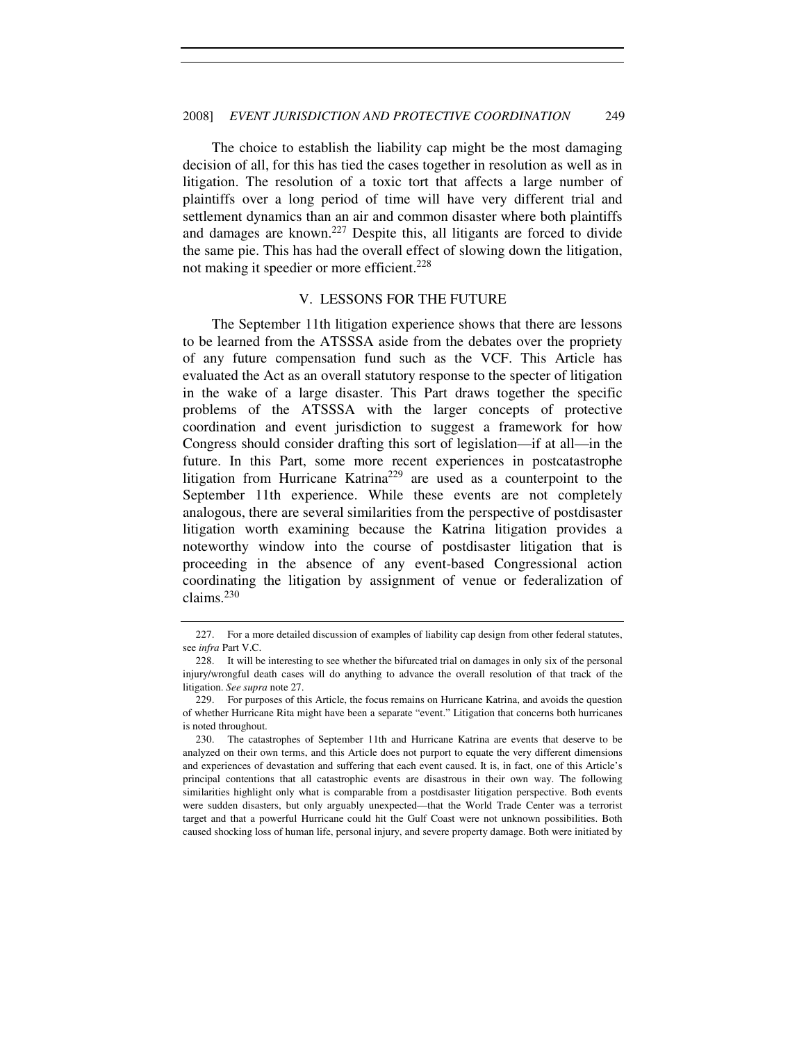The choice to establish the liability cap might be the most damaging decision of all, for this has tied the cases together in resolution as well as in litigation. The resolution of a toxic tort that affects a large number of plaintiffs over a long period of time will have very different trial and settlement dynamics than an air and common disaster where both plaintiffs and damages are known.<sup>227</sup> Despite this, all litigants are forced to divide the same pie. This has had the overall effect of slowing down the litigation, not making it speedier or more efficient.<sup>228</sup>

#### V. LESSONS FOR THE FUTURE

The September 11th litigation experience shows that there are lessons to be learned from the ATSSSA aside from the debates over the propriety of any future compensation fund such as the VCF. This Article has evaluated the Act as an overall statutory response to the specter of litigation in the wake of a large disaster. This Part draws together the specific problems of the ATSSSA with the larger concepts of protective coordination and event jurisdiction to suggest a framework for how Congress should consider drafting this sort of legislation—if at all—in the future. In this Part, some more recent experiences in postcatastrophe litigation from Hurricane Katrina<sup>229</sup> are used as a counterpoint to the September 11th experience. While these events are not completely analogous, there are several similarities from the perspective of postdisaster litigation worth examining because the Katrina litigation provides a noteworthy window into the course of postdisaster litigation that is proceeding in the absence of any event-based Congressional action coordinating the litigation by assignment of venue or federalization of claims.<sup>230</sup>

 <sup>227.</sup> For a more detailed discussion of examples of liability cap design from other federal statutes, see *infra* Part V.C.

 <sup>228.</sup> It will be interesting to see whether the bifurcated trial on damages in only six of the personal injury/wrongful death cases will do anything to advance the overall resolution of that track of the litigation. *See supra* note 27.

 <sup>229.</sup> For purposes of this Article, the focus remains on Hurricane Katrina, and avoids the question of whether Hurricane Rita might have been a separate "event." Litigation that concerns both hurricanes is noted throughout.

 <sup>230.</sup> The catastrophes of September 11th and Hurricane Katrina are events that deserve to be analyzed on their own terms, and this Article does not purport to equate the very different dimensions and experiences of devastation and suffering that each event caused. It is, in fact, one of this Article's principal contentions that all catastrophic events are disastrous in their own way. The following similarities highlight only what is comparable from a postdisaster litigation perspective. Both events were sudden disasters, but only arguably unexpected—that the World Trade Center was a terrorist target and that a powerful Hurricane could hit the Gulf Coast were not unknown possibilities. Both caused shocking loss of human life, personal injury, and severe property damage. Both were initiated by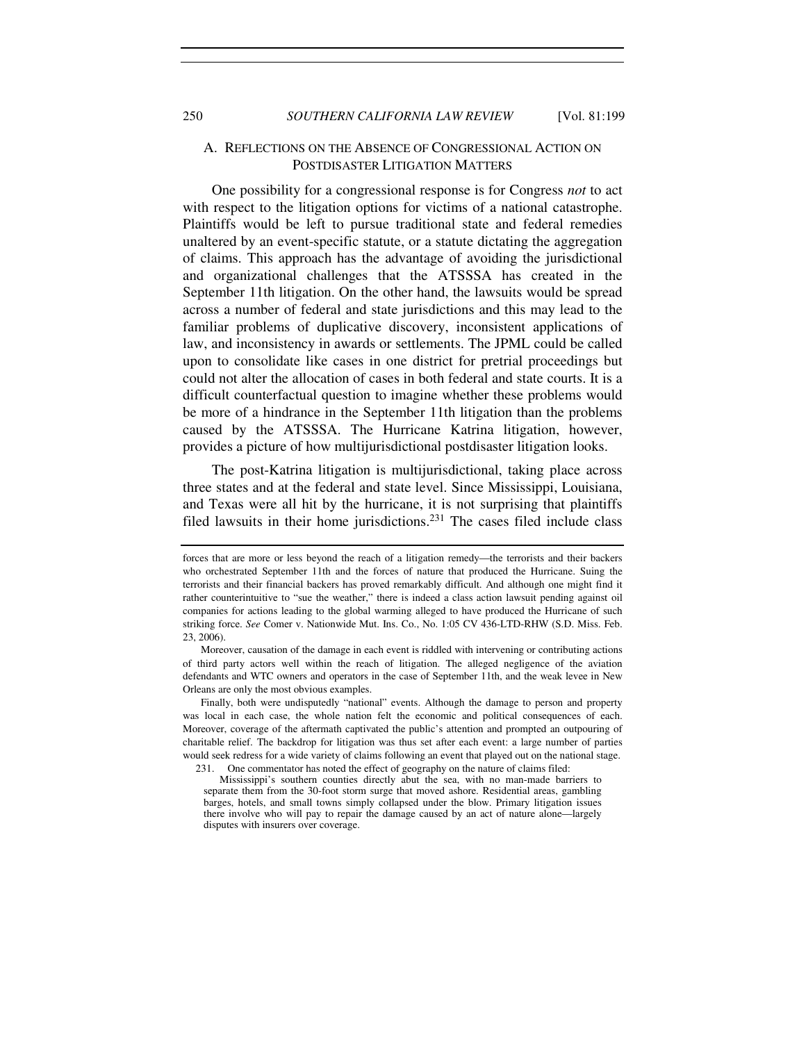# A. REFLECTIONS ON THE ABSENCE OF CONGRESSIONAL ACTION ON POSTDISASTER LITIGATION MATTERS

One possibility for a congressional response is for Congress *not* to act with respect to the litigation options for victims of a national catastrophe. Plaintiffs would be left to pursue traditional state and federal remedies unaltered by an event-specific statute, or a statute dictating the aggregation of claims. This approach has the advantage of avoiding the jurisdictional and organizational challenges that the ATSSSA has created in the September 11th litigation. On the other hand, the lawsuits would be spread across a number of federal and state jurisdictions and this may lead to the familiar problems of duplicative discovery, inconsistent applications of law, and inconsistency in awards or settlements. The JPML could be called upon to consolidate like cases in one district for pretrial proceedings but could not alter the allocation of cases in both federal and state courts. It is a difficult counterfactual question to imagine whether these problems would be more of a hindrance in the September 11th litigation than the problems caused by the ATSSSA. The Hurricane Katrina litigation, however, provides a picture of how multijurisdictional postdisaster litigation looks.

The post-Katrina litigation is multijurisdictional, taking place across three states and at the federal and state level. Since Mississippi, Louisiana, and Texas were all hit by the hurricane, it is not surprising that plaintiffs filed lawsuits in their home jurisdictions.<sup>231</sup> The cases filed include class

forces that are more or less beyond the reach of a litigation remedy—the terrorists and their backers who orchestrated September 11th and the forces of nature that produced the Hurricane. Suing the terrorists and their financial backers has proved remarkably difficult. And although one might find it rather counterintuitive to "sue the weather," there is indeed a class action lawsuit pending against oil companies for actions leading to the global warming alleged to have produced the Hurricane of such striking force. *See* Comer v. Nationwide Mut. Ins. Co., No. 1:05 CV 436-LTD-RHW (S.D. Miss. Feb. 23, 2006).

Moreover, causation of the damage in each event is riddled with intervening or contributing actions of third party actors well within the reach of litigation. The alleged negligence of the aviation defendants and WTC owners and operators in the case of September 11th, and the weak levee in New Orleans are only the most obvious examples.

Finally, both were undisputedly "national" events. Although the damage to person and property was local in each case, the whole nation felt the economic and political consequences of each. Moreover, coverage of the aftermath captivated the public's attention and prompted an outpouring of charitable relief. The backdrop for litigation was thus set after each event: a large number of parties would seek redress for a wide variety of claims following an event that played out on the national stage. 231. One commentator has noted the effect of geography on the nature of claims filed:

Mississippi's southern counties directly abut the sea, with no man-made barriers to separate them from the 30-foot storm surge that moved ashore. Residential areas, gambling barges, hotels, and small towns simply collapsed under the blow. Primary litigation issues there involve who will pay to repair the damage caused by an act of nature alone—largely disputes with insurers over coverage.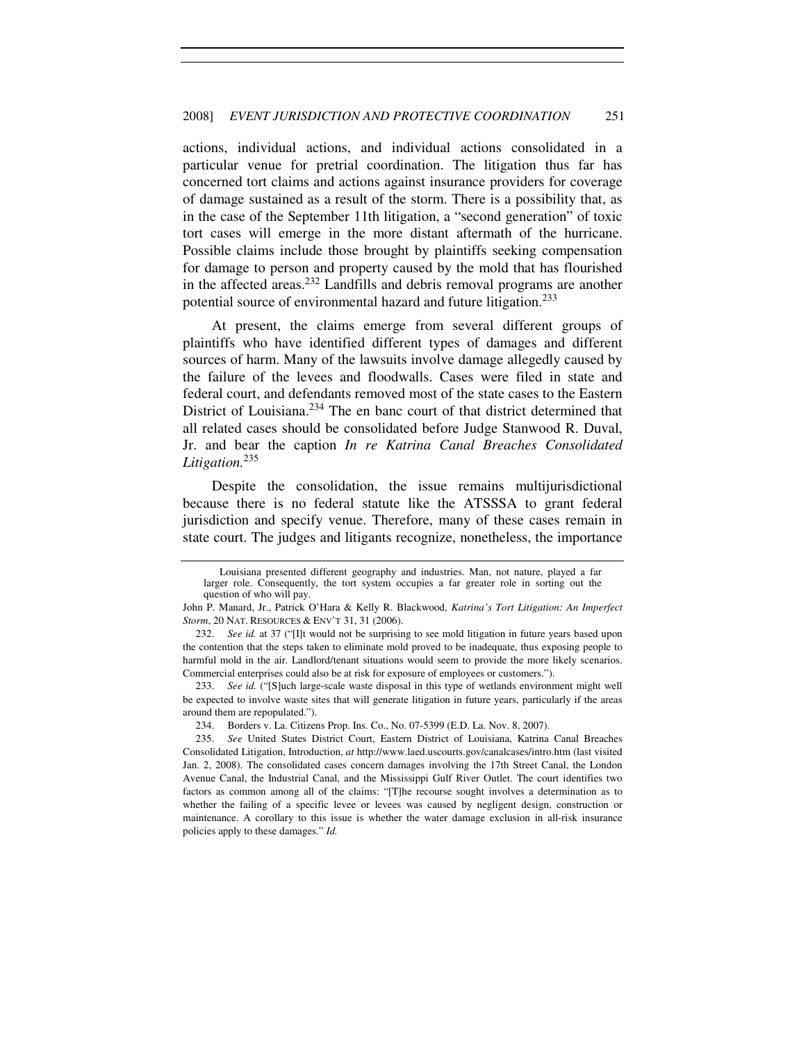actions, individual actions, and individual actions consolidated in a particular venue for pretrial coordination. The litigation thus far has concerned tort claims and actions against insurance providers for coverage of damage sustained as a result of the storm. There is a possibility that, as in the case of the September 11th litigation, a "second generation" of toxic tort cases will emerge in the more distant aftermath of the hurricane. Possible claims include those brought by plaintiffs seeking compensation for damage to person and property caused by the mold that has flourished in the affected areas.<sup>232</sup> Landfills and debris removal programs are another potential source of environmental hazard and future litigation.<sup>233</sup>

At present, the claims emerge from several different groups of plaintiffs who have identified different types of damages and different sources of harm. Many of the lawsuits involve damage allegedly caused by the failure of the levees and floodwalls. Cases were filed in state and federal court, and defendants removed most of the state cases to the Eastern District of Louisiana.<sup>234</sup> The en banc court of that district determined that all related cases should be consolidated before Judge Stanwood R. Duval, Jr. and bear the caption *In re Katrina Canal Breaches Consolidated Litigation.*<sup>235</sup>

Despite the consolidation, the issue remains multijurisdictional because there is no federal statute like the ATSSSA to grant federal jurisdiction and specify venue. Therefore, many of these cases remain in state court. The judges and litigants recognize, nonetheless, the importance

Louisiana presented different geography and industries. Man, not nature, played a far larger role. Consequently, the tort system occupies a far greater role in sorting out the question of who will pay.

John P. Manard, Jr., Patrick O'Hara & Kelly R. Blackwood, *Katrina's Tort Litigation: An Imperfect Storm*, 20 NAT. RESOURCES & ENV'T 31, 31 (2006).

 <sup>232.</sup> *See id.* at 37 ("[I]t would not be surprising to see mold litigation in future years based upon the contention that the steps taken to eliminate mold proved to be inadequate, thus exposing people to harmful mold in the air. Landlord/tenant situations would seem to provide the more likely scenarios. Commercial enterprises could also be at risk for exposure of employees or customers.").

<sup>233.</sup> *See id.* ("[S]uch large-scale waste disposal in this type of wetlands environment might well be expected to involve waste sites that will generate litigation in future years, particularly if the areas around them are repopulated.").

 <sup>234.</sup> Borders v. La. Citizens Prop. Ins. Co., No. 07-5399 (E.D. La. Nov. 8, 2007).

<sup>235.</sup> *See* United States District Court, Eastern District of Louisiana, Katrina Canal Breaches Consolidated Litigation, Introduction, *at* http://www.laed.uscourts.gov/canalcases/intro.htm (last visited Jan. 2, 2008). The consolidated cases concern damages involving the 17th Street Canal, the London Avenue Canal, the Industrial Canal, and the Mississippi Gulf River Outlet. The court identifies two factors as common among all of the claims: "[T]he recourse sought involves a determination as to whether the failing of a specific levee or levees was caused by negligent design, construction or maintenance. A corollary to this issue is whether the water damage exclusion in all-risk insurance policies apply to these damages." *Id.*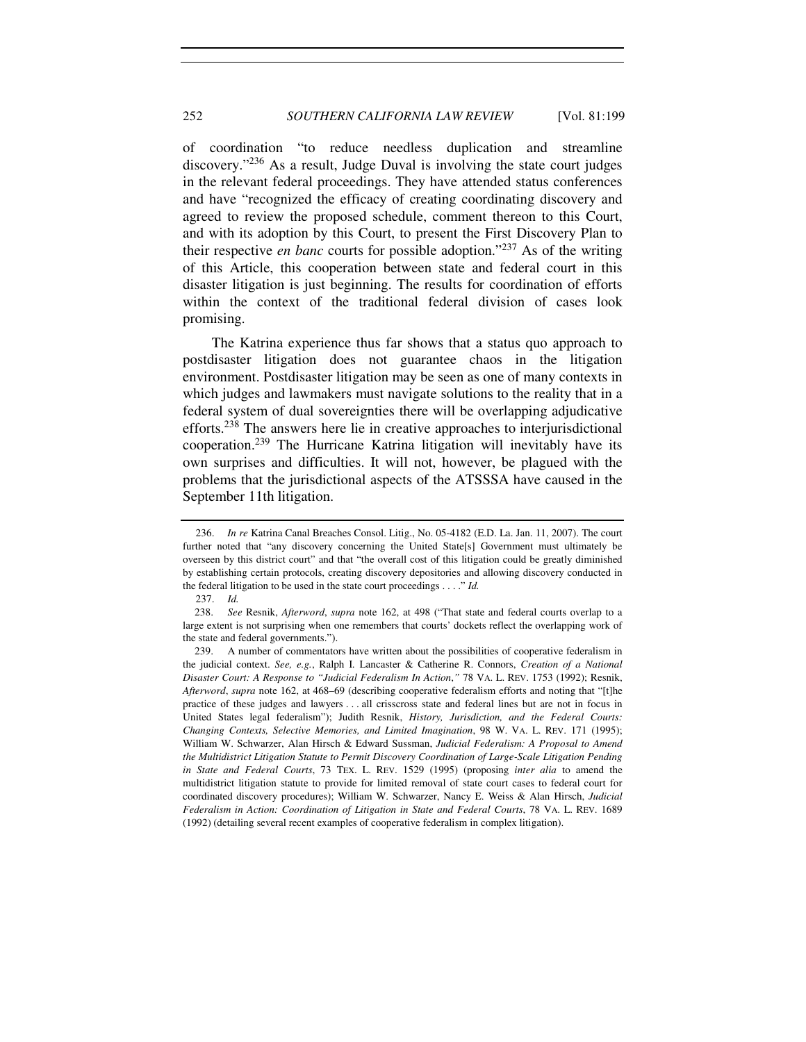of coordination "to reduce needless duplication and streamline discovery."<sup>236</sup> As a result, Judge Duval is involving the state court judges in the relevant federal proceedings. They have attended status conferences and have "recognized the efficacy of creating coordinating discovery and agreed to review the proposed schedule, comment thereon to this Court, and with its adoption by this Court, to present the First Discovery Plan to their respective *en banc* courts for possible adoption."<sup>237</sup> As of the writing of this Article, this cooperation between state and federal court in this disaster litigation is just beginning. The results for coordination of efforts within the context of the traditional federal division of cases look promising.

The Katrina experience thus far shows that a status quo approach to postdisaster litigation does not guarantee chaos in the litigation environment. Postdisaster litigation may be seen as one of many contexts in which judges and lawmakers must navigate solutions to the reality that in a federal system of dual sovereignties there will be overlapping adjudicative efforts.<sup>238</sup> The answers here lie in creative approaches to interjurisdictional cooperation.<sup>239</sup> The Hurricane Katrina litigation will inevitably have its own surprises and difficulties. It will not, however, be plagued with the problems that the jurisdictional aspects of the ATSSSA have caused in the September 11th litigation.

 <sup>236.</sup> *In re* Katrina Canal Breaches Consol. Litig., No. 05-4182 (E.D. La. Jan. 11, 2007). The court further noted that "any discovery concerning the United State[s] Government must ultimately be overseen by this district court" and that "the overall cost of this litigation could be greatly diminished by establishing certain protocols, creating discovery depositories and allowing discovery conducted in the federal litigation to be used in the state court proceedings . . . ." *Id.*

<sup>237.</sup> *Id.*

<sup>238.</sup> *See* Resnik, *Afterword*, *supra* note 162, at 498 ("That state and federal courts overlap to a large extent is not surprising when one remembers that courts' dockets reflect the overlapping work of the state and federal governments.").

<sup>239.</sup> A number of commentators have written about the possibilities of cooperative federalism in the judicial context. *See, e.g.*, Ralph I. Lancaster & Catherine R. Connors, *Creation of a National Disaster Court: A Response to "Judicial Federalism In Action*,*"* 78 VA. L. REV. 1753 (1992); Resnik, *Afterword*, *supra* note 162, at 468–69 (describing cooperative federalism efforts and noting that "[t]he practice of these judges and lawyers . . . all crisscross state and federal lines but are not in focus in United States legal federalism"); Judith Resnik, *History, Jurisdiction, and the Federal Courts: Changing Contexts, Selective Memories, and Limited Imagination*, 98 W. VA. L. REV. 171 (1995); William W. Schwarzer, Alan Hirsch & Edward Sussman, *Judicial Federalism: A Proposal to Amend the Multidistrict Litigation Statute to Permit Discovery Coordination of Large-Scale Litigation Pending in State and Federal Courts*, 73 TEX. L. REV. 1529 (1995) (proposing *inter alia* to amend the multidistrict litigation statute to provide for limited removal of state court cases to federal court for coordinated discovery procedures); William W. Schwarzer, Nancy E. Weiss & Alan Hirsch, *Judicial Federalism in Action: Coordination of Litigation in State and Federal Courts*, 78 VA. L. REV. 1689 (1992) (detailing several recent examples of cooperative federalism in complex litigation).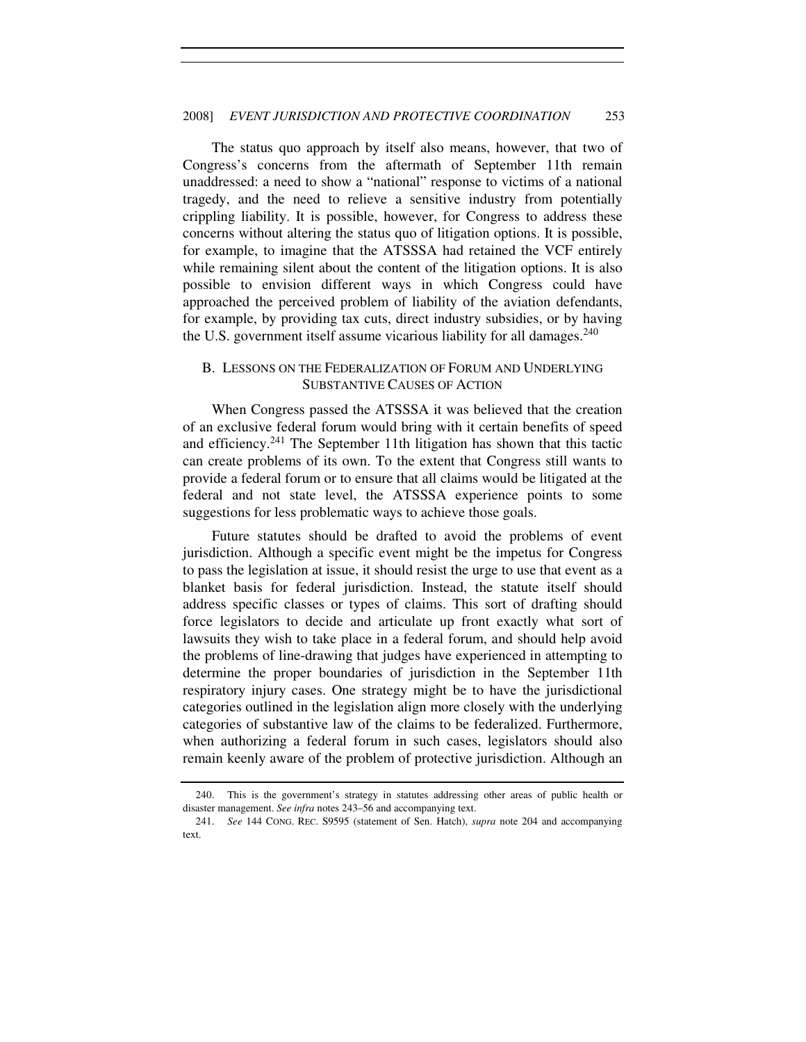The status quo approach by itself also means, however, that two of Congress's concerns from the aftermath of September 11th remain unaddressed: a need to show a "national" response to victims of a national tragedy, and the need to relieve a sensitive industry from potentially crippling liability. It is possible, however, for Congress to address these concerns without altering the status quo of litigation options. It is possible, for example, to imagine that the ATSSSA had retained the VCF entirely while remaining silent about the content of the litigation options. It is also possible to envision different ways in which Congress could have approached the perceived problem of liability of the aviation defendants, for example, by providing tax cuts, direct industry subsidies, or by having the U.S. government itself assume vicarious liability for all damages.<sup>240</sup>

# B. LESSONS ON THE FEDERALIZATION OF FORUM AND UNDERLYING SUBSTANTIVE CAUSES OF ACTION

When Congress passed the ATSSSA it was believed that the creation of an exclusive federal forum would bring with it certain benefits of speed and efficiency.<sup>241</sup> The September 11th litigation has shown that this tactic can create problems of its own. To the extent that Congress still wants to provide a federal forum or to ensure that all claims would be litigated at the federal and not state level, the ATSSSA experience points to some suggestions for less problematic ways to achieve those goals.

Future statutes should be drafted to avoid the problems of event jurisdiction. Although a specific event might be the impetus for Congress to pass the legislation at issue, it should resist the urge to use that event as a blanket basis for federal jurisdiction. Instead, the statute itself should address specific classes or types of claims. This sort of drafting should force legislators to decide and articulate up front exactly what sort of lawsuits they wish to take place in a federal forum, and should help avoid the problems of line-drawing that judges have experienced in attempting to determine the proper boundaries of jurisdiction in the September 11th respiratory injury cases. One strategy might be to have the jurisdictional categories outlined in the legislation align more closely with the underlying categories of substantive law of the claims to be federalized. Furthermore, when authorizing a federal forum in such cases, legislators should also remain keenly aware of the problem of protective jurisdiction. Although an

 <sup>240.</sup> This is the government's strategy in statutes addressing other areas of public health or disaster management. *See infra* notes 243–56 and accompanying text.

<sup>241.</sup> *See* 144 CONG. REC. S9595 (statement of Sen. Hatch), *supra* note 204 and accompanying text.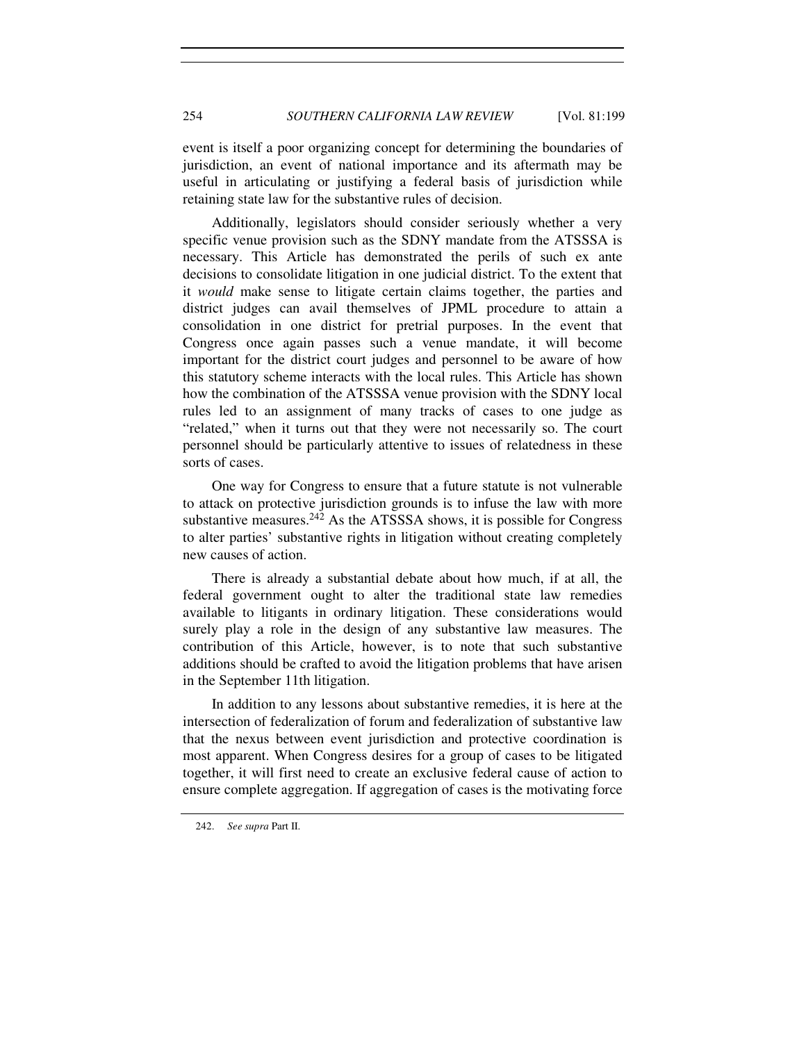event is itself a poor organizing concept for determining the boundaries of jurisdiction, an event of national importance and its aftermath may be useful in articulating or justifying a federal basis of jurisdiction while retaining state law for the substantive rules of decision.

Additionally, legislators should consider seriously whether a very specific venue provision such as the SDNY mandate from the ATSSSA is necessary. This Article has demonstrated the perils of such ex ante decisions to consolidate litigation in one judicial district. To the extent that it *would* make sense to litigate certain claims together, the parties and district judges can avail themselves of JPML procedure to attain a consolidation in one district for pretrial purposes. In the event that Congress once again passes such a venue mandate, it will become important for the district court judges and personnel to be aware of how this statutory scheme interacts with the local rules. This Article has shown how the combination of the ATSSSA venue provision with the SDNY local rules led to an assignment of many tracks of cases to one judge as "related," when it turns out that they were not necessarily so. The court personnel should be particularly attentive to issues of relatedness in these sorts of cases.

One way for Congress to ensure that a future statute is not vulnerable to attack on protective jurisdiction grounds is to infuse the law with more substantive measures. $^{242}$  As the ATSSSA shows, it is possible for Congress to alter parties' substantive rights in litigation without creating completely new causes of action.

There is already a substantial debate about how much, if at all, the federal government ought to alter the traditional state law remedies available to litigants in ordinary litigation. These considerations would surely play a role in the design of any substantive law measures. The contribution of this Article, however, is to note that such substantive additions should be crafted to avoid the litigation problems that have arisen in the September 11th litigation.

In addition to any lessons about substantive remedies, it is here at the intersection of federalization of forum and federalization of substantive law that the nexus between event jurisdiction and protective coordination is most apparent. When Congress desires for a group of cases to be litigated together, it will first need to create an exclusive federal cause of action to ensure complete aggregation. If aggregation of cases is the motivating force

<sup>242.</sup> *See supra* Part II.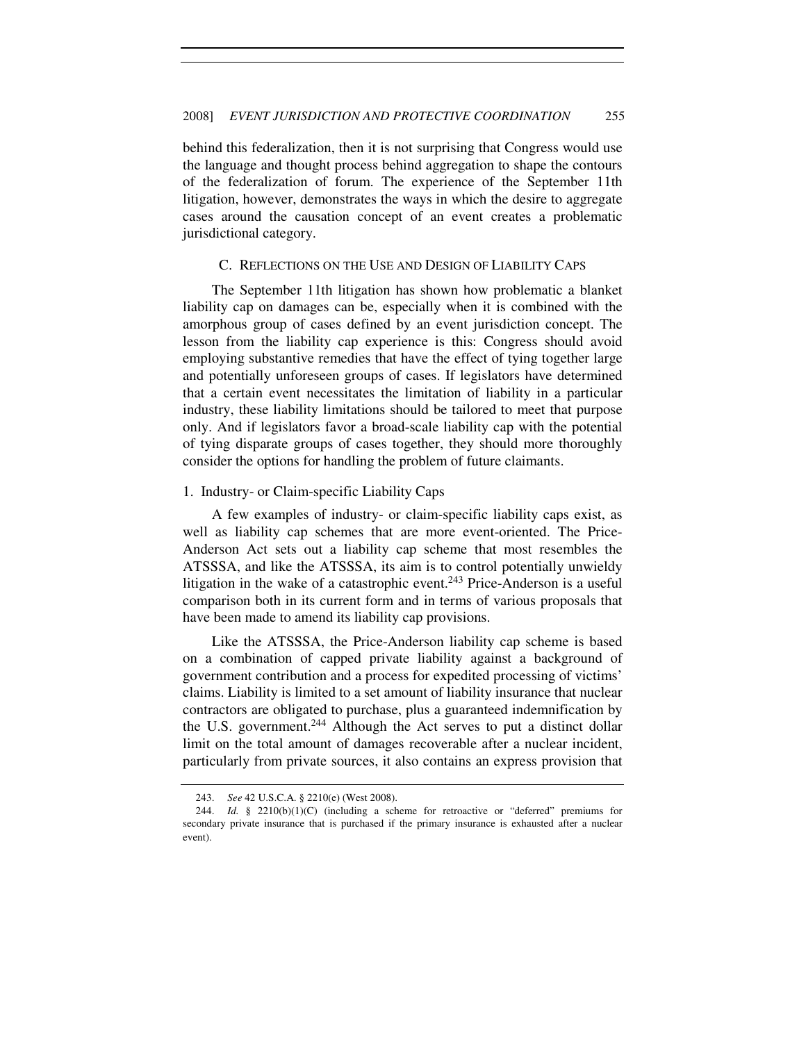behind this federalization, then it is not surprising that Congress would use the language and thought process behind aggregation to shape the contours of the federalization of forum. The experience of the September 11th litigation, however, demonstrates the ways in which the desire to aggregate cases around the causation concept of an event creates a problematic jurisdictional category.

#### C. REFLECTIONS ON THE USE AND DESIGN OF LIABILITY CAPS

The September 11th litigation has shown how problematic a blanket liability cap on damages can be, especially when it is combined with the amorphous group of cases defined by an event jurisdiction concept. The lesson from the liability cap experience is this: Congress should avoid employing substantive remedies that have the effect of tying together large and potentially unforeseen groups of cases. If legislators have determined that a certain event necessitates the limitation of liability in a particular industry, these liability limitations should be tailored to meet that purpose only. And if legislators favor a broad-scale liability cap with the potential of tying disparate groups of cases together, they should more thoroughly consider the options for handling the problem of future claimants.

# 1. Industry- or Claim-specific Liability Caps

A few examples of industry- or claim-specific liability caps exist, as well as liability cap schemes that are more event-oriented. The Price-Anderson Act sets out a liability cap scheme that most resembles the ATSSSA, and like the ATSSSA, its aim is to control potentially unwieldy litigation in the wake of a catastrophic event.<sup>243</sup> Price-Anderson is a useful comparison both in its current form and in terms of various proposals that have been made to amend its liability cap provisions.

Like the ATSSSA, the Price-Anderson liability cap scheme is based on a combination of capped private liability against a background of government contribution and a process for expedited processing of victims' claims. Liability is limited to a set amount of liability insurance that nuclear contractors are obligated to purchase, plus a guaranteed indemnification by the U.S. government.<sup>244</sup> Although the Act serves to put a distinct dollar limit on the total amount of damages recoverable after a nuclear incident, particularly from private sources, it also contains an express provision that

 <sup>243.</sup> *See* 42 U.S.C.A. § 2210(e) (West 2008).

 <sup>244.</sup> *Id.* § 2210(b)(1)(C) (including a scheme for retroactive or "deferred" premiums for secondary private insurance that is purchased if the primary insurance is exhausted after a nuclear event).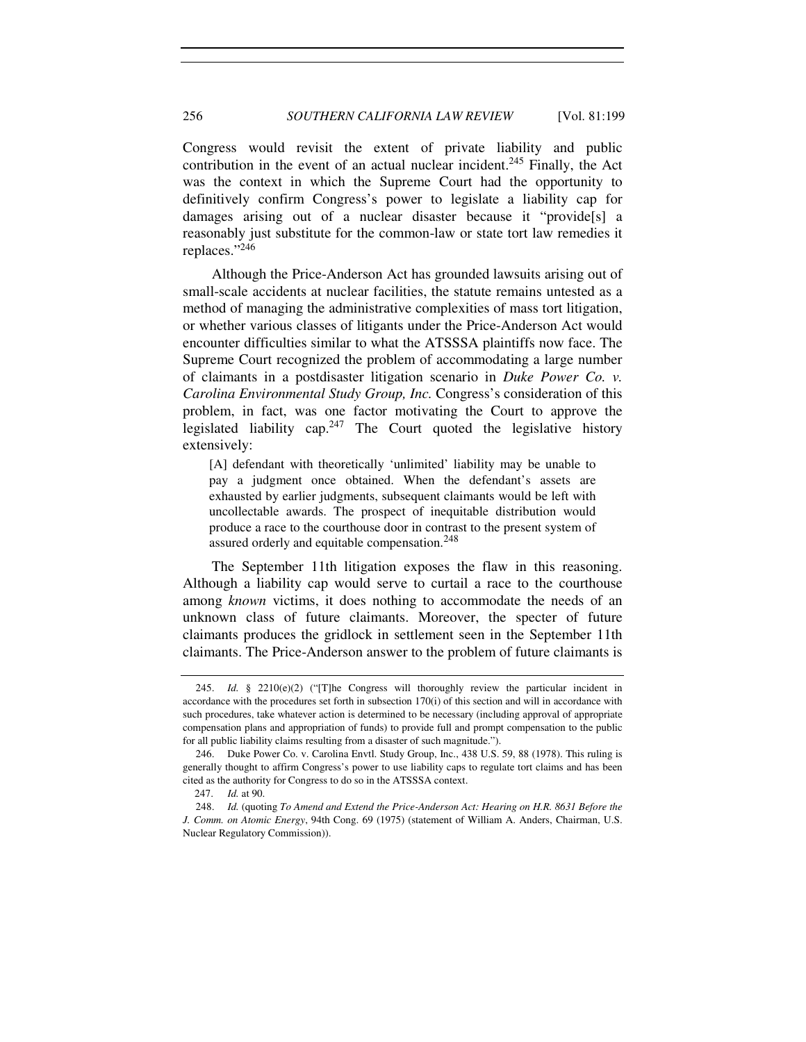Congress would revisit the extent of private liability and public contribution in the event of an actual nuclear incident.<sup>245</sup> Finally, the Act was the context in which the Supreme Court had the opportunity to definitively confirm Congress's power to legislate a liability cap for damages arising out of a nuclear disaster because it "provide[s] a reasonably just substitute for the common-law or state tort law remedies it replaces."<sup>246</sup>

Although the Price-Anderson Act has grounded lawsuits arising out of small-scale accidents at nuclear facilities, the statute remains untested as a method of managing the administrative complexities of mass tort litigation, or whether various classes of litigants under the Price-Anderson Act would encounter difficulties similar to what the ATSSSA plaintiffs now face. The Supreme Court recognized the problem of accommodating a large number of claimants in a postdisaster litigation scenario in *Duke Power Co. v. Carolina Environmental Study Group, Inc.* Congress's consideration of this problem, in fact, was one factor motivating the Court to approve the legislated liability cap. $247$  The Court quoted the legislative history extensively:

[A] defendant with theoretically 'unlimited' liability may be unable to pay a judgment once obtained. When the defendant's assets are exhausted by earlier judgments, subsequent claimants would be left with uncollectable awards. The prospect of inequitable distribution would produce a race to the courthouse door in contrast to the present system of assured orderly and equitable compensation.<sup>248</sup>

The September 11th litigation exposes the flaw in this reasoning. Although a liability cap would serve to curtail a race to the courthouse among *known* victims, it does nothing to accommodate the needs of an unknown class of future claimants. Moreover, the specter of future claimants produces the gridlock in settlement seen in the September 11th claimants. The Price-Anderson answer to the problem of future claimants is

 <sup>245.</sup> *Id.* § 2210(e)(2) ("[T]he Congress will thoroughly review the particular incident in accordance with the procedures set forth in subsection 170(i) of this section and will in accordance with such procedures, take whatever action is determined to be necessary (including approval of appropriate compensation plans and appropriation of funds) to provide full and prompt compensation to the public for all public liability claims resulting from a disaster of such magnitude.").

 <sup>246.</sup> Duke Power Co. v. Carolina Envtl. Study Group, Inc., 438 U.S. 59, 88 (1978). This ruling is generally thought to affirm Congress's power to use liability caps to regulate tort claims and has been cited as the authority for Congress to do so in the ATSSSA context.

<sup>247.</sup> *Id.* at 90.

 <sup>248.</sup> *Id.* (quoting *To Amend and Extend the Price-Anderson Act: Hearing on H.R. 8631 Before the J. Comm. on Atomic Energy*, 94th Cong. 69 (1975) (statement of William A. Anders, Chairman, U.S. Nuclear Regulatory Commission)).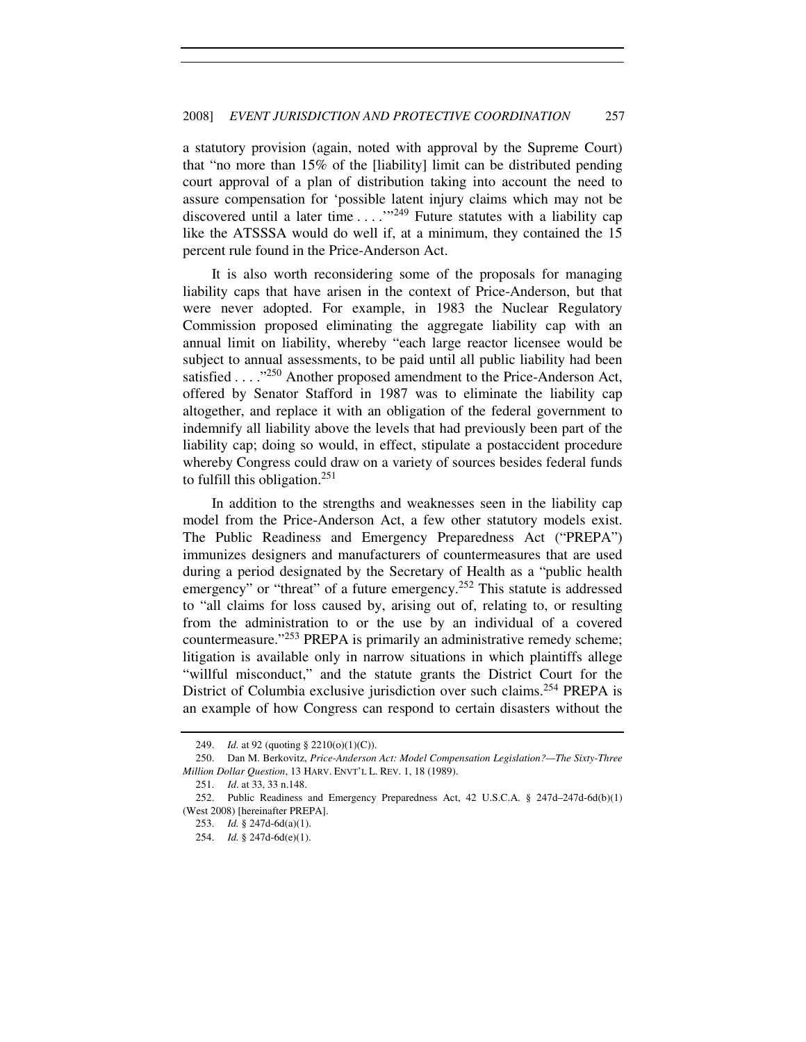a statutory provision (again, noted with approval by the Supreme Court) that "no more than 15% of the [liability] limit can be distributed pending court approval of a plan of distribution taking into account the need to assure compensation for 'possible latent injury claims which may not be discovered until a later time  $\dots$  ... ."<sup>249</sup> Future statutes with a liability cap like the ATSSSA would do well if, at a minimum, they contained the 15 percent rule found in the Price-Anderson Act.

It is also worth reconsidering some of the proposals for managing liability caps that have arisen in the context of Price-Anderson, but that were never adopted. For example, in 1983 the Nuclear Regulatory Commission proposed eliminating the aggregate liability cap with an annual limit on liability, whereby "each large reactor licensee would be subject to annual assessments, to be paid until all public liability had been satisfied . . . . "<sup>250</sup> Another proposed amendment to the Price-Anderson Act, offered by Senator Stafford in 1987 was to eliminate the liability cap altogether, and replace it with an obligation of the federal government to indemnify all liability above the levels that had previously been part of the liability cap; doing so would, in effect, stipulate a postaccident procedure whereby Congress could draw on a variety of sources besides federal funds to fulfill this obligation.<sup>251</sup>

In addition to the strengths and weaknesses seen in the liability cap model from the Price-Anderson Act, a few other statutory models exist. The Public Readiness and Emergency Preparedness Act ("PREPA") immunizes designers and manufacturers of countermeasures that are used during a period designated by the Secretary of Health as a "public health emergency" or "threat" of a future emergency.<sup>252</sup> This statute is addressed to "all claims for loss caused by, arising out of, relating to, or resulting from the administration to or the use by an individual of a covered countermeasure."<sup>253</sup> PREPA is primarily an administrative remedy scheme; litigation is available only in narrow situations in which plaintiffs allege "willful misconduct," and the statute grants the District Court for the District of Columbia exclusive jurisdiction over such claims.<sup>254</sup> PREPA is an example of how Congress can respond to certain disasters without the

 <sup>249.</sup> *Id.* at 92 (quoting § 2210(o)(1)(C)).

 <sup>250.</sup> Dan M. Berkovitz, *Price-Anderson Act: Model Compensation Legislation?—The Sixty-Three Million Dollar Question*, 13 HARV. ENVT'L L. REV. 1, 18 (1989).

<sup>251.</sup> *Id*. at 33, 33 n.148.

 <sup>252.</sup> Public Readiness and Emergency Preparedness Act, 42 U.S.C.A. § 247d–247d-6d(b)(1) (West 2008) [hereinafter PREPA].

 <sup>253.</sup> *Id.* § 247d-6d(a)(1).

 <sup>254.</sup> *Id.* § 247d-6d(e)(1).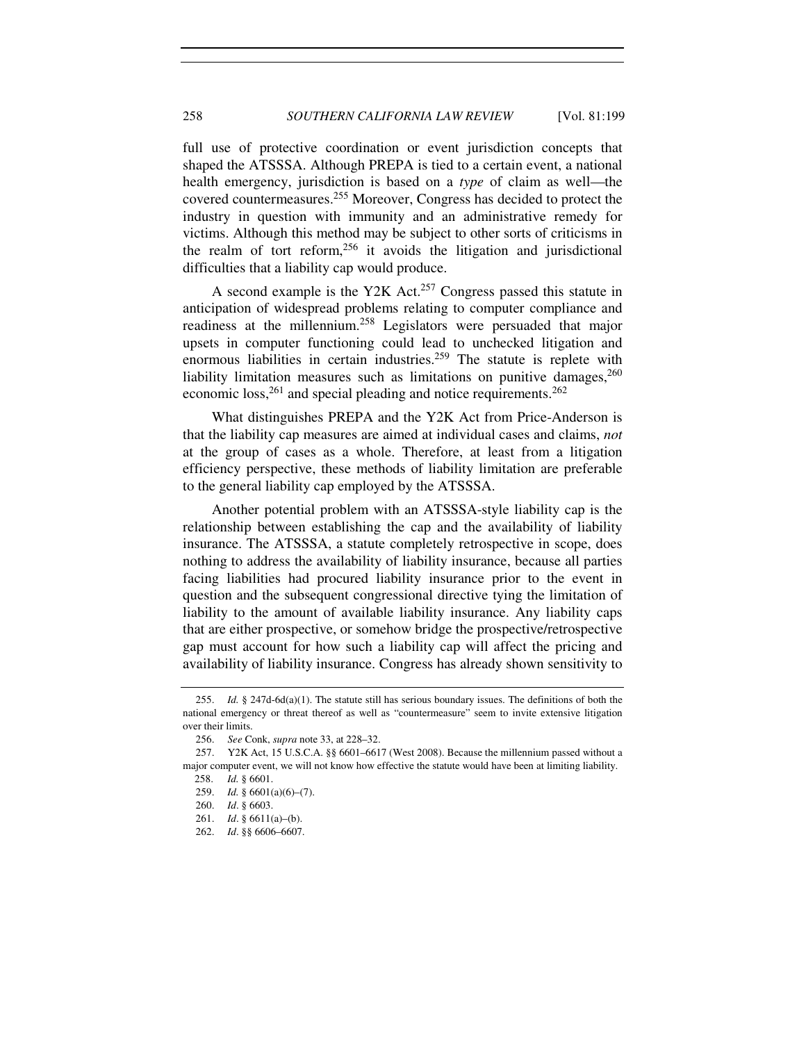full use of protective coordination or event jurisdiction concepts that shaped the ATSSSA. Although PREPA is tied to a certain event, a national health emergency, jurisdiction is based on a *type* of claim as well—the covered countermeasures.<sup>255</sup> Moreover, Congress has decided to protect the industry in question with immunity and an administrative remedy for victims. Although this method may be subject to other sorts of criticisms in the realm of tort reform,<sup>256</sup> it avoids the litigation and jurisdictional difficulties that a liability cap would produce.

A second example is the Y2K Act.<sup>257</sup> Congress passed this statute in anticipation of widespread problems relating to computer compliance and readiness at the millennium.<sup>258</sup> Legislators were persuaded that major upsets in computer functioning could lead to unchecked litigation and enormous liabilities in certain industries.<sup>259</sup> The statute is replete with liability limitation measures such as limitations on punitive damages,  $260$ economic loss,  $^{261}$  and special pleading and notice requirements.  $^{262}$ 

What distinguishes PREPA and the Y2K Act from Price-Anderson is that the liability cap measures are aimed at individual cases and claims, *not* at the group of cases as a whole. Therefore, at least from a litigation efficiency perspective, these methods of liability limitation are preferable to the general liability cap employed by the ATSSSA.

Another potential problem with an ATSSSA-style liability cap is the relationship between establishing the cap and the availability of liability insurance. The ATSSSA, a statute completely retrospective in scope, does nothing to address the availability of liability insurance, because all parties facing liabilities had procured liability insurance prior to the event in question and the subsequent congressional directive tying the limitation of liability to the amount of available liability insurance. Any liability caps that are either prospective, or somehow bridge the prospective/retrospective gap must account for how such a liability cap will affect the pricing and availability of liability insurance. Congress has already shown sensitivity to

 <sup>255.</sup> *Id.* § 247d-6d(a)(1). The statute still has serious boundary issues. The definitions of both the national emergency or threat thereof as well as "countermeasure" seem to invite extensive litigation over their limits.

<sup>256.</sup> *See* Conk, *supra* note 33, at 228–32.

 <sup>257.</sup> Y2K Act, 15 U.S.C.A. §§ 6601–6617 (West 2008). Because the millennium passed without a major computer event, we will not know how effective the statute would have been at limiting liability.

<sup>258.</sup> *Id.* § 6601.

 <sup>259.</sup> *Id.* § 6601(a)(6)–(7).

<sup>260.</sup> *Id*. § 6603.

<sup>261.</sup> *Id*. § 6611(a)–(b).

<sup>262.</sup> *Id*. §§ 6606–6607.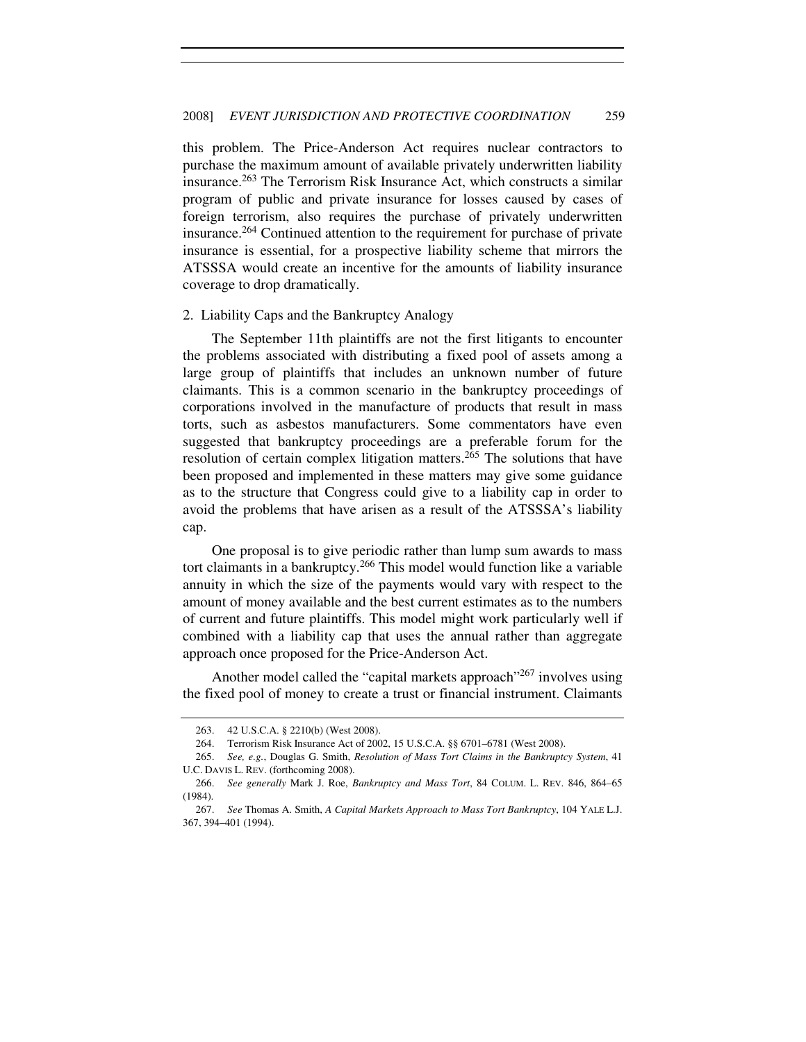this problem. The Price-Anderson Act requires nuclear contractors to purchase the maximum amount of available privately underwritten liability insurance.<sup>263</sup> The Terrorism Risk Insurance Act, which constructs a similar program of public and private insurance for losses caused by cases of foreign terrorism, also requires the purchase of privately underwritten insurance.<sup>264</sup> Continued attention to the requirement for purchase of private insurance is essential, for a prospective liability scheme that mirrors the ATSSSA would create an incentive for the amounts of liability insurance coverage to drop dramatically.

#### 2. Liability Caps and the Bankruptcy Analogy

The September 11th plaintiffs are not the first litigants to encounter the problems associated with distributing a fixed pool of assets among a large group of plaintiffs that includes an unknown number of future claimants. This is a common scenario in the bankruptcy proceedings of corporations involved in the manufacture of products that result in mass torts, such as asbestos manufacturers. Some commentators have even suggested that bankruptcy proceedings are a preferable forum for the resolution of certain complex litigation matters.<sup>265</sup> The solutions that have been proposed and implemented in these matters may give some guidance as to the structure that Congress could give to a liability cap in order to avoid the problems that have arisen as a result of the ATSSSA's liability cap.

One proposal is to give periodic rather than lump sum awards to mass tort claimants in a bankruptcy.<sup>266</sup> This model would function like a variable annuity in which the size of the payments would vary with respect to the amount of money available and the best current estimates as to the numbers of current and future plaintiffs. This model might work particularly well if combined with a liability cap that uses the annual rather than aggregate approach once proposed for the Price-Anderson Act.

Another model called the "capital markets approach"<sup>267</sup> involves using the fixed pool of money to create a trust or financial instrument. Claimants

 <sup>263. 42</sup> U.S.C.A. § 2210(b) (West 2008).

 <sup>264.</sup> Terrorism Risk Insurance Act of 2002, 15 U.S.C.A. §§ 6701–6781 (West 2008).

<sup>265.</sup> *See, e.g.*, Douglas G. Smith, *Resolution of Mass Tort Claims in the Bankruptcy System*, 41 U.C. DAVIS L. REV. (forthcoming 2008).

<sup>266.</sup> *See generally* Mark J. Roe, *Bankruptcy and Mass Tort*, 84 COLUM. L. REV. 846, 864–65 (1984).

 <sup>267.</sup> *See* Thomas A. Smith, *A Capital Markets Approach to Mass Tort Bankruptcy*, 104 YALE L.J. 367, 394–401 (1994).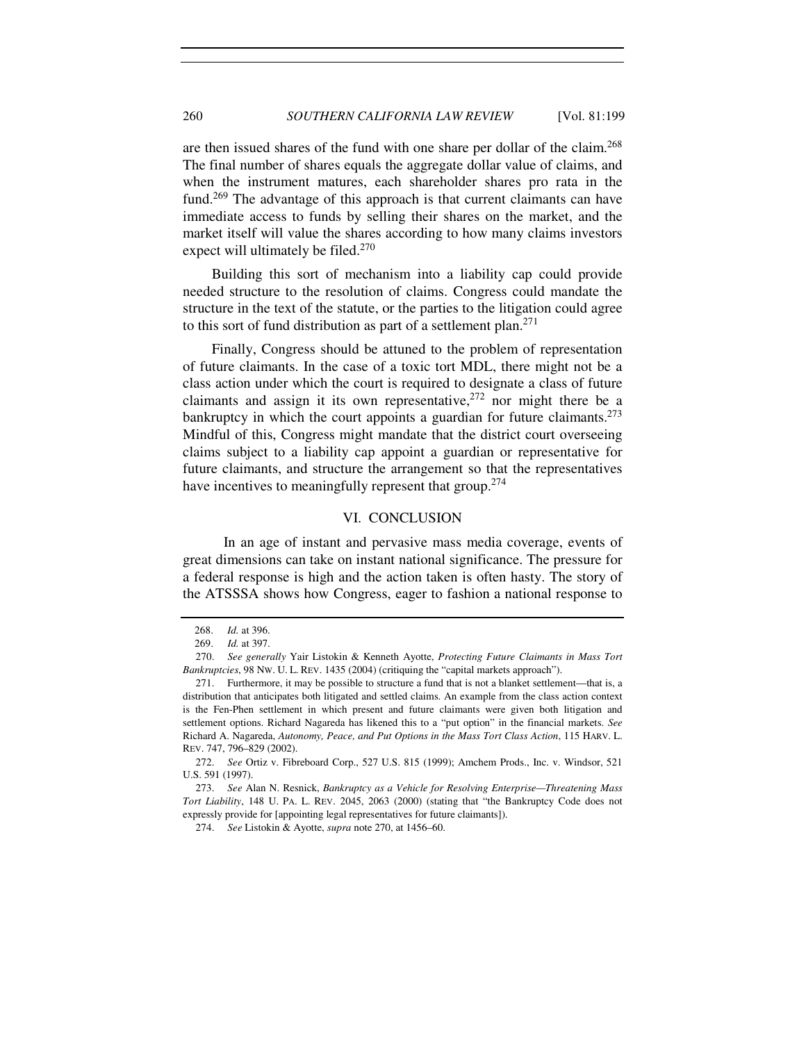are then issued shares of the fund with one share per dollar of the claim.<sup>268</sup> The final number of shares equals the aggregate dollar value of claims, and when the instrument matures, each shareholder shares pro rata in the fund.<sup>269</sup> The advantage of this approach is that current claimants can have immediate access to funds by selling their shares on the market, and the market itself will value the shares according to how many claims investors expect will ultimately be filed.<sup>270</sup>

Building this sort of mechanism into a liability cap could provide needed structure to the resolution of claims. Congress could mandate the structure in the text of the statute, or the parties to the litigation could agree to this sort of fund distribution as part of a settlement plan.<sup>271</sup>

Finally, Congress should be attuned to the problem of representation of future claimants. In the case of a toxic tort MDL, there might not be a class action under which the court is required to designate a class of future claimants and assign it its own representative,  $272$  nor might there be a bankruptcy in which the court appoints a guardian for future claimants.<sup>273</sup> Mindful of this, Congress might mandate that the district court overseeing claims subject to a liability cap appoint a guardian or representative for future claimants, and structure the arrangement so that the representatives have incentives to meaningfully represent that group.<sup>274</sup>

## VI. CONCLUSION

 In an age of instant and pervasive mass media coverage, events of great dimensions can take on instant national significance. The pressure for a federal response is high and the action taken is often hasty. The story of the ATSSSA shows how Congress, eager to fashion a national response to

<sup>268.</sup> *Id.* at 396.

<sup>269.</sup> *Id.* at 397.

 <sup>270.</sup> *See generally* Yair Listokin & Kenneth Ayotte, *Protecting Future Claimants in Mass Tort Bankruptcies*, 98 NW. U. L. REV. 1435 (2004) (critiquing the "capital markets approach").

 <sup>271.</sup> Furthermore, it may be possible to structure a fund that is not a blanket settlement—that is, a distribution that anticipates both litigated and settled claims. An example from the class action context is the Fen-Phen settlement in which present and future claimants were given both litigation and settlement options. Richard Nagareda has likened this to a "put option" in the financial markets. *See* Richard A. Nagareda, *Autonomy, Peace, and Put Options in the Mass Tort Class Action*, 115 HARV. L. REV. 747, 796–829 (2002).

<sup>272.</sup> *See* Ortiz v. Fibreboard Corp., 527 U.S. 815 (1999); Amchem Prods., Inc. v. Windsor, 521 U.S. 591 (1997).

<sup>273.</sup> *See* Alan N. Resnick, *Bankruptcy as a Vehicle for Resolving Enterprise—Threatening Mass Tort Liability*, 148 U. PA. L. REV. 2045, 2063 (2000) (stating that "the Bankruptcy Code does not expressly provide for [appointing legal representatives for future claimants]).

<sup>274.</sup> *See* Listokin & Ayotte, *supra* note 270, at 1456–60.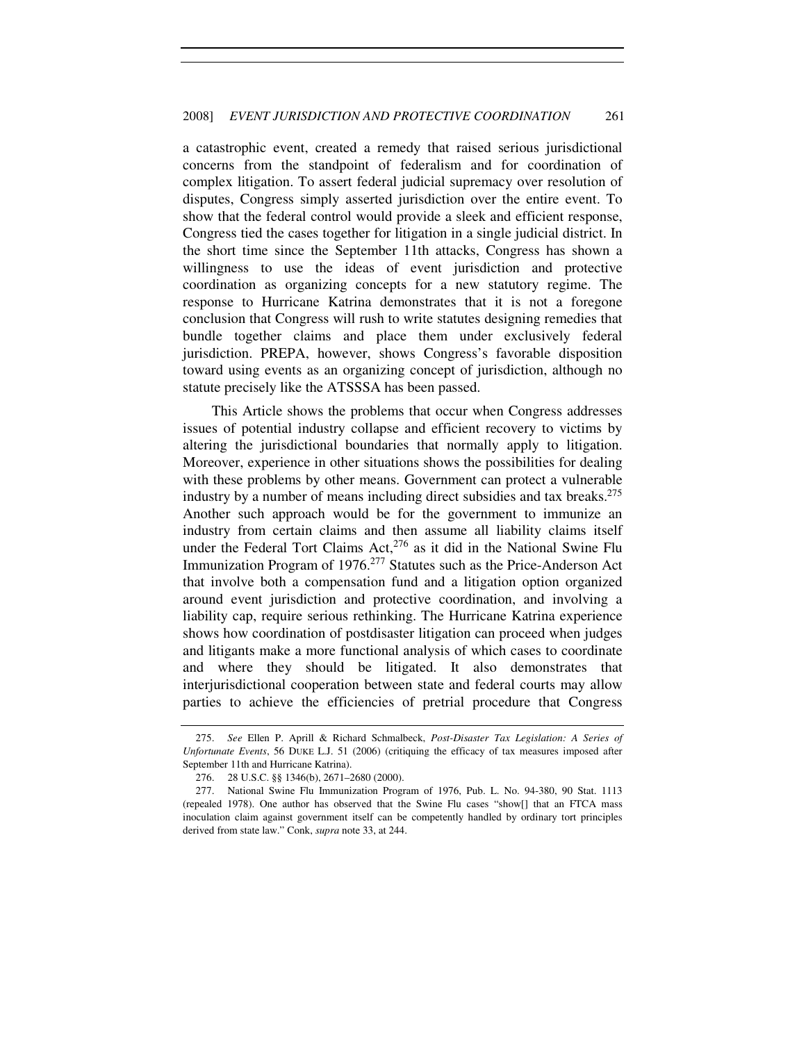a catastrophic event, created a remedy that raised serious jurisdictional concerns from the standpoint of federalism and for coordination of complex litigation. To assert federal judicial supremacy over resolution of disputes, Congress simply asserted jurisdiction over the entire event. To show that the federal control would provide a sleek and efficient response, Congress tied the cases together for litigation in a single judicial district. In the short time since the September 11th attacks, Congress has shown a willingness to use the ideas of event jurisdiction and protective coordination as organizing concepts for a new statutory regime. The response to Hurricane Katrina demonstrates that it is not a foregone conclusion that Congress will rush to write statutes designing remedies that bundle together claims and place them under exclusively federal jurisdiction. PREPA, however, shows Congress's favorable disposition toward using events as an organizing concept of jurisdiction, although no statute precisely like the ATSSSA has been passed.

This Article shows the problems that occur when Congress addresses issues of potential industry collapse and efficient recovery to victims by altering the jurisdictional boundaries that normally apply to litigation. Moreover, experience in other situations shows the possibilities for dealing with these problems by other means. Government can protect a vulnerable industry by a number of means including direct subsidies and tax breaks.<sup>275</sup> Another such approach would be for the government to immunize an industry from certain claims and then assume all liability claims itself under the Federal Tort Claims Act, $276$  as it did in the National Swine Flu Immunization Program of 1976.<sup>277</sup> Statutes such as the Price-Anderson Act that involve both a compensation fund and a litigation option organized around event jurisdiction and protective coordination, and involving a liability cap, require serious rethinking. The Hurricane Katrina experience shows how coordination of postdisaster litigation can proceed when judges and litigants make a more functional analysis of which cases to coordinate and where they should be litigated. It also demonstrates that interjurisdictional cooperation between state and federal courts may allow parties to achieve the efficiencies of pretrial procedure that Congress

<sup>275.</sup> *See* Ellen P. Aprill & Richard Schmalbeck, *Post-Disaster Tax Legislation: A Series of Unfortunate Events*, 56 DUKE L.J. 51 (2006) (critiquing the efficacy of tax measures imposed after September 11th and Hurricane Katrina).

 <sup>276. 28</sup> U.S.C. §§ 1346(b), 2671–2680 (2000).

 <sup>277.</sup> National Swine Flu Immunization Program of 1976, Pub. L. No. 94-380, 90 Stat. 1113 (repealed 1978). One author has observed that the Swine Flu cases "show[] that an FTCA mass inoculation claim against government itself can be competently handled by ordinary tort principles derived from state law." Conk, *supra* note 33, at 244.